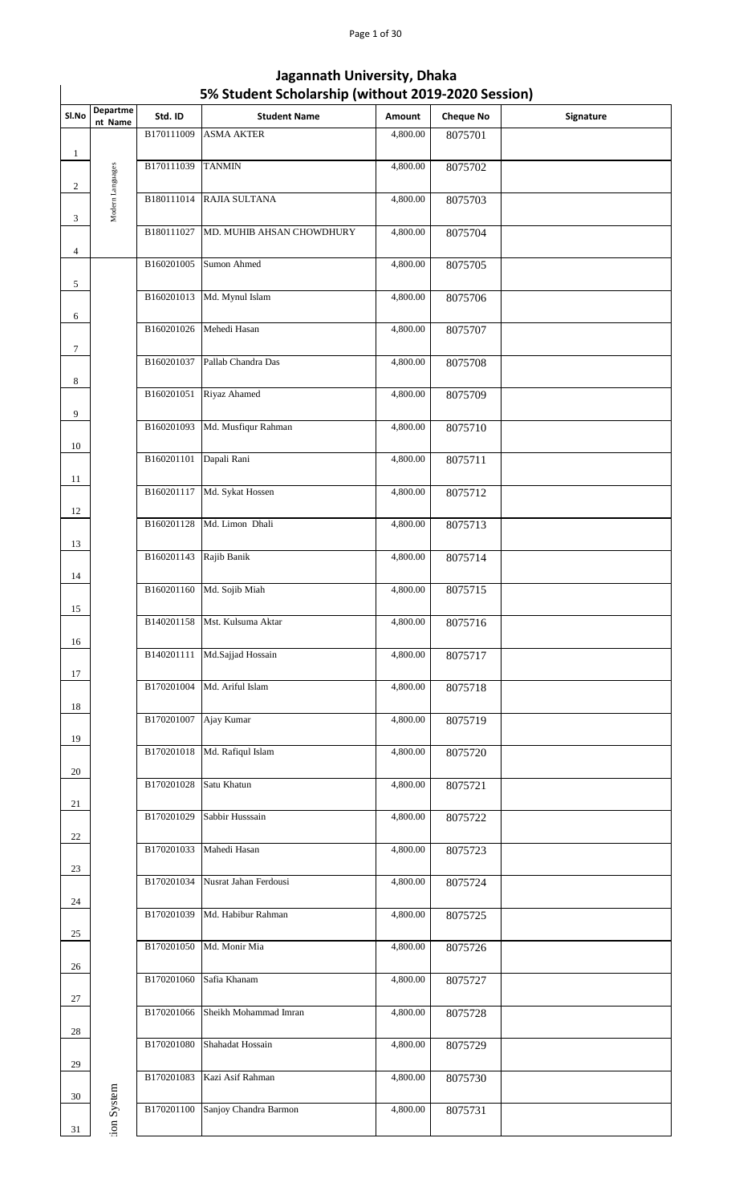| Sl.No        | Departme<br>nt Name | Std. ID    | <b>Student Name</b>       | Amount   | <b>Cheque No</b> | Signature |
|--------------|---------------------|------------|---------------------------|----------|------------------|-----------|
| $\mathbf{1}$ |                     | B170111009 | <b>ASMA AKTER</b>         | 4,800.00 | 8075701          |           |
| $\sqrt{2}$   |                     | B170111039 | <b>TANMIN</b>             | 4,800.00 | 8075702          |           |
| 3            | Modern Languages    | B180111014 | RAJIA SULTANA             | 4,800.00 | 8075703          |           |
|              |                     | B180111027 | MD. MUHIB AHSAN CHOWDHURY | 4,800.00 | 8075704          |           |
| 4            |                     | B160201005 | Sumon Ahmed               | 4,800.00 | 8075705          |           |
| 5            |                     | B160201013 | Md. Mynul Islam           | 4,800.00 | 8075706          |           |
| 6            |                     | B160201026 | Mehedi Hasan              | 4,800.00 | 8075707          |           |
| $\tau$       |                     | B160201037 | Pallab Chandra Das        | 4,800.00 | 8075708          |           |
| 8            |                     | B160201051 | Riyaz Ahamed              | 4,800.00 | 8075709          |           |
| 9            |                     | B160201093 | Md. Musfiqur Rahman       | 4,800.00 | 8075710          |           |
| 10           |                     | B160201101 | Dapali Rani               | 4,800.00 | 8075711          |           |
| 11           |                     | B160201117 | Md. Sykat Hossen          | 4,800.00 | 8075712          |           |
| 12           |                     | B160201128 | Md. Limon Dhali           | 4,800.00 | 8075713          |           |
| 13           |                     | B160201143 | Rajib Banik               | 4,800.00 | 8075714          |           |
| 14           |                     | B160201160 | Md. Sojib Miah            | 4,800.00 | 8075715          |           |
| 15           |                     | B140201158 | Mst. Kulsuma Aktar        | 4,800.00 | 8075716          |           |
| 16           |                     | B140201111 | Md.Sajjad Hossain         | 4,800.00 | 8075717          |           |
| 17           |                     | B170201004 | Md. Ariful Islam          | 4,800.00 | 8075718          |           |
| 18           |                     | B170201007 | Ajay Kumar                | 4,800.00 | 8075719          |           |
| 19           |                     | B170201018 | Md. Rafiqul Islam         | 4,800.00 | 8075720          |           |
| 20           |                     | B170201028 | Satu Khatun               | 4,800.00 | 8075721          |           |
| 21           |                     | B170201029 | Sabbir Husssain           | 4,800.00 | 8075722          |           |
| 22           |                     | B170201033 | Mahedi Hasan              | 4,800.00 | 8075723          |           |
| 23           |                     | B170201034 | Nusrat Jahan Ferdousi     | 4,800.00 | 8075724          |           |
| 24           |                     | B170201039 | Md. Habibur Rahman        | 4,800.00 | 8075725          |           |
| 25           |                     | B170201050 | Md. Monir Mia             | 4,800.00 | 8075726          |           |
| 26           |                     | B170201060 | Safia Khanam              | 4,800.00 | 8075727          |           |
| 27           |                     | B170201066 | Sheikh Mohammad Imran     | 4,800.00 | 8075728          |           |
| 28           |                     | B170201080 | Shahadat Hossain          | 4,800.00 | 8075729          |           |
| 29           |                     | B170201083 | Kazi Asif Rahman          | 4,800.00 | 8075730          |           |
| 30           | ion System          | B170201100 | Sanjoy Chandra Barmon     | 4,800.00 | 8075731          |           |
| 31           |                     |            |                           |          |                  |           |
|              |                     |            |                           |          |                  |           |
|              |                     |            |                           |          |                  |           |
|              |                     |            |                           |          |                  |           |
|              |                     |            |                           |          |                  |           |

# **5% Student Scholarship (without 2019-2020 Session) Jagannath University, Dhaka**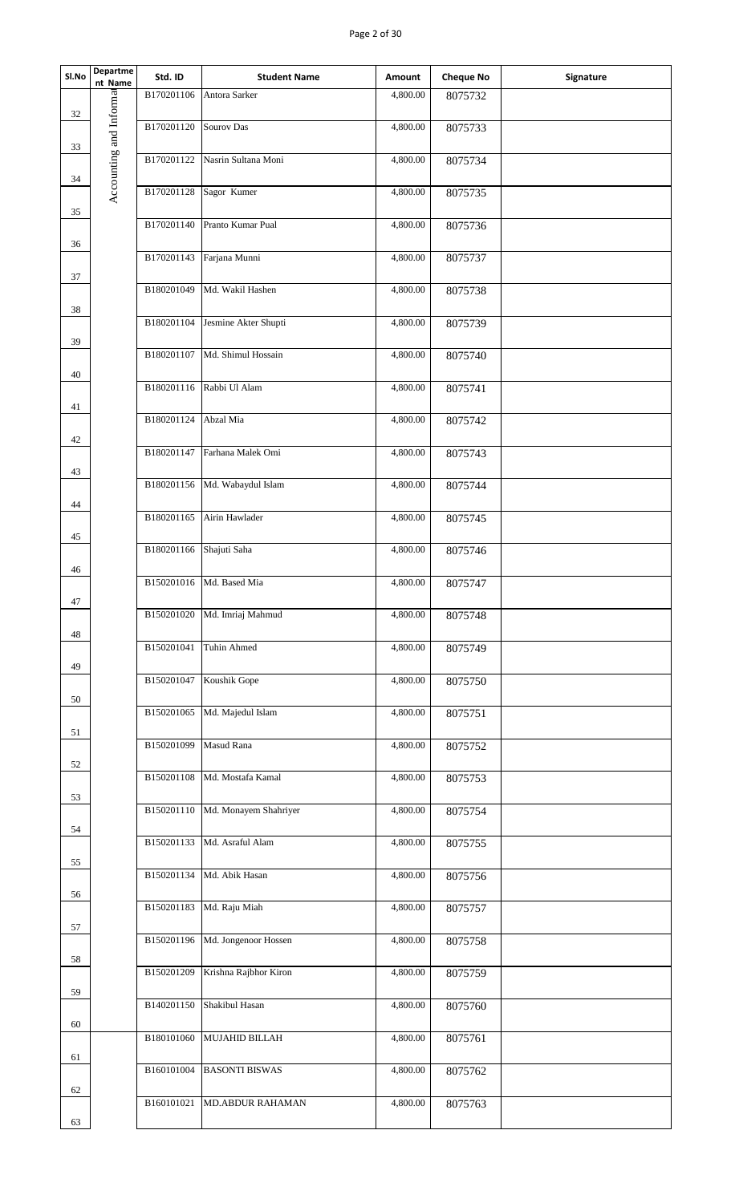## Page 2 of 30

| SI.No | <b>Departme</b><br>nt Name | Std. ID    | <b>Student Name</b>              | Amount   | <b>Cheque No</b> | Signature |
|-------|----------------------------|------------|----------------------------------|----------|------------------|-----------|
| 32    |                            | B170201106 | Antora Sarker                    | 4,800.00 | 8075732          |           |
|       |                            | B170201120 | Sourov Das                       | 4,800.00 | 8075733          |           |
| 33    | Accounting and Informat    |            | B170201122 Nasrin Sultana Moni   | 4,800.00 | 8075734          |           |
| 34    |                            | B170201128 | Sagor Kumer                      | 4,800.00 |                  |           |
| 35    |                            |            |                                  |          | 8075735          |           |
| 36    |                            | B170201140 | Pranto Kumar Pual                | 4,800.00 | 8075736          |           |
|       |                            | B170201143 | Farjana Munni                    | 4,800.00 | 8075737          |           |
| 37    |                            |            | B180201049 Md. Wakil Hashen      | 4,800.00 | 8075738          |           |
| 38    |                            | B180201104 | Jesmine Akter Shupti             | 4,800.00 | 8075739          |           |
| 39    |                            |            |                                  |          |                  |           |
| 40    |                            | B180201107 | Md. Shimul Hossain               | 4,800.00 | 8075740          |           |
|       |                            |            | B180201116 Rabbi Ul Alam         | 4,800.00 | 8075741          |           |
| 41    |                            | B180201124 | Abzal Mia                        | 4,800.00 | 8075742          |           |
| 42    |                            | B180201147 | Farhana Malek Omi                | 4,800.00 | 8075743          |           |
| 43    |                            | B180201156 | Md. Wabaydul Islam               | 4,800.00 |                  |           |
| 44    |                            |            |                                  |          | 8075744          |           |
| 45    |                            | B180201165 | Airin Hawlader                   | 4,800.00 | 8075745          |           |
|       |                            | B180201166 | Shajuti Saha                     | 4,800.00 | 8075746          |           |
| 46    |                            |            | B150201016 Md. Based Mia         | 4,800.00 | 8075747          |           |
| 47    |                            | B150201020 | Md. Imriaj Mahmud                | 4,800.00 | 8075748          |           |
| 48    |                            |            |                                  |          |                  |           |
| 49    |                            | B150201041 | Tuhin Ahmed                      | 4,800.00 | 8075749          |           |
|       |                            | B150201047 | Koushik Gope                     | 4,800.00 | 8075750          |           |
| 50    |                            | B150201065 | Md. Majedul Islam                | 4,800.00 | 8075751          |           |
| 51    |                            | B150201099 | Masud Rana                       | 4,800.00 | 8075752          |           |
| 52    |                            | B150201108 | Md. Mostafa Kamal                | 4,800.00 | 8075753          |           |
| 53    |                            |            |                                  |          |                  |           |
| 54    |                            |            | B150201110 Md. Monayem Shahriyer | 4,800.00 | 8075754          |           |
|       |                            | B150201133 | Md. Asraful Alam                 | 4,800.00 | 8075755          |           |
| 55    |                            | B150201134 | Md. Abik Hasan                   | 4,800.00 | 8075756          |           |
| 56    |                            | B150201183 | Md. Raju Miah                    | 4,800.00 | 8075757          |           |
| 57    |                            |            |                                  |          |                  |           |
| 58    |                            |            | B150201196 Md. Jongenoor Hossen  | 4,800.00 | 8075758          |           |
|       |                            | B150201209 | Krishna Rajbhor Kiron            | 4,800.00 | 8075759          |           |
| 59    |                            | B140201150 | Shakibul Hasan                   | 4,800.00 | 8075760          |           |
| 60    |                            | B180101060 | MUJAHID BILLAH                   | 4,800.00 | 8075761          |           |
| 61    |                            | B160101004 | <b>BASONTI BISWAS</b>            | 4,800.00 |                  |           |
| 62    |                            |            |                                  |          | 8075762          |           |
| 63    |                            |            | B160101021 MD.ABDUR RAHAMAN      | 4,800.00 | 8075763          |           |
|       |                            |            |                                  |          |                  |           |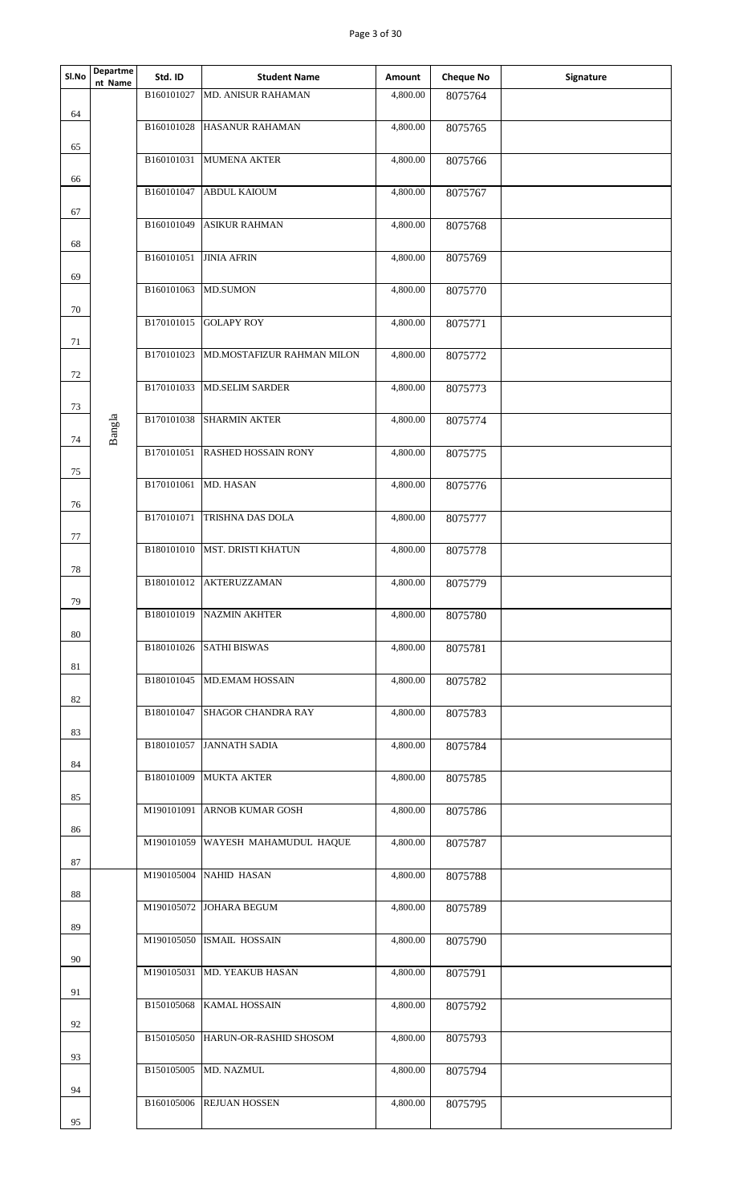| Sl.No | Departme<br>nt Name | Std. ID    | <b>Student Name</b>               | Amount   | <b>Cheque No</b> | Signature |
|-------|---------------------|------------|-----------------------------------|----------|------------------|-----------|
|       |                     | B160101027 | MD. ANISUR RAHAMAN                | 4,800.00 | 8075764          |           |
| 64    |                     | B160101028 | HASANUR RAHAMAN                   | 4,800.00 | 8075765          |           |
| 65    |                     | B160101031 | <b>MUMENA AKTER</b>               | 4,800.00 | 8075766          |           |
| 66    |                     | B160101047 | <b>ABDUL KAIOUM</b>               | 4,800.00 | 8075767          |           |
| 67    |                     | B160101049 | <b>ASIKUR RAHMAN</b>              | 4,800.00 | 8075768          |           |
| 68    |                     | B160101051 | <b>JINIA AFRIN</b>                | 4,800.00 | 8075769          |           |
| 69    |                     |            |                                   |          |                  |           |
| 70    |                     | B160101063 | <b>MD.SUMON</b>                   | 4,800.00 | 8075770          |           |
| 71    |                     | B170101015 | <b>GOLAPY ROY</b>                 | 4,800.00 | 8075771          |           |
| 72    |                     | B170101023 | MD.MOSTAFIZUR RAHMAN MILON        | 4,800.00 | 8075772          |           |
| 73    |                     | B170101033 | <b>MD.SELIM SARDER</b>            | 4,800.00 | 8075773          |           |
|       | Bangla              | B170101038 | <b>SHARMIN AKTER</b>              | 4,800.00 | 8075774          |           |
| 74    |                     | B170101051 | <b>RASHED HOSSAIN RONY</b>        | 4,800.00 | 8075775          |           |
| 75    |                     | B170101061 | MD. HASAN                         | 4,800.00 | 8075776          |           |
| 76    |                     | B170101071 | TRISHNA DAS DOLA                  | 4,800.00 | 8075777          |           |
| 77    |                     | B180101010 | <b>MST. DRISTI KHATUN</b>         | 4,800.00 | 8075778          |           |
| 78    |                     | B180101012 | AKTERUZZAMAN                      | 4,800.00 | 8075779          |           |
| 79    |                     |            |                                   |          |                  |           |
| 80    |                     |            | B180101019 NAZMIN AKHTER          | 4,800.00 | 8075780          |           |
| 81    |                     |            | B180101026 SATHI BISWAS           | 4,800.00 | 8075781          |           |
| 82    |                     |            | B180101045 MD.EMAM HOSSAIN        | 4,800.00 | 8075782          |           |
| 83    |                     |            | B180101047 SHAGOR CHANDRA RAY     | 4,800.00 | 8075783          |           |
|       |                     |            | B180101057 JANNATH SADIA          | 4,800.00 | 8075784          |           |
| 84    |                     |            | B180101009 MUKTA AKTER            | 4,800.00 | 8075785          |           |
| 85    |                     |            | M190101091 ARNOB KUMAR GOSH       | 4,800.00 | 8075786          |           |
| 86    |                     |            | M190101059 WAYESH MAHAMUDUL HAQUE | 4,800.00 | 8075787          |           |
| 87    |                     |            | M190105004 NAHID HASAN            | 4,800.00 | 8075788          |           |
| 88    |                     |            | M190105072 JOHARA BEGUM           | 4,800.00 | 8075789          |           |
| 89    |                     |            | M190105050 ISMAIL HOSSAIN         | 4,800.00 | 8075790          |           |
| 90    |                     |            | M190105031 MD. YEAKUB HASAN       | 4,800.00 |                  |           |
| 91    |                     |            |                                   |          | 8075791          |           |
| 92    |                     | B150105068 | <b>KAMAL HOSSAIN</b>              | 4,800.00 | 8075792          |           |
| 93    |                     |            | B150105050 HARUN-OR-RASHID SHOSOM | 4,800.00 | 8075793          |           |
| 94    |                     |            | B150105005 MD. NAZMUL             | 4,800.00 | 8075794          |           |
|       |                     |            | B160105006 REJUAN HOSSEN          | 4,800.00 | 8075795          |           |
| 95    |                     |            |                                   |          |                  |           |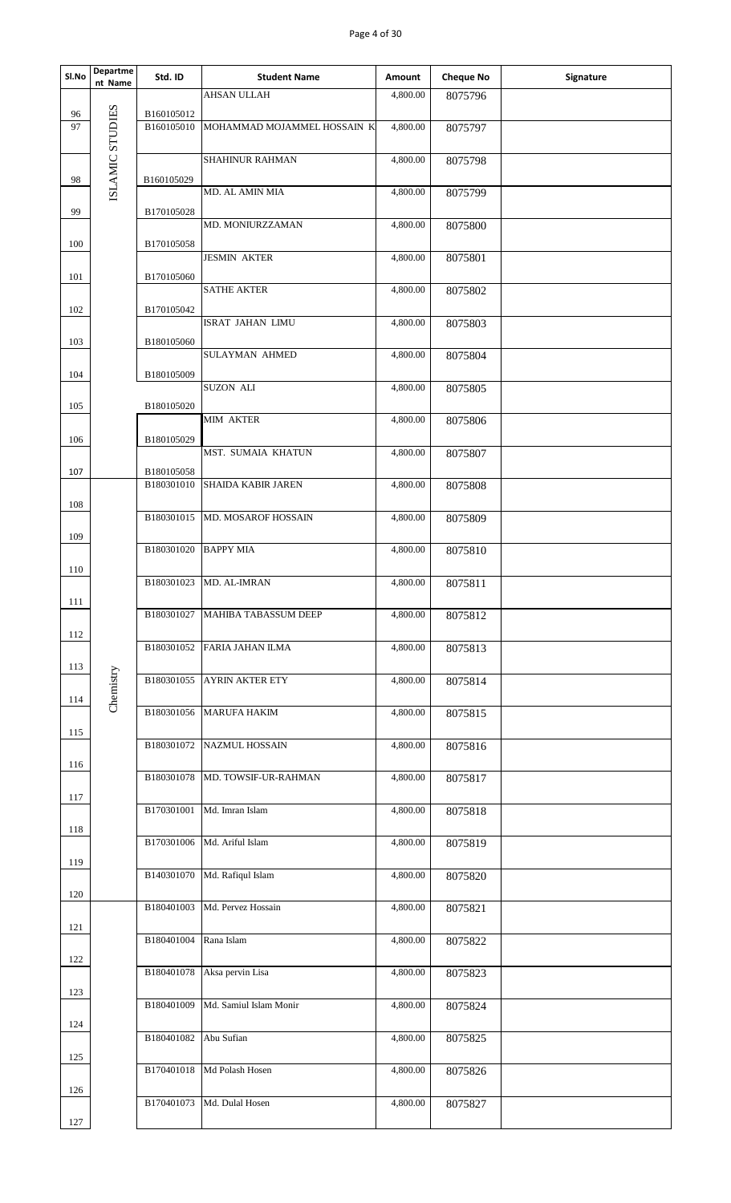## Page 4 of 30

| <b>AHSAN ULLAH</b><br>4,800.00<br>8075796<br>ISLAMIC STUDIES<br>B160105012<br>96<br>97<br>B160105010<br>MOHAMMAD MOJAMMEL HOSSAIN K<br>4,800.00<br>8075797<br>SHAHINUR RAHMAN<br>4,800.00<br>8075798<br>B160105029<br>98<br>MD. AL AMIN MIA<br>4,800.00<br>8075799<br>99<br>B170105028<br>MD. MONIURZZAMAN<br>4,800.00<br>8075800<br>B170105058<br>100<br><b>JESMIN AKTER</b><br>4,800.00<br>8075801<br>B170105060<br>101<br><b>SATHE AKTER</b><br>4,800.00<br>8075802<br>B170105042<br>102<br>4,800.00<br>ISRAT JAHAN LIMU<br>8075803<br>103<br>B180105060<br><b>SULAYMAN AHMED</b><br>4,800.00<br>8075804<br>104<br>B180105009<br><b>SUZON ALI</b><br>4,800.00<br>8075805<br>105<br>B180105020<br>MIM AKTER<br>4,800.00<br>8075806<br>B180105029<br>106<br>4,800.00<br>MST. SUMAIA KHATUN<br>8075807<br>B180105058<br>107<br><b>SHAIDA KABIR JAREN</b><br>B180301010<br>4,800.00<br>8075808<br>108<br>B180301015<br>MD. MOSAROF HOSSAIN<br>4,800.00<br>8075809<br>109<br>B180301020<br><b>BAPPY MIA</b><br>4,800.00<br>8075810<br>110<br>B180301023<br>8075811<br>MD. AL-IMRAN<br>4,800.00<br>111<br>B180301027<br>4,800.00<br>MAHIBA TABASSUM DEEP<br>8075812<br>112<br>B180301052<br><b>FARIA JAHAN ILMA</b><br>4,800.00<br>8075813<br>113<br>Chemistry<br>B180301055<br><b>AYRIN AKTER ETY</b><br>4,800.00<br>8075814<br>114<br>B180301056 MARUFA HAKIM<br>4,800.00<br>8075815<br>115<br>B180301072<br>NAZMUL HOSSAIN<br>4,800.00<br>8075816<br>116<br>B180301078<br>MD. TOWSIF-UR-RAHMAN<br>4,800.00<br>8075817<br>117<br>B170301001 Md. Imran Islam<br>4,800.00<br>8075818<br>118<br>Md. Ariful Islam<br>B170301006<br>4,800.00<br>8075819<br>119<br>Md. Rafiqul Islam<br>B140301070<br>4,800.00<br>8075820<br>120<br>B180401003<br>Md. Pervez Hossain<br>4,800.00<br>8075821<br>121<br>B180401004<br>Rana Islam<br>4,800.00<br>8075822<br>122<br>Aksa pervin Lisa<br>B180401078<br>4,800.00<br>8075823<br>123<br>B180401009<br>Md. Samiul Islam Monir<br>4,800.00<br>8075824<br>124<br>B180401082<br>Abu Sufian<br>4,800.00<br>8075825<br>125<br>B170401018<br>Md Polash Hosen<br>4,800.00<br>8075826<br>126<br>B170401073<br>Md. Dulal Hosen<br>4,800.00<br>8075827<br>127 | Sl.No | <b>Departme</b><br>nt Name | Std. ID | <b>Student Name</b> | Amount | <b>Cheque No</b> | Signature |
|-------------------------------------------------------------------------------------------------------------------------------------------------------------------------------------------------------------------------------------------------------------------------------------------------------------------------------------------------------------------------------------------------------------------------------------------------------------------------------------------------------------------------------------------------------------------------------------------------------------------------------------------------------------------------------------------------------------------------------------------------------------------------------------------------------------------------------------------------------------------------------------------------------------------------------------------------------------------------------------------------------------------------------------------------------------------------------------------------------------------------------------------------------------------------------------------------------------------------------------------------------------------------------------------------------------------------------------------------------------------------------------------------------------------------------------------------------------------------------------------------------------------------------------------------------------------------------------------------------------------------------------------------------------------------------------------------------------------------------------------------------------------------------------------------------------------------------------------------------------------------------------------------------------------------------------------------------------------------------------------------------------------------------------------------------------------------------------------------------------------------------------------------------------------------------------|-------|----------------------------|---------|---------------------|--------|------------------|-----------|
|                                                                                                                                                                                                                                                                                                                                                                                                                                                                                                                                                                                                                                                                                                                                                                                                                                                                                                                                                                                                                                                                                                                                                                                                                                                                                                                                                                                                                                                                                                                                                                                                                                                                                                                                                                                                                                                                                                                                                                                                                                                                                                                                                                                     |       |                            |         |                     |        |                  |           |
|                                                                                                                                                                                                                                                                                                                                                                                                                                                                                                                                                                                                                                                                                                                                                                                                                                                                                                                                                                                                                                                                                                                                                                                                                                                                                                                                                                                                                                                                                                                                                                                                                                                                                                                                                                                                                                                                                                                                                                                                                                                                                                                                                                                     |       |                            |         |                     |        |                  |           |
|                                                                                                                                                                                                                                                                                                                                                                                                                                                                                                                                                                                                                                                                                                                                                                                                                                                                                                                                                                                                                                                                                                                                                                                                                                                                                                                                                                                                                                                                                                                                                                                                                                                                                                                                                                                                                                                                                                                                                                                                                                                                                                                                                                                     |       |                            |         |                     |        |                  |           |
|                                                                                                                                                                                                                                                                                                                                                                                                                                                                                                                                                                                                                                                                                                                                                                                                                                                                                                                                                                                                                                                                                                                                                                                                                                                                                                                                                                                                                                                                                                                                                                                                                                                                                                                                                                                                                                                                                                                                                                                                                                                                                                                                                                                     |       |                            |         |                     |        |                  |           |
|                                                                                                                                                                                                                                                                                                                                                                                                                                                                                                                                                                                                                                                                                                                                                                                                                                                                                                                                                                                                                                                                                                                                                                                                                                                                                                                                                                                                                                                                                                                                                                                                                                                                                                                                                                                                                                                                                                                                                                                                                                                                                                                                                                                     |       |                            |         |                     |        |                  |           |
|                                                                                                                                                                                                                                                                                                                                                                                                                                                                                                                                                                                                                                                                                                                                                                                                                                                                                                                                                                                                                                                                                                                                                                                                                                                                                                                                                                                                                                                                                                                                                                                                                                                                                                                                                                                                                                                                                                                                                                                                                                                                                                                                                                                     |       |                            |         |                     |        |                  |           |
|                                                                                                                                                                                                                                                                                                                                                                                                                                                                                                                                                                                                                                                                                                                                                                                                                                                                                                                                                                                                                                                                                                                                                                                                                                                                                                                                                                                                                                                                                                                                                                                                                                                                                                                                                                                                                                                                                                                                                                                                                                                                                                                                                                                     |       |                            |         |                     |        |                  |           |
|                                                                                                                                                                                                                                                                                                                                                                                                                                                                                                                                                                                                                                                                                                                                                                                                                                                                                                                                                                                                                                                                                                                                                                                                                                                                                                                                                                                                                                                                                                                                                                                                                                                                                                                                                                                                                                                                                                                                                                                                                                                                                                                                                                                     |       |                            |         |                     |        |                  |           |
|                                                                                                                                                                                                                                                                                                                                                                                                                                                                                                                                                                                                                                                                                                                                                                                                                                                                                                                                                                                                                                                                                                                                                                                                                                                                                                                                                                                                                                                                                                                                                                                                                                                                                                                                                                                                                                                                                                                                                                                                                                                                                                                                                                                     |       |                            |         |                     |        |                  |           |
|                                                                                                                                                                                                                                                                                                                                                                                                                                                                                                                                                                                                                                                                                                                                                                                                                                                                                                                                                                                                                                                                                                                                                                                                                                                                                                                                                                                                                                                                                                                                                                                                                                                                                                                                                                                                                                                                                                                                                                                                                                                                                                                                                                                     |       |                            |         |                     |        |                  |           |
|                                                                                                                                                                                                                                                                                                                                                                                                                                                                                                                                                                                                                                                                                                                                                                                                                                                                                                                                                                                                                                                                                                                                                                                                                                                                                                                                                                                                                                                                                                                                                                                                                                                                                                                                                                                                                                                                                                                                                                                                                                                                                                                                                                                     |       |                            |         |                     |        |                  |           |
|                                                                                                                                                                                                                                                                                                                                                                                                                                                                                                                                                                                                                                                                                                                                                                                                                                                                                                                                                                                                                                                                                                                                                                                                                                                                                                                                                                                                                                                                                                                                                                                                                                                                                                                                                                                                                                                                                                                                                                                                                                                                                                                                                                                     |       |                            |         |                     |        |                  |           |
|                                                                                                                                                                                                                                                                                                                                                                                                                                                                                                                                                                                                                                                                                                                                                                                                                                                                                                                                                                                                                                                                                                                                                                                                                                                                                                                                                                                                                                                                                                                                                                                                                                                                                                                                                                                                                                                                                                                                                                                                                                                                                                                                                                                     |       |                            |         |                     |        |                  |           |
|                                                                                                                                                                                                                                                                                                                                                                                                                                                                                                                                                                                                                                                                                                                                                                                                                                                                                                                                                                                                                                                                                                                                                                                                                                                                                                                                                                                                                                                                                                                                                                                                                                                                                                                                                                                                                                                                                                                                                                                                                                                                                                                                                                                     |       |                            |         |                     |        |                  |           |
|                                                                                                                                                                                                                                                                                                                                                                                                                                                                                                                                                                                                                                                                                                                                                                                                                                                                                                                                                                                                                                                                                                                                                                                                                                                                                                                                                                                                                                                                                                                                                                                                                                                                                                                                                                                                                                                                                                                                                                                                                                                                                                                                                                                     |       |                            |         |                     |        |                  |           |
|                                                                                                                                                                                                                                                                                                                                                                                                                                                                                                                                                                                                                                                                                                                                                                                                                                                                                                                                                                                                                                                                                                                                                                                                                                                                                                                                                                                                                                                                                                                                                                                                                                                                                                                                                                                                                                                                                                                                                                                                                                                                                                                                                                                     |       |                            |         |                     |        |                  |           |
|                                                                                                                                                                                                                                                                                                                                                                                                                                                                                                                                                                                                                                                                                                                                                                                                                                                                                                                                                                                                                                                                                                                                                                                                                                                                                                                                                                                                                                                                                                                                                                                                                                                                                                                                                                                                                                                                                                                                                                                                                                                                                                                                                                                     |       |                            |         |                     |        |                  |           |
|                                                                                                                                                                                                                                                                                                                                                                                                                                                                                                                                                                                                                                                                                                                                                                                                                                                                                                                                                                                                                                                                                                                                                                                                                                                                                                                                                                                                                                                                                                                                                                                                                                                                                                                                                                                                                                                                                                                                                                                                                                                                                                                                                                                     |       |                            |         |                     |        |                  |           |
|                                                                                                                                                                                                                                                                                                                                                                                                                                                                                                                                                                                                                                                                                                                                                                                                                                                                                                                                                                                                                                                                                                                                                                                                                                                                                                                                                                                                                                                                                                                                                                                                                                                                                                                                                                                                                                                                                                                                                                                                                                                                                                                                                                                     |       |                            |         |                     |        |                  |           |
|                                                                                                                                                                                                                                                                                                                                                                                                                                                                                                                                                                                                                                                                                                                                                                                                                                                                                                                                                                                                                                                                                                                                                                                                                                                                                                                                                                                                                                                                                                                                                                                                                                                                                                                                                                                                                                                                                                                                                                                                                                                                                                                                                                                     |       |                            |         |                     |        |                  |           |
|                                                                                                                                                                                                                                                                                                                                                                                                                                                                                                                                                                                                                                                                                                                                                                                                                                                                                                                                                                                                                                                                                                                                                                                                                                                                                                                                                                                                                                                                                                                                                                                                                                                                                                                                                                                                                                                                                                                                                                                                                                                                                                                                                                                     |       |                            |         |                     |        |                  |           |
|                                                                                                                                                                                                                                                                                                                                                                                                                                                                                                                                                                                                                                                                                                                                                                                                                                                                                                                                                                                                                                                                                                                                                                                                                                                                                                                                                                                                                                                                                                                                                                                                                                                                                                                                                                                                                                                                                                                                                                                                                                                                                                                                                                                     |       |                            |         |                     |        |                  |           |
|                                                                                                                                                                                                                                                                                                                                                                                                                                                                                                                                                                                                                                                                                                                                                                                                                                                                                                                                                                                                                                                                                                                                                                                                                                                                                                                                                                                                                                                                                                                                                                                                                                                                                                                                                                                                                                                                                                                                                                                                                                                                                                                                                                                     |       |                            |         |                     |        |                  |           |
|                                                                                                                                                                                                                                                                                                                                                                                                                                                                                                                                                                                                                                                                                                                                                                                                                                                                                                                                                                                                                                                                                                                                                                                                                                                                                                                                                                                                                                                                                                                                                                                                                                                                                                                                                                                                                                                                                                                                                                                                                                                                                                                                                                                     |       |                            |         |                     |        |                  |           |
|                                                                                                                                                                                                                                                                                                                                                                                                                                                                                                                                                                                                                                                                                                                                                                                                                                                                                                                                                                                                                                                                                                                                                                                                                                                                                                                                                                                                                                                                                                                                                                                                                                                                                                                                                                                                                                                                                                                                                                                                                                                                                                                                                                                     |       |                            |         |                     |        |                  |           |
|                                                                                                                                                                                                                                                                                                                                                                                                                                                                                                                                                                                                                                                                                                                                                                                                                                                                                                                                                                                                                                                                                                                                                                                                                                                                                                                                                                                                                                                                                                                                                                                                                                                                                                                                                                                                                                                                                                                                                                                                                                                                                                                                                                                     |       |                            |         |                     |        |                  |           |
|                                                                                                                                                                                                                                                                                                                                                                                                                                                                                                                                                                                                                                                                                                                                                                                                                                                                                                                                                                                                                                                                                                                                                                                                                                                                                                                                                                                                                                                                                                                                                                                                                                                                                                                                                                                                                                                                                                                                                                                                                                                                                                                                                                                     |       |                            |         |                     |        |                  |           |
|                                                                                                                                                                                                                                                                                                                                                                                                                                                                                                                                                                                                                                                                                                                                                                                                                                                                                                                                                                                                                                                                                                                                                                                                                                                                                                                                                                                                                                                                                                                                                                                                                                                                                                                                                                                                                                                                                                                                                                                                                                                                                                                                                                                     |       |                            |         |                     |        |                  |           |
|                                                                                                                                                                                                                                                                                                                                                                                                                                                                                                                                                                                                                                                                                                                                                                                                                                                                                                                                                                                                                                                                                                                                                                                                                                                                                                                                                                                                                                                                                                                                                                                                                                                                                                                                                                                                                                                                                                                                                                                                                                                                                                                                                                                     |       |                            |         |                     |        |                  |           |
|                                                                                                                                                                                                                                                                                                                                                                                                                                                                                                                                                                                                                                                                                                                                                                                                                                                                                                                                                                                                                                                                                                                                                                                                                                                                                                                                                                                                                                                                                                                                                                                                                                                                                                                                                                                                                                                                                                                                                                                                                                                                                                                                                                                     |       |                            |         |                     |        |                  |           |
|                                                                                                                                                                                                                                                                                                                                                                                                                                                                                                                                                                                                                                                                                                                                                                                                                                                                                                                                                                                                                                                                                                                                                                                                                                                                                                                                                                                                                                                                                                                                                                                                                                                                                                                                                                                                                                                                                                                                                                                                                                                                                                                                                                                     |       |                            |         |                     |        |                  |           |
|                                                                                                                                                                                                                                                                                                                                                                                                                                                                                                                                                                                                                                                                                                                                                                                                                                                                                                                                                                                                                                                                                                                                                                                                                                                                                                                                                                                                                                                                                                                                                                                                                                                                                                                                                                                                                                                                                                                                                                                                                                                                                                                                                                                     |       |                            |         |                     |        |                  |           |
|                                                                                                                                                                                                                                                                                                                                                                                                                                                                                                                                                                                                                                                                                                                                                                                                                                                                                                                                                                                                                                                                                                                                                                                                                                                                                                                                                                                                                                                                                                                                                                                                                                                                                                                                                                                                                                                                                                                                                                                                                                                                                                                                                                                     |       |                            |         |                     |        |                  |           |
|                                                                                                                                                                                                                                                                                                                                                                                                                                                                                                                                                                                                                                                                                                                                                                                                                                                                                                                                                                                                                                                                                                                                                                                                                                                                                                                                                                                                                                                                                                                                                                                                                                                                                                                                                                                                                                                                                                                                                                                                                                                                                                                                                                                     |       |                            |         |                     |        |                  |           |
|                                                                                                                                                                                                                                                                                                                                                                                                                                                                                                                                                                                                                                                                                                                                                                                                                                                                                                                                                                                                                                                                                                                                                                                                                                                                                                                                                                                                                                                                                                                                                                                                                                                                                                                                                                                                                                                                                                                                                                                                                                                                                                                                                                                     |       |                            |         |                     |        |                  |           |
|                                                                                                                                                                                                                                                                                                                                                                                                                                                                                                                                                                                                                                                                                                                                                                                                                                                                                                                                                                                                                                                                                                                                                                                                                                                                                                                                                                                                                                                                                                                                                                                                                                                                                                                                                                                                                                                                                                                                                                                                                                                                                                                                                                                     |       |                            |         |                     |        |                  |           |
|                                                                                                                                                                                                                                                                                                                                                                                                                                                                                                                                                                                                                                                                                                                                                                                                                                                                                                                                                                                                                                                                                                                                                                                                                                                                                                                                                                                                                                                                                                                                                                                                                                                                                                                                                                                                                                                                                                                                                                                                                                                                                                                                                                                     |       |                            |         |                     |        |                  |           |
|                                                                                                                                                                                                                                                                                                                                                                                                                                                                                                                                                                                                                                                                                                                                                                                                                                                                                                                                                                                                                                                                                                                                                                                                                                                                                                                                                                                                                                                                                                                                                                                                                                                                                                                                                                                                                                                                                                                                                                                                                                                                                                                                                                                     |       |                            |         |                     |        |                  |           |
|                                                                                                                                                                                                                                                                                                                                                                                                                                                                                                                                                                                                                                                                                                                                                                                                                                                                                                                                                                                                                                                                                                                                                                                                                                                                                                                                                                                                                                                                                                                                                                                                                                                                                                                                                                                                                                                                                                                                                                                                                                                                                                                                                                                     |       |                            |         |                     |        |                  |           |
|                                                                                                                                                                                                                                                                                                                                                                                                                                                                                                                                                                                                                                                                                                                                                                                                                                                                                                                                                                                                                                                                                                                                                                                                                                                                                                                                                                                                                                                                                                                                                                                                                                                                                                                                                                                                                                                                                                                                                                                                                                                                                                                                                                                     |       |                            |         |                     |        |                  |           |
|                                                                                                                                                                                                                                                                                                                                                                                                                                                                                                                                                                                                                                                                                                                                                                                                                                                                                                                                                                                                                                                                                                                                                                                                                                                                                                                                                                                                                                                                                                                                                                                                                                                                                                                                                                                                                                                                                                                                                                                                                                                                                                                                                                                     |       |                            |         |                     |        |                  |           |
|                                                                                                                                                                                                                                                                                                                                                                                                                                                                                                                                                                                                                                                                                                                                                                                                                                                                                                                                                                                                                                                                                                                                                                                                                                                                                                                                                                                                                                                                                                                                                                                                                                                                                                                                                                                                                                                                                                                                                                                                                                                                                                                                                                                     |       |                            |         |                     |        |                  |           |
|                                                                                                                                                                                                                                                                                                                                                                                                                                                                                                                                                                                                                                                                                                                                                                                                                                                                                                                                                                                                                                                                                                                                                                                                                                                                                                                                                                                                                                                                                                                                                                                                                                                                                                                                                                                                                                                                                                                                                                                                                                                                                                                                                                                     |       |                            |         |                     |        |                  |           |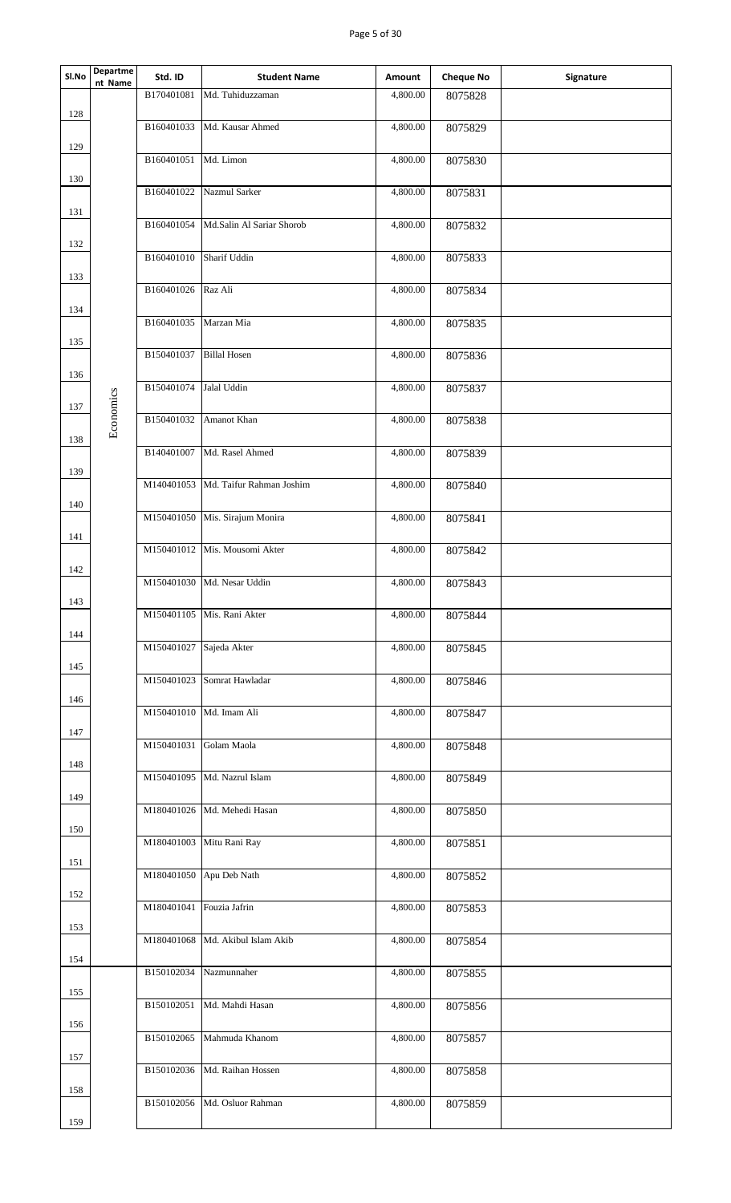| Sl.No | Departme<br>nt Name | Std. ID                  | <b>Student Name</b>              | Amount                | <b>Cheque No</b> | Signature |
|-------|---------------------|--------------------------|----------------------------------|-----------------------|------------------|-----------|
|       |                     | B170401081               | Md. Tuhiduzzaman                 | 4,800.00              | 8075828          |           |
| 128   |                     | B160401033               | Md. Kausar Ahmed                 | 4,800.00              | 8075829          |           |
| 129   |                     | B160401051 Md. Limon     |                                  | 4,800.00              | 8075830          |           |
| 130   |                     |                          |                                  |                       |                  |           |
|       |                     | B160401022               | Nazmul Sarker                    | 4,800.00              | 8075831          |           |
| 131   |                     | B160401054               | Md.Salin Al Sariar Shorob        | 4,800.00              | 8075832          |           |
| 132   |                     |                          |                                  |                       |                  |           |
|       |                     | B160401010               | Sharif Uddin                     | 4,800.00              | 8075833          |           |
| 133   |                     | B160401026 Raz Ali       |                                  | 4,800.00              | 8075834          |           |
| 134   |                     |                          |                                  |                       |                  |           |
|       |                     | B160401035               | Marzan Mia                       | 4,800.00              | 8075835          |           |
| 135   |                     | B150401037               | <b>Billal Hosen</b>              | 4,800.00              | 8075836          |           |
| 136   |                     |                          |                                  |                       |                  |           |
|       |                     | B150401074               | Jalal Uddin                      | 4,800.00              | 8075837          |           |
| 137   | Economics           | B150401032               | Amanot Khan                      | 4,800.00              | 8075838          |           |
| 138   |                     |                          |                                  |                       |                  |           |
|       |                     |                          | B140401007 Md. Rasel Ahmed       | 4,800.00              | 8075839          |           |
| 139   |                     | M140401053               | Md. Taifur Rahman Joshim         | 4,800.00              | 8075840          |           |
| 140   |                     |                          |                                  |                       |                  |           |
|       |                     |                          | M150401050 Mis. Sirajum Monira   | 4,800.00              | 8075841          |           |
| 141   |                     |                          | M150401012 Mis. Mousomi Akter    | 4,800.00              | 8075842          |           |
| 142   |                     |                          |                                  |                       |                  |           |
|       |                     | M150401030               | Md. Nesar Uddin                  | 4,800.00              | 8075843          |           |
| 143   |                     | M150401105               | Mis. Rani Akter                  | 4,800.00              | 8075844          |           |
| 144   |                     | M150401027               |                                  |                       |                  |           |
| 145   |                     |                          | Sajeda Akter                     | 4,800.00              | 8075845          |           |
|       |                     | M150401023               | Somrat Hawladar                  | 4,800.00              | 8075846          |           |
| 146   |                     | M150401010 Md. Imam Ali  |                                  |                       |                  |           |
| 147   |                     |                          |                                  | 4,800.00              | 8075847          |           |
|       |                     | M150401031               | Golam Maola                      | 4,800.00              | 8075848          |           |
| 148   |                     |                          | M150401095 Md. Nazrul Islam      | 4,800.00              |                  |           |
| 149   |                     |                          |                                  |                       | 8075849          |           |
|       |                     |                          | M180401026 Md. Mehedi Hasan      | 4,800.00              | 8075850          |           |
| 150   |                     |                          | M180401003 Mitu Rani Ray         | 4,800.00              | 8075851          |           |
| 151   |                     |                          |                                  |                       |                  |           |
|       |                     |                          | M180401050 Apu Deb Nath          | 4,800.00              | 8075852          |           |
| 152   |                     | M180401041 Fouzia Jafrin |                                  | 4,800.00              | 8075853          |           |
| 153   |                     |                          |                                  |                       |                  |           |
|       |                     |                          | M180401068 Md. Akibul Islam Akib | 4,800.00              | 8075854          |           |
| 154   |                     | B150102034               | Nazmunnaher                      | 4,800.00              | 8075855          |           |
| 155   |                     |                          |                                  |                       |                  |           |
|       |                     | B150102051               | Md. Mahdi Hasan                  | 4,800.00              | 8075856          |           |
| 156   |                     | B150102065               | Mahmuda Khanom                   | $\overline{4,800.00}$ | 8075857          |           |
| 157   |                     |                          |                                  |                       |                  |           |
|       |                     | B150102036               | Md. Raihan Hossen                | 4,800.00              | 8075858          |           |
| 158   |                     | B150102056               | Md. Osluor Rahman                | 4,800.00              | 8075859          |           |
| 159   |                     |                          |                                  |                       |                  |           |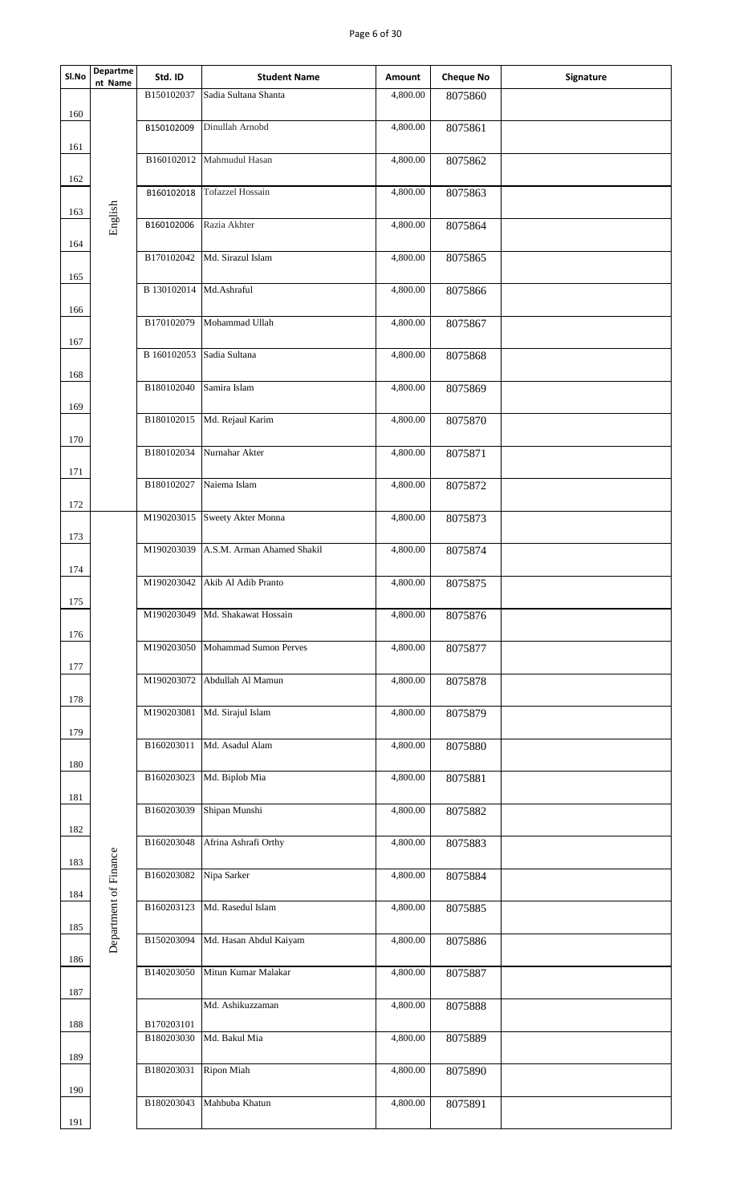## Page 6 of 30

| Sl.No | <b>Departme</b><br>nt Name | Std. ID     | <b>Student Name</b>           | Amount   | <b>Cheque No</b> | Signature |
|-------|----------------------------|-------------|-------------------------------|----------|------------------|-----------|
|       |                            | B150102037  | Sadia Sultana Shanta          | 4,800.00 | 8075860          |           |
| 160   |                            | B150102009  | Dinullah Arnobd               | 4,800.00 | 8075861          |           |
| 161   |                            | B160102012  | Mahmudul Hasan                | 4,800.00 | 8075862          |           |
| 162   |                            | B160102018  | <b>Tofazzel Hossain</b>       | 4,800.00 | 8075863          |           |
| 163   | English                    | B160102006  | Razia Akhter                  | 4,800.00 | 8075864          |           |
| 164   |                            | B170102042  | Md. Sirazul Islam             | 4,800.00 | 8075865          |           |
| 165   |                            | B 130102014 | Md.Ashraful                   | 4,800.00 | 8075866          |           |
| 166   |                            | B170102079  | Mohammad Ullah                | 4,800.00 | 8075867          |           |
| 167   |                            | B 160102053 | Sadia Sultana                 | 4,800.00 | 8075868          |           |
| 168   |                            | B180102040  | Samira Islam                  | 4,800.00 |                  |           |
| 169   |                            |             |                               |          | 8075869          |           |
| 170   |                            | B180102015  | Md. Rejaul Karim              | 4,800.00 | 8075870          |           |
| 171   |                            | B180102034  | Nurnahar Akter                | 4,800.00 | 8075871          |           |
|       |                            | B180102027  | Naiema Islam                  | 4,800.00 | 8075872          |           |
| 172   |                            |             | M190203015 Sweety Akter Monna | 4,800.00 | 8075873          |           |
| 173   |                            | M190203039  | A.S.M. Arman Ahamed Shakil    | 4,800.00 | 8075874          |           |
| 174   |                            | M190203042  | Akib Al Adib Pranto           | 4,800.00 | 8075875          |           |
| 175   |                            | M190203049  | Md. Shakawat Hossain          | 4,800.00 | 8075876          |           |
| 176   |                            |             |                               |          |                  |           |
| 177   |                            | M190203050  | <b>Mohammad Sumon Perves</b>  | 4,800.00 | 8075877          |           |
| 178   |                            | M190203072  | Abdullah Al Mamun             | 4,800.00 | 8075878          |           |
|       |                            | M190203081  | Md. Sirajul Islam             | 4,800.00 | 8075879          |           |
| 179   |                            | B160203011  | Md. Asadul Alam               | 4,800.00 | 8075880          |           |
| 180   |                            | B160203023  | Md. Biplob Mia                | 4,800.00 | 8075881          |           |
| 181   |                            | B160203039  | Shipan Munshi                 | 4,800.00 | 8075882          |           |
| 182   |                            | B160203048  | Afrina Ashrafi Orthy          | 4,800.00 | 8075883          |           |
| 183   |                            | B160203082  | Nipa Sarker                   | 4,800.00 |                  |           |
| 184   | Department of Finance      |             |                               |          | 8075884          |           |
| 185   |                            | B160203123  | Md. Rasedul Islam             | 4,800.00 | 8075885          |           |
| 186   |                            | B150203094  | Md. Hasan Abdul Kaiyam        | 4,800.00 | 8075886          |           |
| 187   |                            | B140203050  | Mitun Kumar Malakar           | 4,800.00 | 8075887          |           |
| 188   |                            | B170203101  | Md. Ashikuzzaman              | 4,800.00 | 8075888          |           |
|       |                            | B180203030  | Md. Bakul Mia                 | 4,800.00 | 8075889          |           |
| 189   |                            | B180203031  | Ripon Miah                    | 4,800.00 | 8075890          |           |
| 190   |                            | B180203043  | Mahbuba Khatun                | 4,800.00 | 8075891          |           |
| 191   |                            |             |                               |          |                  |           |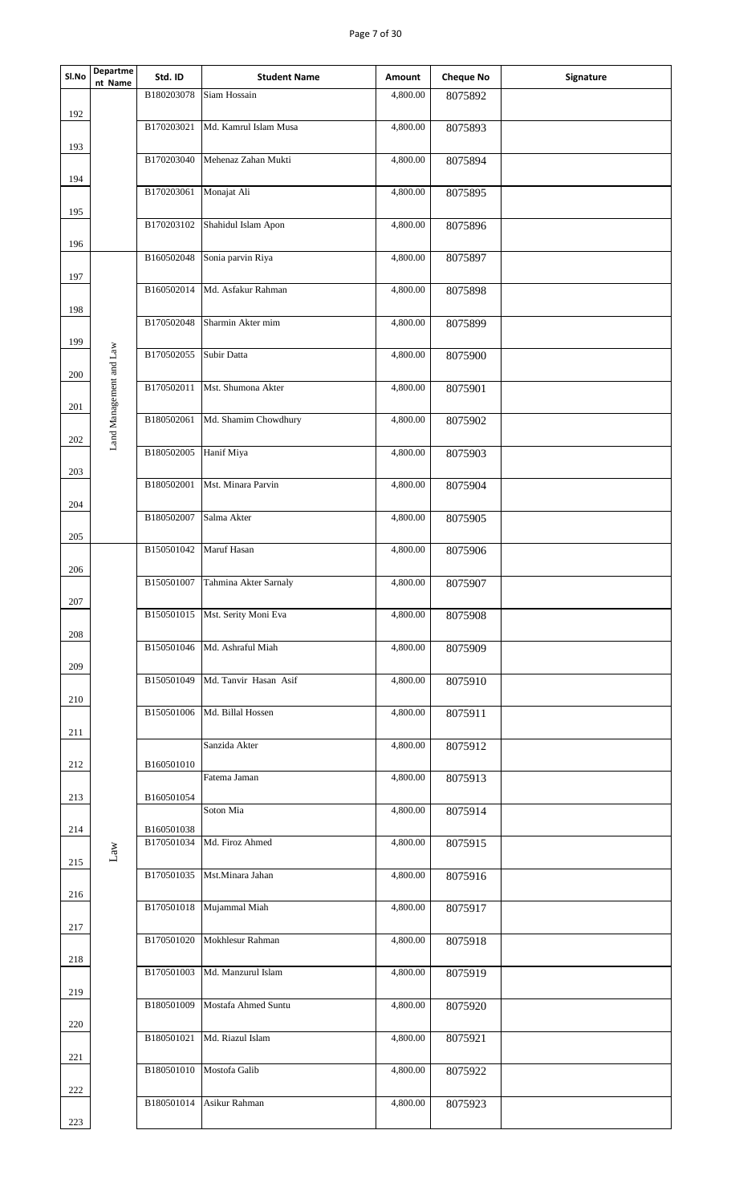## Page 7 of 30

| SI.No   | Departme<br>nt Name     | Std. ID    | <b>Student Name</b>   | Amount   | <b>Cheque No</b> | Signature |
|---------|-------------------------|------------|-----------------------|----------|------------------|-----------|
|         |                         | B180203078 | Siam Hossain          | 4,800.00 | 8075892          |           |
| 192     |                         | B170203021 | Md. Kamrul Islam Musa | 4,800.00 | 8075893          |           |
| 193     |                         | B170203040 | Mehenaz Zahan Mukti   | 4,800.00 | 8075894          |           |
| 194     |                         |            |                       |          |                  |           |
| 195     |                         | B170203061 | Monajat Ali           | 4,800.00 | 8075895          |           |
|         |                         | B170203102 | Shahidul Islam Apon   | 4,800.00 | 8075896          |           |
| 196     |                         | B160502048 | Sonia parvin Riya     | 4,800.00 | 8075897          |           |
| 197     |                         | B160502014 | Md. Asfakur Rahman    | 4,800.00 | 8075898          |           |
| 198     |                         |            |                       |          |                  |           |
| 199     |                         | B170502048 | Sharmin Akter mim     | 4,800.00 | 8075899          |           |
|         |                         | B170502055 | Subir Datta           | 4,800.00 | 8075900          |           |
| 200     | Land Management and Law | B170502011 | Mst. Shumona Akter    | 4,800.00 | 8075901          |           |
| 201     |                         | B180502061 | Md. Shamim Chowdhury  | 4,800.00 | 8075902          |           |
| 202     |                         |            |                       |          |                  |           |
| 203     |                         | B180502005 | Hanif Miya            | 4,800.00 | 8075903          |           |
|         |                         | B180502001 | Mst. Minara Parvin    | 4,800.00 | 8075904          |           |
| 204     |                         | B180502007 | Salma Akter           | 4,800.00 | 8075905          |           |
| 205     |                         |            |                       |          |                  |           |
| 206     |                         | B150501042 | Maruf Hasan           | 4,800.00 | 8075906          |           |
|         |                         | B150501007 | Tahmina Akter Sarnaly | 4,800.00 | 8075907          |           |
| $207\,$ |                         | B150501015 | Mst. Serity Moni Eva  | 4,800.00 | 8075908          |           |
| 208     |                         | B150501046 | Md. Ashraful Miah     | 4,800.00 | 8075909          |           |
| 209     |                         | B150501049 | Md. Tanvir Hasan Asif | 4,800.00 | 8075910          |           |
| 210     |                         |            |                       |          |                  |           |
| 211     |                         | B150501006 | Md. Billal Hossen     | 4,800.00 | 8075911          |           |
|         |                         |            | Sanzida Akter         | 4,800.00 | 8075912          |           |
| 212     |                         | B160501010 | Fatema Jaman          | 4,800.00 | 8075913          |           |
| 213     |                         | B160501054 | Soton Mia             | 4,800.00 | 8075914          |           |
| 214     |                         | B160501038 |                       |          |                  |           |
| 215     | $\rm Law$               | B170501034 | Md. Firoz Ahmed       | 4,800.00 | 8075915          |           |
|         |                         | B170501035 | Mst.Minara Jahan      | 4,800.00 | 8075916          |           |
| 216     |                         | B170501018 | Mujammal Miah         | 4,800.00 | 8075917          |           |
| 217     |                         | B170501020 | Mokhlesur Rahman      | 4,800.00 | 8075918          |           |
| 218     |                         |            |                       |          |                  |           |
| 219     |                         | B170501003 | Md. Manzurul Islam    | 4,800.00 | 8075919          |           |
|         |                         | B180501009 | Mostafa Ahmed Suntu   | 4,800.00 | 8075920          |           |
| 220     |                         | B180501021 | Md. Riazul Islam      | 4,800.00 | 8075921          |           |
| 221     |                         | B180501010 | Mostofa Galib         | 4,800.00 | 8075922          |           |
| 222     |                         |            |                       |          |                  |           |
| 223     |                         | B180501014 | Asikur Rahman         | 4,800.00 | 8075923          |           |
|         |                         |            |                       |          |                  |           |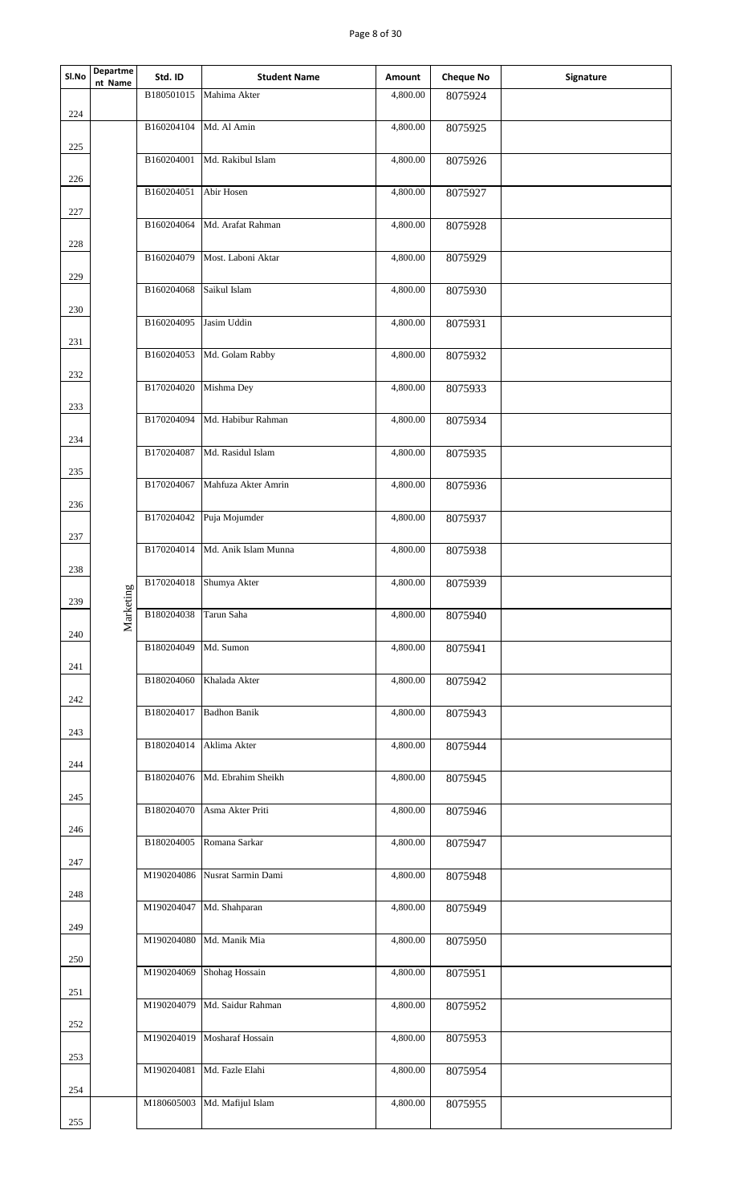| Sl.No | Departme<br>nt Name | Std. ID    | <b>Student Name</b>           | Amount   | <b>Cheque No</b> | Signature |
|-------|---------------------|------------|-------------------------------|----------|------------------|-----------|
| 224   |                     | B180501015 | Mahima Akter                  | 4,800.00 | 8075924          |           |
| 225   |                     | B160204104 | Md. Al Amin                   | 4,800.00 | 8075925          |           |
|       |                     |            | B160204001 Md. Rakibul Islam  | 4,800.00 | 8075926          |           |
| 226   |                     | B160204051 | Abir Hosen                    | 4,800.00 | 8075927          |           |
| 227   |                     | B160204064 | Md. Arafat Rahman             | 4,800.00 | 8075928          |           |
| 228   |                     | B160204079 | Most. Laboni Aktar            | 4,800.00 | 8075929          |           |
| 229   |                     | B160204068 | Saikul Islam                  | 4,800.00 | 8075930          |           |
| 230   |                     | B160204095 | Jasim Uddin                   | 4,800.00 | 8075931          |           |
| 231   |                     | B160204053 | Md. Golam Rabby               | 4,800.00 | 8075932          |           |
| 232   |                     | B170204020 | Mishma Dey                    | 4,800.00 | 8075933          |           |
| 233   |                     | B170204094 | Md. Habibur Rahman            | 4,800.00 | 8075934          |           |
| 234   |                     | B170204087 | Md. Rasidul Islam             | 4,800.00 | 8075935          |           |
| 235   |                     | B170204067 | Mahfuza Akter Amrin           | 4,800.00 |                  |           |
| 236   |                     |            |                               |          | 8075936          |           |
| 237   |                     |            | B170204042 Puja Mojumder      | 4,800.00 | 8075937          |           |
| 238   |                     | B170204014 | Md. Anik Islam Munna          | 4,800.00 | 8075938          |           |
| 239   | $\sin z$            | B170204018 | Shumya Akter                  | 4,800.00 | 8075939          |           |
| 240   | Market              | B180204038 | Tarun Saha                    | 4,800.00 | 8075940          |           |
| 241   |                     | B180204049 | Md. Sumon                     | 4,800.00 | 8075941          |           |
| 242   |                     | B180204060 | Khalada Akter                 | 4,800.00 | 8075942          |           |
| 243   |                     | B180204017 | <b>Badhon Banik</b>           | 4,800.00 | 8075943          |           |
|       |                     | B180204014 | Aklima Akter                  | 4,800.00 | 8075944          |           |
| 244   |                     | B180204076 | Md. Ebrahim Sheikh            | 4,800.00 | 8075945          |           |
| 245   |                     | B180204070 | Asma Akter Priti              | 4,800.00 | 8075946          |           |
| 246   |                     |            | B180204005 Romana Sarkar      | 4,800.00 | 8075947          |           |
| 247   |                     |            | M190204086 Nusrat Sarmin Dami | 4,800.00 | 8075948          |           |
| 248   |                     | M190204047 | Md. Shahparan                 | 4,800.00 | 8075949          |           |
| 249   |                     |            | M190204080 Md. Manik Mia      | 4,800.00 | 8075950          |           |
| 250   |                     | M190204069 | Shohag Hossain                | 4,800.00 | 8075951          |           |
| 251   |                     | M190204079 | Md. Saidur Rahman             | 4,800.00 | 8075952          |           |
| 252   |                     | M190204019 | Mosharaf Hossain              | 4,800.00 | 8075953          |           |
| 253   |                     | M190204081 | Md. Fazle Elahi               | 4,800.00 | 8075954          |           |
| 254   |                     | M180605003 | Md. Mafijul Islam             | 4,800.00 | 8075955          |           |
| 255   |                     |            |                               |          |                  |           |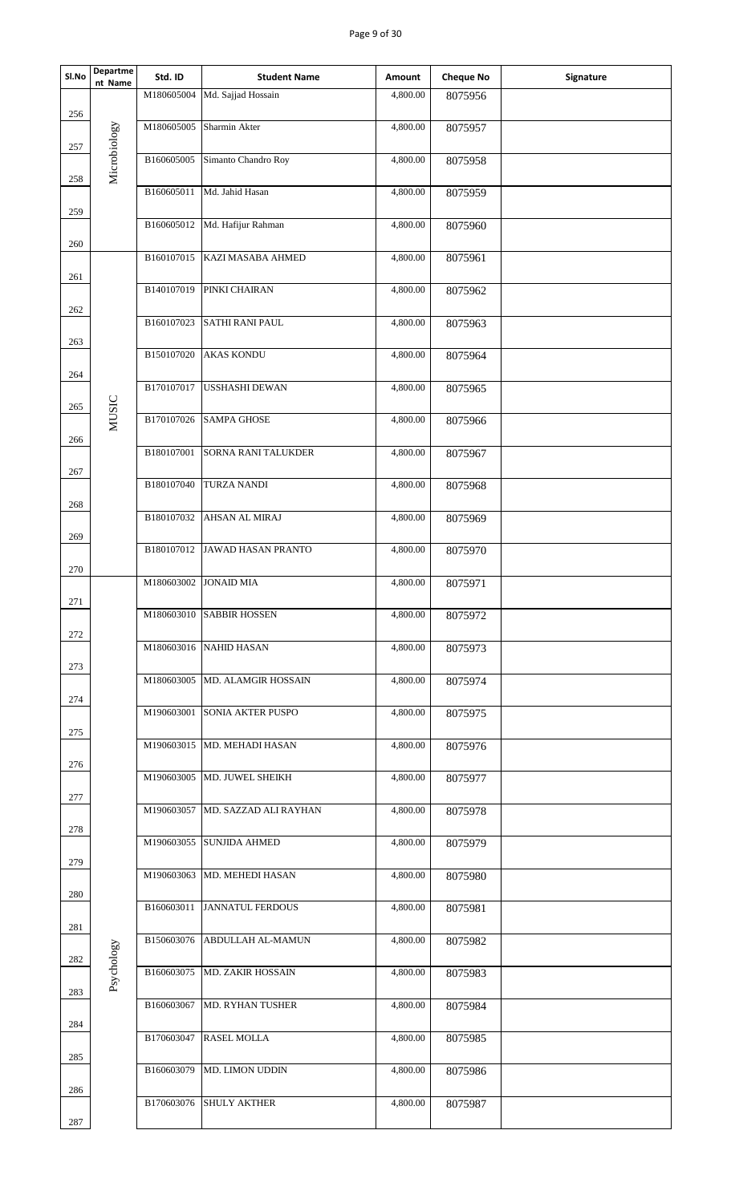## Page 9 of 30

| SI.No      | Departme<br>nt Name | Std. ID    | <b>Student Name</b>              | Amount   | <b>Cheque No</b> | Signature |
|------------|---------------------|------------|----------------------------------|----------|------------------|-----------|
|            |                     | M180605004 | Md. Sajjad Hossain               | 4,800.00 | 8075956          |           |
| 256        | Microbiology        | M180605005 | Sharmin Akter                    | 4,800.00 | 8075957          |           |
| 257        |                     | B160605005 | Simanto Chandro Roy              | 4,800.00 | 8075958          |           |
| 258        |                     | B160605011 | Md. Jahid Hasan                  | 4,800.00 | 8075959          |           |
| 259        |                     |            | B160605012 Md. Hafijur Rahman    | 4,800.00 | 8075960          |           |
| 260        |                     | B160107015 | KAZI MASABA AHMED                | 4,800.00 | 8075961          |           |
| 261        |                     |            | B140107019 PINKI CHAIRAN         | 4,800.00 |                  |           |
| 262        |                     |            |                                  |          | 8075962          |           |
|            |                     | B160107023 | <b>SATHI RANI PAUL</b>           | 4,800.00 | 8075963          |           |
| 263<br>264 |                     | B150107020 | <b>AKAS KONDU</b>                | 4,800.00 | 8075964          |           |
|            |                     | B170107017 | <b>USSHASHI DEWAN</b>            | 4,800.00 | 8075965          |           |
| 265        | <b>MUSIC</b>        |            |                                  |          |                  |           |
| 266        |                     | B170107026 | <b>SAMPA GHOSE</b>               | 4,800.00 | 8075966          |           |
| 267        |                     | B180107001 | <b>SORNA RANI TALUKDER</b>       | 4,800.00 | 8075967          |           |
|            |                     | B180107040 | <b>TURZA NANDI</b>               | 4,800.00 | 8075968          |           |
| 268        |                     | B180107032 | <b>AHSAN AL MIRAJ</b>            | 4,800.00 | 8075969          |           |
| 269        |                     |            | B180107012 JAWAD HASAN PRANTO    | 4,800.00 | 8075970          |           |
| 270        |                     | M180603002 | <b>JONAID MIA</b>                | 4,800.00 | 8075971          |           |
| 271        |                     |            |                                  |          |                  |           |
| $272\,$    |                     |            | M180603010 SABBIR HOSSEN         | 4,800.00 | 8075972          |           |
| 273        |                     |            | M180603016 NAHID HASAN           | 4,800.00 | 8075973          |           |
|            |                     |            | M180603005 MD. ALAMGIR HOSSAIN   | 4,800.00 | 8075974          |           |
| 274        |                     |            | M190603001 SONIA AKTER PUSPO     | 4,800.00 | 8075975          |           |
| 275        |                     |            | M190603015 MD. MEHADI HASAN      | 4,800.00 | 8075976          |           |
| 276        |                     |            | M190603005 MD. JUWEL SHEIKH      | 4,800.00 | 8075977          |           |
| 277        |                     |            | M190603057 MD. SAZZAD ALI RAYHAN | 4,800.00 | 8075978          |           |
| 278        |                     |            |                                  |          |                  |           |
| 279        |                     |            | M190603055 SUNJIDA AHMED         | 4,800.00 | 8075979          |           |
|            |                     |            | M190603063 MD. MEHEDI HASAN      | 4,800.00 | 8075980          |           |
| 280        |                     |            | B160603011 JANNATUL FERDOUS      | 4,800.00 | 8075981          |           |
| 281        |                     |            | B150603076 ABDULLAH AL-MAMUN     | 4,800.00 | 8075982          |           |
| 282        | Psychology          | B160603075 | <b>MD. ZAKIR HOSSAIN</b>         | 4,800.00 | 8075983          |           |
| 283        |                     | B160603067 | <b>MD. RYHAN TUSHER</b>          | 4,800.00 |                  |           |
| 284        |                     |            |                                  |          | 8075984          |           |
| 285        |                     | B170603047 | <b>RASEL MOLLA</b>               | 4,800.00 | 8075985          |           |
|            |                     | B160603079 | <b>MD. LIMON UDDIN</b>           | 4,800.00 | 8075986          |           |
| 286        |                     |            | B170603076 SHULY AKTHER          | 4,800.00 | 8075987          |           |
| 287        |                     |            |                                  |          |                  |           |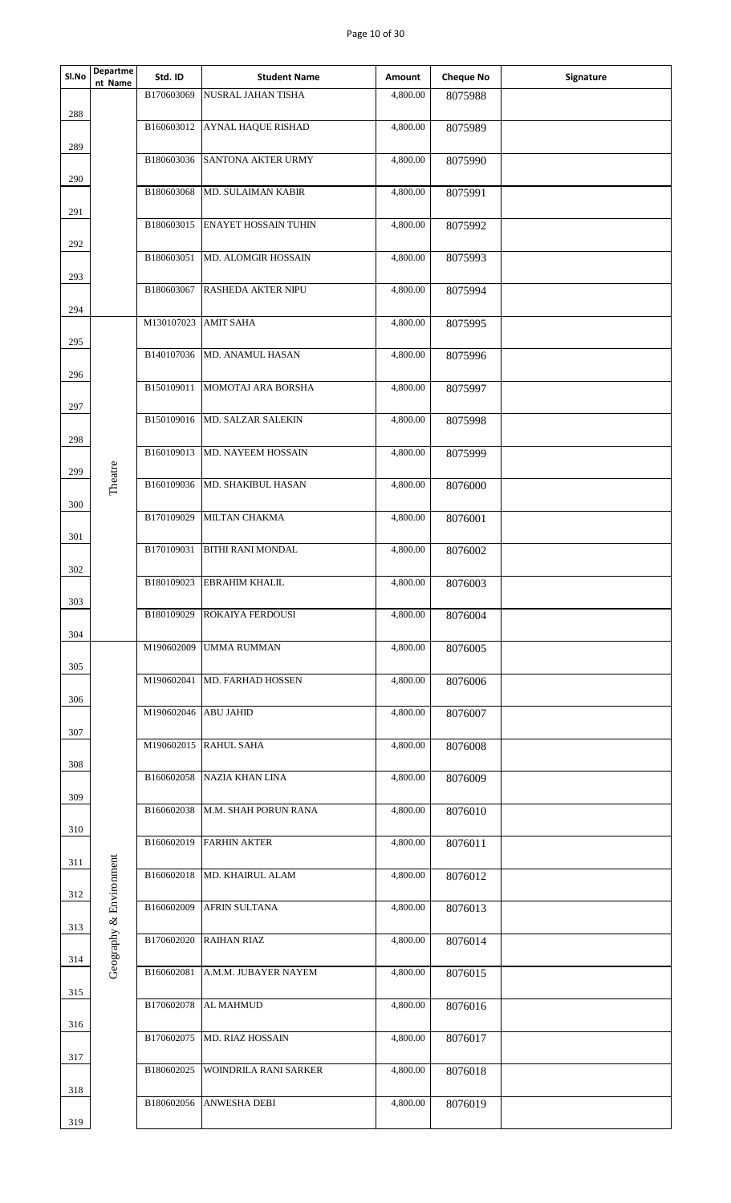## Page 10 of 30

| Sl.No      | Departme<br>nt Name     | Std. ID              | <b>Student Name</b>              | Amount   | <b>Cheque No</b> | Signature |
|------------|-------------------------|----------------------|----------------------------------|----------|------------------|-----------|
|            |                         | B170603069           | <b>NUSRAL JAHAN TISHA</b>        | 4,800.00 | 8075988          |           |
| 288        |                         |                      | B160603012 AYNAL HAQUE RISHAD    | 4,800.00 | 8075989          |           |
| 289        |                         |                      | B180603036 SANTONA AKTER URMY    | 4,800.00 | 8075990          |           |
| 290        |                         | B180603068           | MD. SULAIMAN KABIR               | 4,800.00 | 8075991          |           |
| 291        |                         |                      |                                  |          |                  |           |
| 292        |                         | B180603015           | <b>ENAYET HOSSAIN TUHIN</b>      | 4,800.00 | 8075992          |           |
|            |                         | B180603051           | MD. ALOMGIR HOSSAIN              | 4,800.00 | 8075993          |           |
| 293<br>294 |                         | B180603067           | RASHEDA AKTER NIPU               | 4,800.00 | 8075994          |           |
|            |                         | M130107023 AMIT SAHA |                                  | 4,800.00 | 8075995          |           |
| 295        |                         |                      | B140107036 MD. ANAMUL HASAN      | 4,800.00 | 8075996          |           |
| 296        |                         |                      | B150109011 MOMOTAJ ARA BORSHA    | 4,800.00 | 8075997          |           |
| 297        |                         |                      |                                  |          |                  |           |
|            |                         | B150109016           | MD. SALZAR SALEKIN               | 4,800.00 | 8075998          |           |
| 298        |                         |                      | B160109013 MD. NAYEEM HOSSAIN    | 4,800.00 |                  |           |
| 299        |                         |                      |                                  |          | 8075999          |           |
|            | Theatre                 | B160109036           | MD. SHAKIBUL HASAN               | 4,800.00 | 8076000          |           |
| 300        |                         |                      | B170109029 MILTAN CHAKMA         |          |                  |           |
| 301        |                         |                      |                                  | 4,800.00 | 8076001          |           |
|            |                         | B170109031           | <b>BITHI RANI MONDAL</b>         | 4,800.00 | 8076002          |           |
| 302        |                         |                      |                                  |          |                  |           |
| $303\,$    |                         | B180109023           | <b>EBRAHIM KHALIL</b>            | 4,800.00 | 8076003          |           |
|            |                         | B180109029           | <b>ROKAIYA FERDOUSI</b>          | 4,800.00 | 8076004          |           |
| 304        |                         |                      |                                  |          |                  |           |
| 305        |                         | M190602009           | <b>UMMA RUMMAN</b>               | 4,800.00 | 8076005          |           |
|            |                         | M190602041           | <b>MD. FARHAD HOSSEN</b>         | 4,800.00 | 8076006          |           |
| 306        |                         |                      |                                  |          |                  |           |
| 307        |                         | M190602046 ABU JAHID |                                  | 4,800.00 | 8076007          |           |
|            |                         |                      | M190602015 RAHUL SAHA            | 4,800.00 | 8076008          |           |
| 308        |                         |                      |                                  |          |                  |           |
| 309        |                         | B160602058           | NAZIA KHAN LINA                  | 4,800.00 | 8076009          |           |
|            |                         |                      | B160602038  M.M. SHAH PORUN RANA | 4,800.00 | 8076010          |           |
| 310        |                         |                      |                                  |          |                  |           |
| 311        |                         |                      | B160602019 FARHIN AKTER          | 4,800.00 | 8076011          |           |
|            |                         |                      | B160602018 MD. KHAIRUL ALAM      | 4,800.00 | 8076012          |           |
| 312        |                         |                      |                                  |          |                  |           |
| 313        |                         | B160602009           | AFRIN SULTANA                    | 4,800.00 | 8076013          |           |
|            | Geography & Environment |                      | B170602020 RAIHAN RIAZ           | 4,800.00 | 8076014          |           |
| 314        |                         |                      |                                  |          |                  |           |
|            |                         | B160602081           | A.M.M. JUBAYER NAYEM             | 4,800.00 | 8076015          |           |
| 315        |                         | B170602078           | <b>AL MAHMUD</b>                 | 4,800.00 | 8076016          |           |
| 316        |                         |                      |                                  |          |                  |           |
|            |                         | B170602075           | <b>MD. RIAZ HOSSAIN</b>          | 4,800.00 | 8076017          |           |
| 317        |                         | B180602025           | <b>WOINDRILA RANI SARKER</b>     | 4,800.00 | 8076018          |           |
| 318        |                         |                      |                                  |          |                  |           |
|            |                         | B180602056           | <b>ANWESHA DEBI</b>              | 4,800.00 | 8076019          |           |
| 319        |                         |                      |                                  |          |                  |           |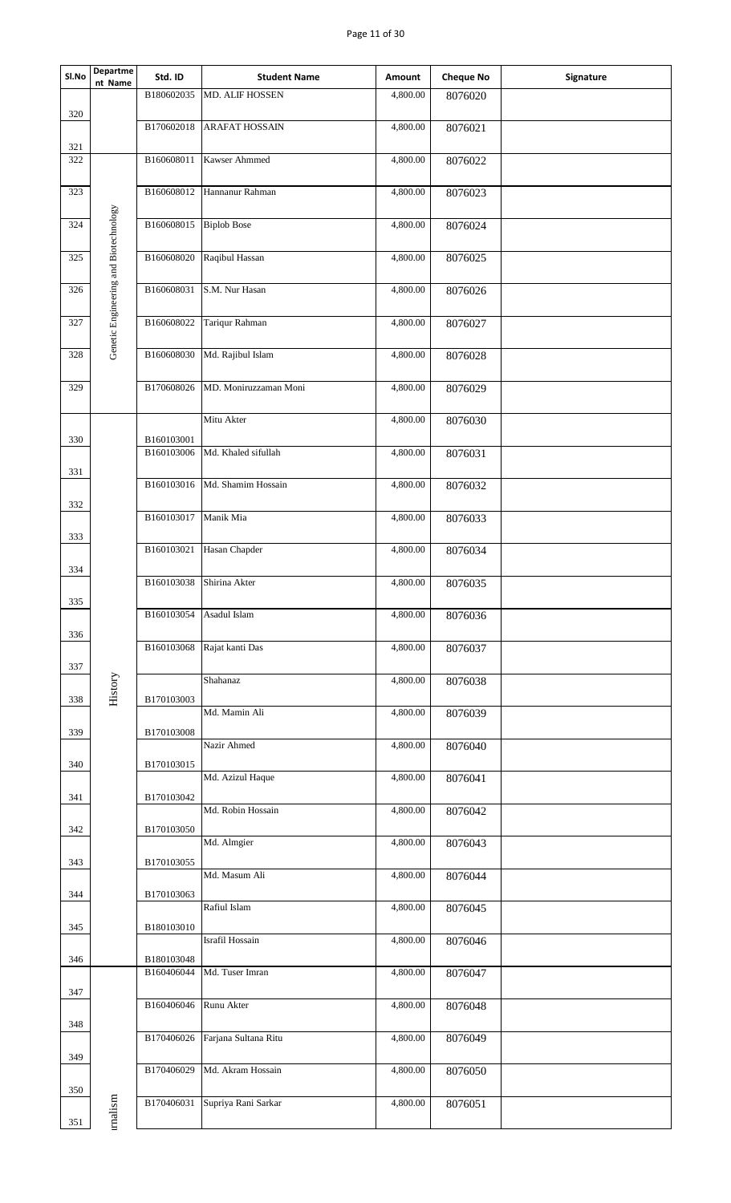## Page 11 of 30

| <b>Departme</b><br>SI.No                     | Std. ID    | <b>Student Name</b>           | Amount   | <b>Cheque No</b> | Signature |
|----------------------------------------------|------------|-------------------------------|----------|------------------|-----------|
| nt Name                                      | B180602035 | MD. ALIF HOSSEN               | 4,800.00 | 8076020          |           |
| 320                                          | B170602018 | <b>ARAFAT HOSSAIN</b>         | 4,800.00 | 8076021          |           |
| 321<br>322                                   | B160608011 | Kawser Ahmmed                 | 4,800.00 | 8076022          |           |
| 323                                          |            | B160608012 Hannanur Rahman    | 4,800.00 | 8076023          |           |
| 324                                          | B160608015 | <b>Biplob Bose</b>            | 4,800.00 | 8076024          |           |
| 325                                          | B160608020 | Raqibul Hassan                | 4,800.00 | 8076025          |           |
| Genetic Engineering and Biotechnology<br>326 | B160608031 | S.M. Nur Hasan                | 4,800.00 | 8076026          |           |
| 327                                          | B160608022 | Tariqur Rahman                | 4,800.00 | 8076027          |           |
| 328                                          |            | B160608030 Md. Rajibul Islam  | 4,800.00 | 8076028          |           |
| 329                                          | B170608026 | MD. Moniruzzaman Moni         | 4,800.00 | 8076029          |           |
| 330                                          | B160103001 | Mitu Akter                    | 4,800.00 | 8076030          |           |
| 331                                          | B160103006 | Md. Khaled sifullah           | 4,800.00 | 8076031          |           |
| 332                                          |            | B160103016 Md. Shamim Hossain | 4,800.00 | 8076032          |           |
| 333                                          | B160103017 | Manik Mia                     | 4,800.00 | 8076033          |           |
| 334                                          | B160103021 | Hasan Chapder                 | 4,800.00 | 8076034          |           |
| 335                                          | B160103038 | Shirina Akter                 | 4,800.00 | 8076035          |           |
| 336                                          | B160103054 | Asadul Islam                  | 4,800.00 | 8076036          |           |
| 337                                          | B160103068 | Rajat kanti Das               | 4,800.00 | 8076037          |           |
| History<br>338                               | B170103003 | Shahanaz                      | 4,800.00 | 8076038          |           |
| 339                                          | B170103008 | Md. Mamin Ali                 | 4,800.00 | 8076039          |           |
| 340                                          | B170103015 | Nazir Ahmed                   | 4,800.00 | 8076040          |           |
| 341                                          | B170103042 | Md. Azizul Haque              | 4,800.00 | 8076041          |           |
| 342                                          | B170103050 | Md. Robin Hossain             | 4,800.00 | 8076042          |           |
| 343                                          | B170103055 | Md. Almgier                   | 4,800.00 | 8076043          |           |
| 344                                          | B170103063 | Md. Masum Ali                 | 4,800.00 | 8076044          |           |
| 345                                          | B180103010 | Rafiul Islam                  | 4,800.00 | 8076045          |           |
| 346                                          | B180103048 | Israfil Hossain               | 4,800.00 | 8076046          |           |
| 347                                          | B160406044 | Md. Tuser Imran               | 4,800.00 | 8076047          |           |
| 348                                          | B160406046 | Runu Akter                    | 4,800.00 | 8076048          |           |
| 349                                          | B170406026 | Farjana Sultana Ritu          | 4,800.00 | 8076049          |           |
| 350                                          | B170406029 | Md. Akram Hossain             | 4,800.00 | 8076050          |           |
| malism<br>351                                | B170406031 | Supriya Rani Sarkar           | 4,800.00 | 8076051          |           |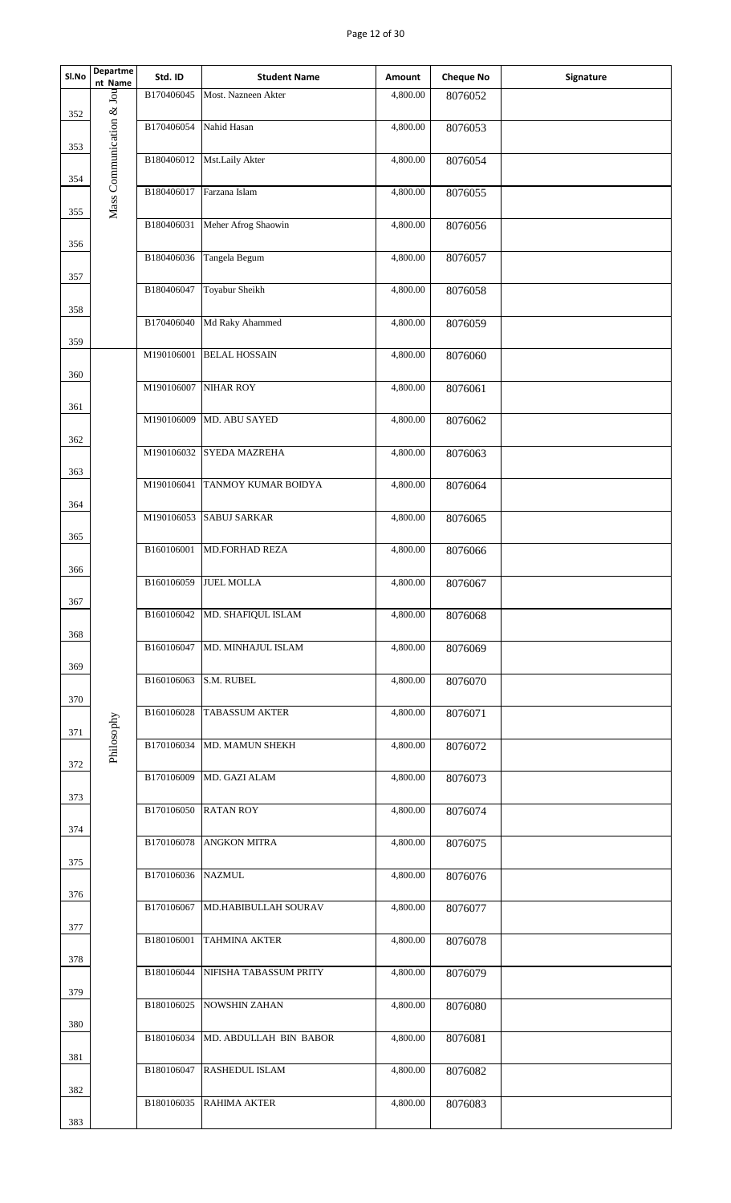## Page 12 of 30

| SI.No | Departme<br>nt Name      | Std. ID    | <b>Student Name</b>       | Amount   | <b>Cheque No</b> | Signature |
|-------|--------------------------|------------|---------------------------|----------|------------------|-----------|
|       |                          | B170406045 | Most. Nazneen Akter       | 4,800.00 | 8076052          |           |
| 352   | Mass Communication & Jou | B170406054 | Nahid Hasan               | 4,800.00 | 8076053          |           |
| 353   |                          |            |                           |          |                  |           |
| 354   |                          | B180406012 | Mst.Laily Akter           | 4,800.00 | 8076054          |           |
|       |                          | B180406017 | Farzana Islam             | 4,800.00 | 8076055          |           |
| 355   |                          | B180406031 | Meher Afrog Shaowin       | 4,800.00 | 8076056          |           |
| 356   |                          |            |                           |          |                  |           |
| 357   |                          | B180406036 | Tangela Begum             | 4,800.00 | 8076057          |           |
|       |                          | B180406047 | Toyabur Sheikh            | 4,800.00 | 8076058          |           |
| 358   |                          | B170406040 | Md Raky Ahammed           | 4,800.00 | 8076059          |           |
| 359   |                          | M190106001 | <b>BELAL HOSSAIN</b>      | 4,800.00 | 8076060          |           |
| 360   |                          |            |                           |          |                  |           |
| 361   |                          | M190106007 | <b>NIHAR ROY</b>          | 4,800.00 | 8076061          |           |
|       |                          | M190106009 | MD. ABU SAYED             | 4,800.00 | 8076062          |           |
| 362   |                          | M190106032 | SYEDA MAZREHA             | 4,800.00 | 8076063          |           |
| 363   |                          | M190106041 | TANMOY KUMAR BOIDYA       | 4,800.00 | 8076064          |           |
| 364   |                          |            |                           |          |                  |           |
|       |                          | M190106053 | <b>SABUJ SARKAR</b>       | 4,800.00 | 8076065          |           |
| 365   |                          | B160106001 | <b>MD.FORHAD REZA</b>     | 4,800.00 | 8076066          |           |
| 366   |                          | B160106059 | <b>JUEL MOLLA</b>         | 4,800.00 | 8076067          |           |
| 367   |                          |            |                           |          |                  |           |
| 368   |                          | B160106042 | MD. SHAFIQUL ISLAM        | 4,800.00 | 8076068          |           |
|       |                          | B160106047 | MD. MINHAJUL ISLAM        | 4,800.00 | 8076069          |           |
| 369   |                          | B160106063 | S.M. RUBEL                | 4,800.00 | 8076070          |           |
| 370   |                          | B160106028 | <b>TABASSUM AKTER</b>     | 4,800.00 | 8076071          |           |
| 371   | Philosophy               |            |                           |          |                  |           |
| 372   |                          | B170106034 | MD. MAMUN SHEKH           | 4,800.00 | 8076072          |           |
|       |                          | B170106009 | MD. GAZI ALAM             | 4,800.00 | 8076073          |           |
| 373   |                          | B170106050 | <b>RATAN ROY</b>          | 4,800.00 | 8076074          |           |
| 374   |                          | B170106078 | <b>ANGKON MITRA</b>       | 4,800.00 | 8076075          |           |
| 375   |                          |            |                           |          |                  |           |
| 376   |                          | B170106036 | <b>NAZMUL</b>             | 4,800.00 | 8076076          |           |
|       |                          | B170106067 | MD.HABIBULLAH SOURAV      | 4,800.00 | 8076077          |           |
| 377   |                          | B180106001 | <b>TAHMINA AKTER</b>      | 4,800.00 | 8076078          |           |
| 378   |                          | B180106044 | NIFISHA TABASSUM PRITY    | 4,800.00 | 8076079          |           |
| 379   |                          |            |                           |          |                  |           |
| 380   |                          | B180106025 | <b>NOWSHIN ZAHAN</b>      | 4,800.00 | 8076080          |           |
|       |                          | B180106034 | MD. ABDULLAH BIN BABOR    | 4,800.00 | 8076081          |           |
| 381   |                          |            | B180106047 RASHEDUL ISLAM | 4,800.00 | 8076082          |           |
| 382   |                          | B180106035 | <b>RAHIMA AKTER</b>       | 4,800.00 | 8076083          |           |
| 383   |                          |            |                           |          |                  |           |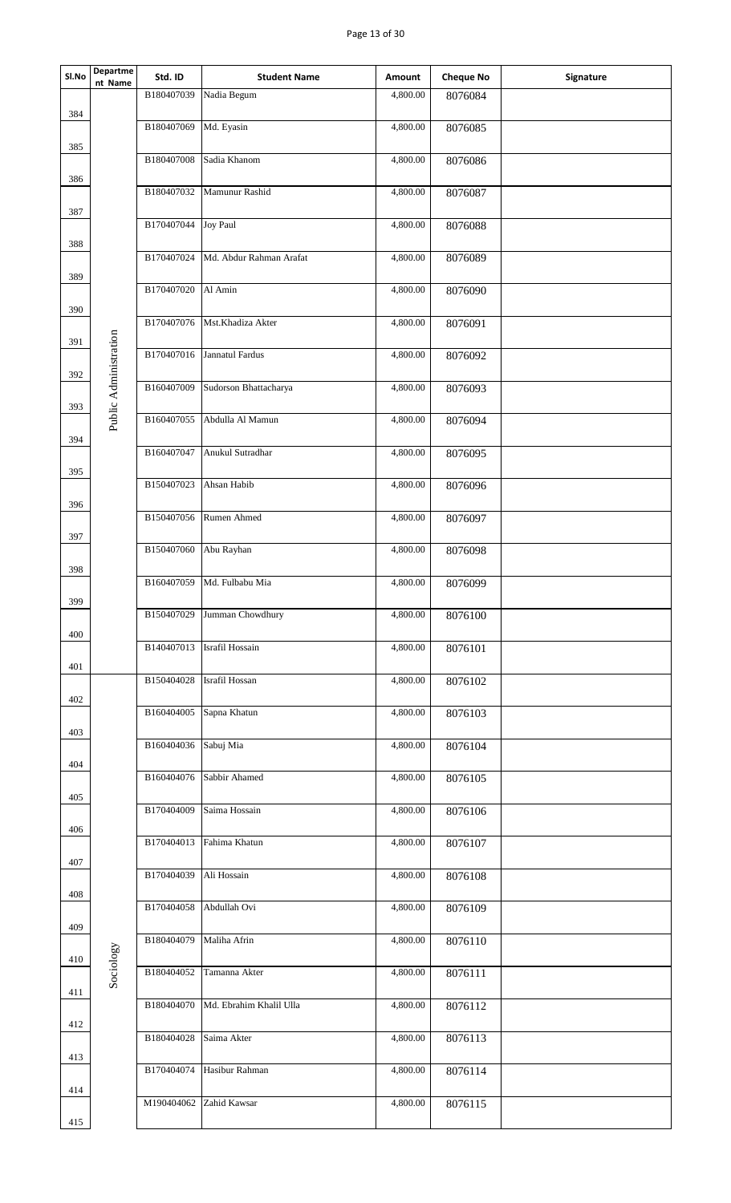## Page 13 of 30

| Sl.No | Departme<br>nt Name   | Std. ID                 | <b>Student Name</b>     | Amount   | <b>Cheque No</b> | Signature |
|-------|-----------------------|-------------------------|-------------------------|----------|------------------|-----------|
| 384   |                       | B180407039              | Nadia Begum             | 4,800.00 | 8076084          |           |
| 385   |                       | B180407069              | Md. Eyasin              | 4,800.00 | 8076085          |           |
| 386   |                       | B180407008              | Sadia Khanom            | 4,800.00 | 8076086          |           |
|       |                       | B180407032              | Mamunur Rashid          | 4,800.00 | 8076087          |           |
| 387   |                       | B170407044              | <b>Joy Paul</b>         | 4,800.00 | 8076088          |           |
| 388   |                       | B170407024              | Md. Abdur Rahman Arafat | 4,800.00 | 8076089          |           |
| 389   |                       | B170407020 Al Amin      |                         | 4,800.00 | 8076090          |           |
| 390   |                       | B170407076              | Mst.Khadiza Akter       | 4,800.00 | 8076091          |           |
| 391   |                       | B170407016              | Jannatul Fardus         | 4,800.00 | 8076092          |           |
| 392   | Public Administration | B160407009              | Sudorson Bhattacharya   | 4,800.00 | 8076093          |           |
| 393   |                       | B160407055              | Abdulla Al Mamun        | 4,800.00 | 8076094          |           |
| 394   |                       | B160407047              | Anukul Sutradhar        | 4,800.00 | 8076095          |           |
| 395   |                       | B150407023              | Ahsan Habib             | 4,800.00 | 8076096          |           |
| 396   |                       | B150407056              | Rumen Ahmed             | 4,800.00 | 8076097          |           |
| 397   |                       | B150407060              | Abu Rayhan              | 4,800.00 | 8076098          |           |
| 398   |                       | B160407059              | Md. Fulbabu Mia         | 4,800.00 | 8076099          |           |
| 399   |                       | B150407029              | Jumman Chowdhury        | 4,800.00 | 8076100          |           |
| 400   |                       |                         |                         |          |                  |           |
| 401   |                       | B140407013              | Israfil Hossain         | 4,800.00 | 8076101          |           |
| 402   |                       | B150404028              | Israfil Hossan          | 4,800.00 | 8076102          |           |
| 403   |                       | B160404005              | Sapna Khatun            | 4,800.00 | 8076103          |           |
| 404   |                       | B160404036              | Sabuj Mia               | 4,800.00 | 8076104          |           |
| 405   |                       | B160404076              | Sabbir Ahamed           | 4,800.00 | 8076105          |           |
| 406   |                       | B170404009              | Saima Hossain           | 4,800.00 | 8076106          |           |
| 407   |                       | B170404013              | Fahima Khatun           | 4,800.00 | 8076107          |           |
| 408   |                       | B170404039              | Ali Hossain             | 4,800.00 | 8076108          |           |
| 409   |                       | B170404058              | Abdullah Ovi            | 4,800.00 | 8076109          |           |
| 410   |                       | B180404079 Maliha Afrin |                         | 4,800.00 | 8076110          |           |
| 411   | Sociology             | B180404052              | Tamanna Akter           | 4,800.00 | 8076111          |           |
| 412   |                       | B180404070              | Md. Ebrahim Khalil Ulla | 4,800.00 | 8076112          |           |
| 413   |                       | B180404028              | Saima Akter             | 4,800.00 | 8076113          |           |
|       |                       | B170404074              | Hasibur Rahman          | 4,800.00 | 8076114          |           |
| 414   |                       | M190404062              | Zahid Kawsar            | 4,800.00 | 8076115          |           |
| 415   |                       |                         |                         |          |                  |           |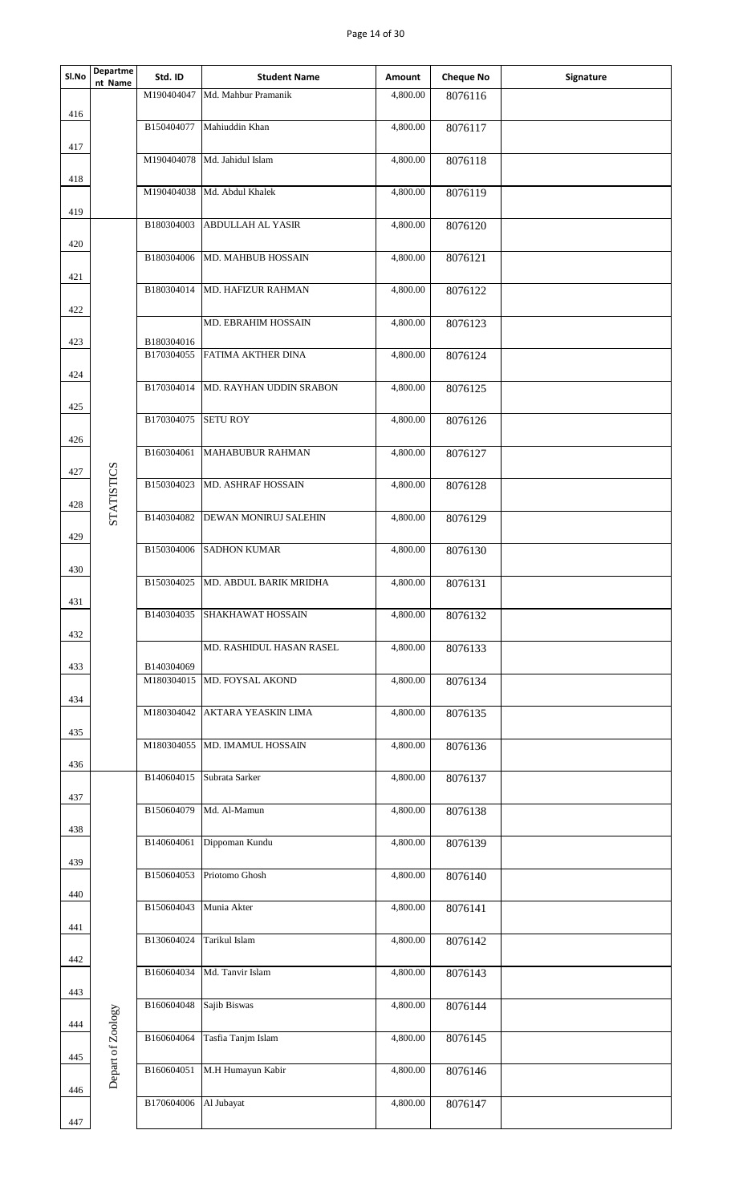| Sl.No | Departme<br>nt Name | Std. ID    | <b>Student Name</b>                | Amount   | <b>Cheque No</b> | Signature |
|-------|---------------------|------------|------------------------------------|----------|------------------|-----------|
|       |                     |            | M190404047 Md. Mahbur Pramanik     | 4,800.00 | 8076116          |           |
| 416   |                     |            |                                    |          |                  |           |
|       |                     | B150404077 | Mahiuddin Khan                     | 4,800.00 | 8076117          |           |
| 417   |                     |            | M190404078 Md. Jahidul Islam       | 4,800.00 |                  |           |
|       |                     |            |                                    |          | 8076118          |           |
| 418   |                     | M190404038 | Md. Abdul Khalek                   | 4,800.00 | 8076119          |           |
| 419   |                     |            |                                    |          |                  |           |
|       |                     | B180304003 | ABDULLAH AL YASIR                  | 4,800.00 | 8076120          |           |
| 420   |                     |            |                                    |          |                  |           |
|       |                     | B180304006 | MD. MAHBUB HOSSAIN                 | 4,800.00 | 8076121          |           |
| 421   |                     | B180304014 | MD. HAFIZUR RAHMAN                 | 4,800.00 |                  |           |
|       |                     |            |                                    |          | 8076122          |           |
| 422   |                     |            | MD. EBRAHIM HOSSAIN                | 4,800.00 | 8076123          |           |
| 423   |                     | B180304016 |                                    |          |                  |           |
|       |                     | B170304055 | FATIMA AKTHER DINA                 | 4,800.00 | 8076124          |           |
| 424   |                     |            |                                    |          |                  |           |
|       |                     |            | B170304014 MD. RAYHAN UDDIN SRABON | 4,800.00 | 8076125          |           |
| 425   |                     | B170304075 | <b>SETU ROY</b>                    | 4,800.00 | 8076126          |           |
| 426   |                     |            |                                    |          |                  |           |
|       |                     | B160304061 | MAHABUBUR RAHMAN                   | 4,800.00 | 8076127          |           |
| 427   |                     |            |                                    |          |                  |           |
|       | STATISTICS          | B150304023 | MD. ASHRAF HOSSAIN                 | 4,800.00 | 8076128          |           |
| 428   |                     |            | B140304082 DEWAN MONIRUJ SALEHIN   | 4,800.00 |                  |           |
|       |                     |            |                                    |          | 8076129          |           |
| 429   |                     | B150304006 | <b>SADHON KUMAR</b>                | 4,800.00 | 8076130          |           |
| 430   |                     |            |                                    |          |                  |           |
|       |                     | B150304025 | MD. ABDUL BARIK MRIDHA             | 4,800.00 | 8076131          |           |
| 431   |                     |            |                                    |          |                  |           |
|       |                     | B140304035 | SHAKHAWAT HOSSAIN                  | 4,800.00 | 8076132          |           |
| 432   |                     |            | MD. RASHIDUL HASAN RASEL           | 4,800.00 | 8076133          |           |
| 433   |                     | B140304069 |                                    |          |                  |           |
|       |                     |            | M180304015 MD. FOYSAL AKOND        | 4,800.00 | 8076134          |           |
| 434   |                     |            |                                    |          |                  |           |
|       |                     | M180304042 | AKTARA YEASKIN LIMA                | 4,800.00 | 8076135          |           |
| 435   |                     | M180304055 | MD. IMAMUL HOSSAIN                 | 4,800.00 | 8076136          |           |
| 436   |                     |            |                                    |          |                  |           |
|       |                     | B140604015 | Subrata Sarker                     | 4,800.00 | 8076137          |           |
| 437   |                     |            |                                    |          |                  |           |
|       |                     | B150604079 | Md. Al-Mamun                       | 4,800.00 | 8076138          |           |
| 438   |                     | B140604061 | Dippoman Kundu                     | 4,800.00 | 8076139          |           |
| 439   |                     |            |                                    |          |                  |           |
|       |                     | B150604053 | Priotomo Ghosh                     | 4,800.00 | 8076140          |           |
| 440   |                     |            |                                    |          |                  |           |
|       |                     | B150604043 | Munia Akter                        | 4,800.00 | 8076141          |           |
| 441   |                     | B130604024 | Tarikul Islam                      |          |                  |           |
|       |                     |            |                                    | 4,800.00 | 8076142          |           |
| 442   |                     | B160604034 | Md. Tanvir Islam                   | 4,800.00 | 8076143          |           |
| 443   |                     |            |                                    |          |                  |           |
|       |                     | B160604048 | Sajib Biswas                       | 4,800.00 | 8076144          |           |
| 444   |                     |            |                                    |          |                  |           |
|       |                     | B160604064 | Tasfia Tanjm Islam                 | 4,800.00 | 8076145          |           |
| 445   | Depart of Zoology   | B160604051 | M.H Humayun Kabir                  | 4,800.00 | 8076146          |           |
| 446   |                     |            |                                    |          |                  |           |
|       |                     | B170604006 | Al Jubayat                         | 4,800.00 | 8076147          |           |
| 447   |                     |            |                                    |          |                  |           |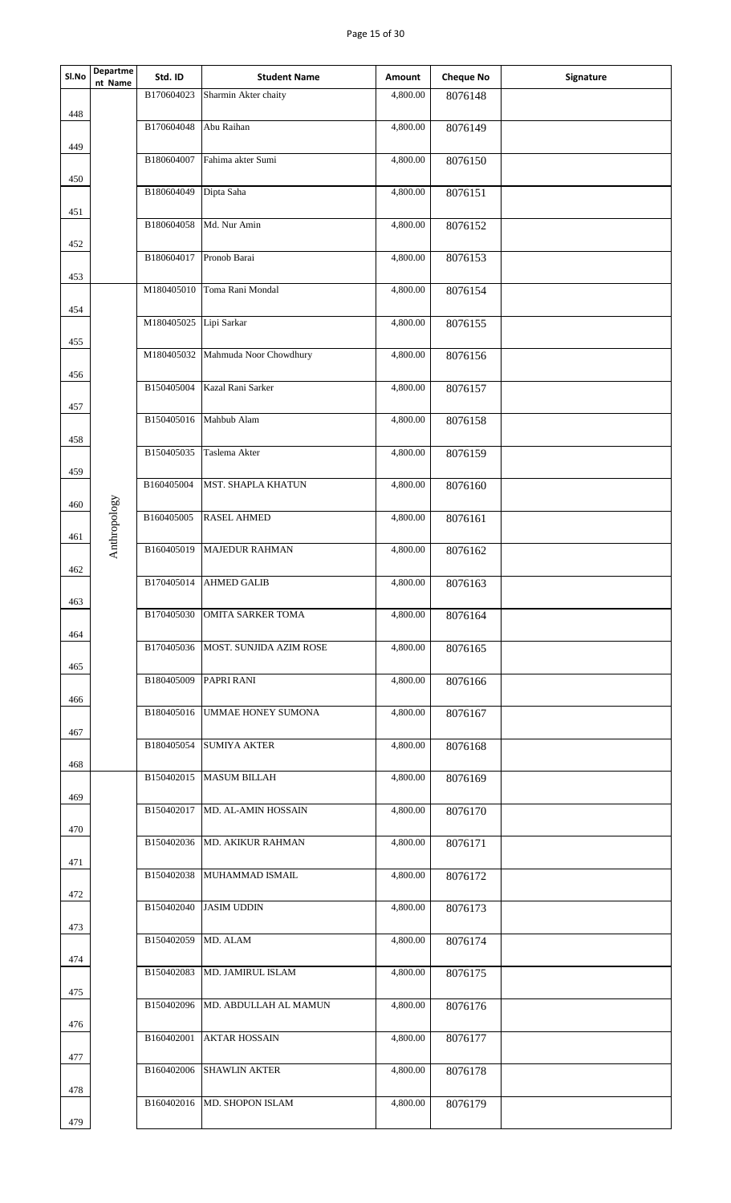## Page 15 of 30

| SI.No | Departme<br>nt Name | Std. ID                | <b>Student Name</b>               | Amount                | <b>Cheque No</b> | Signature |
|-------|---------------------|------------------------|-----------------------------------|-----------------------|------------------|-----------|
|       |                     | B170604023             | Sharmin Akter chaity              | 4,800.00              | 8076148          |           |
| 448   |                     | B170604048             | Abu Raihan                        | 4,800.00              | 8076149          |           |
| 449   |                     |                        | B180604007 Fahima akter Sumi      | 4,800.00              | 8076150          |           |
| 450   |                     |                        |                                   |                       |                  |           |
| 451   |                     | B180604049             | Dipta Saha                        | 4,800.00              | 8076151          |           |
|       |                     | B180604058             | Md. Nur Amin                      | 4,800.00              | 8076152          |           |
| 452   |                     | B180604017             | Pronob Barai                      | 4,800.00              | 8076153          |           |
| 453   |                     |                        | M180405010 Toma Rani Mondal       | 4,800.00              | 8076154          |           |
| 454   |                     | M180405025 Lipi Sarkar |                                   | 4,800.00              |                  |           |
| 455   |                     |                        |                                   |                       | 8076155          |           |
| 456   |                     |                        | M180405032 Mahmuda Noor Chowdhury | 4,800.00              | 8076156          |           |
|       |                     |                        | B150405004 Kazal Rani Sarker      | 4,800.00              | 8076157          |           |
| 457   |                     | B150405016             | Mahbub Alam                       | 4,800.00              | 8076158          |           |
| 458   |                     | B150405035             | Taslema Akter                     | 4,800.00              | 8076159          |           |
| 459   |                     |                        |                                   |                       |                  |           |
| 460   |                     | B160405004             | MST. SHAPLA KHATUN                | 4,800.00              | 8076160          |           |
|       | Anthropology        | B160405005             | <b>RASEL AHMED</b>                | 4,800.00              | 8076161          |           |
| 461   |                     | B160405019             | MAJEDUR RAHMAN                    | 4,800.00              | 8076162          |           |
| 462   |                     | B170405014             | <b>AHMED GALIB</b>                | 4,800.00              | 8076163          |           |
| 463   |                     | B170405030             | <b>OMITA SARKER TOMA</b>          | 4,800.00              | 8076164          |           |
| 464   |                     |                        |                                   |                       |                  |           |
| 465   |                     | B170405036             | MOST. SUNJIDA AZIM ROSE           | 4,800.00              | 8076165          |           |
|       |                     | B180405009             | PAPRI RANI                        | 4,800.00              | 8076166          |           |
| 466   |                     |                        | B180405016 UMMAE HONEY SUMONA     | 4,800.00              | 8076167          |           |
| 467   |                     |                        | B180405054 SUMIYA AKTER           | 4,800.00              | 8076168          |           |
| 468   |                     |                        | B150402015 MASUM BILLAH           | 4,800.00              | 8076169          |           |
| 469   |                     |                        |                                   |                       |                  |           |
| 470   |                     |                        | B150402017 MD. AL-AMIN HOSSAIN    | 4,800.00              | 8076170          |           |
|       |                     |                        | B150402036 MD. AKIKUR RAHMAN      | 4,800.00              | 8076171          |           |
| 471   |                     |                        | B150402038 MUHAMMAD ISMAIL        | 4,800.00              | 8076172          |           |
| 472   |                     |                        | B150402040 JASIM UDDIN            | 4,800.00              | 8076173          |           |
| 473   |                     |                        |                                   |                       |                  |           |
| 474   |                     | B150402059 MD. ALAM    |                                   | 4,800.00              | 8076174          |           |
| 475   |                     | B150402083             | MD. JAMIRUL ISLAM                 | 4,800.00              | 8076175          |           |
|       |                     | B150402096             | MD. ABDULLAH AL MAMUN             | 4,800.00              | 8076176          |           |
| 476   |                     | B160402001             | <b>AKTAR HOSSAIN</b>              | $\overline{4,800.00}$ | 8076177          |           |
| 477   |                     | B160402006             | <b>SHAWLIN AKTER</b>              | 4,800.00              | 8076178          |           |
| 478   |                     |                        |                                   |                       |                  |           |
| 479   |                     |                        | B160402016 MD. SHOPON ISLAM       | 4,800.00              | 8076179          |           |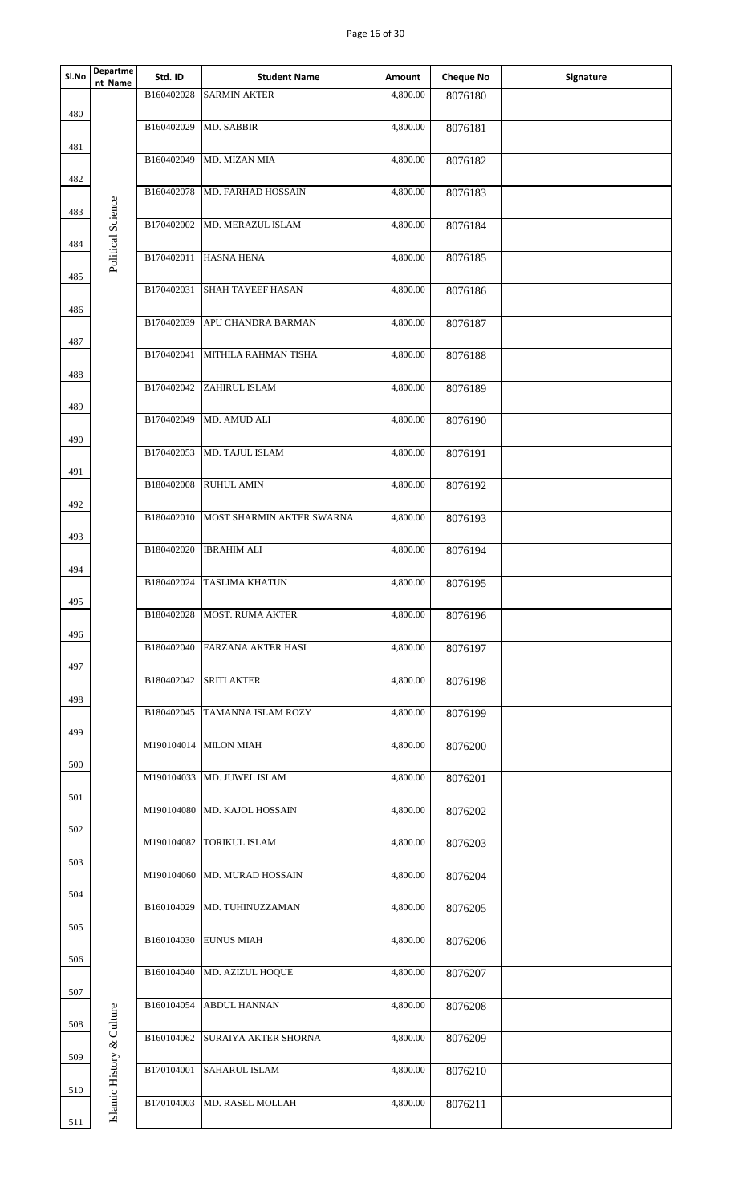## Page 16 of 30

| Sl.No | Departme<br>nt Name       | Std. ID    | <b>Student Name</b>                  | Amount   | <b>Cheque No</b> | Signature |
|-------|---------------------------|------------|--------------------------------------|----------|------------------|-----------|
|       |                           | B160402028 | <b>SARMIN AKTER</b>                  | 4,800.00 | 8076180          |           |
| 480   |                           | B160402029 | MD. SABBIR                           | 4,800.00 | 8076181          |           |
| 481   |                           | B160402049 | MD. MIZAN MIA                        | 4,800.00 | 8076182          |           |
| 482   |                           | B160402078 | MD. FARHAD HOSSAIN                   | 4,800.00 | 8076183          |           |
| 483   | Political Science         | B170402002 | MD. MERAZUL ISLAM                    | 4,800.00 | 8076184          |           |
| 484   |                           | B170402011 | <b>HASNA HENA</b>                    | 4,800.00 | 8076185          |           |
| 485   |                           | B170402031 | <b>SHAH TAYEEF HASAN</b>             | 4,800.00 | 8076186          |           |
| 486   |                           | B170402039 | APU CHANDRA BARMAN                   | 4,800.00 |                  |           |
| 487   |                           |            |                                      |          | 8076187          |           |
| 488   |                           | B170402041 | MITHILA RAHMAN TISHA                 | 4,800.00 | 8076188          |           |
| 489   |                           | B170402042 | <b>ZAHIRUL ISLAM</b>                 | 4,800.00 | 8076189          |           |
| 490   |                           | B170402049 | MD. AMUD ALI                         | 4,800.00 | 8076190          |           |
|       |                           | B170402053 | MD. TAJUL ISLAM                      | 4,800.00 | 8076191          |           |
| 491   |                           | B180402008 | <b>RUHUL AMIN</b>                    | 4,800.00 | 8076192          |           |
| 492   |                           |            | B180402010 MOST SHARMIN AKTER SWARNA | 4,800.00 | 8076193          |           |
| 493   |                           | B180402020 | <b>IBRAHIM ALI</b>                   | 4,800.00 | 8076194          |           |
| 494   |                           | B180402024 | <b>TASLIMA KHATUN</b>                | 4,800.00 | 8076195          |           |
| 495   |                           |            |                                      |          |                  |           |
| 496   |                           | B180402028 | <b>MOST. RUMA AKTER</b>              | 4,800.00 | 8076196          |           |
| 497   |                           |            | B180402040 FARZANA AKTER HASI        | 4,800.00 | 8076197          |           |
| 498   |                           | B180402042 | <b>SRITI AKTER</b>                   | 4,800.00 | 8076198          |           |
|       |                           |            | B180402045 TAMANNA ISLAM ROZY        | 4,800.00 | 8076199          |           |
| 499   |                           |            | M190104014 MILON MIAH                | 4,800.00 | 8076200          |           |
| 500   |                           |            | M190104033 MD. JUWEL ISLAM           | 4,800.00 | 8076201          |           |
| 501   |                           |            | M190104080 MD. KAJOL HOSSAIN         | 4,800.00 | 8076202          |           |
| 502   |                           |            | M190104082 TORIKUL ISLAM             | 4,800.00 | 8076203          |           |
| 503   |                           |            | M190104060 MD. MURAD HOSSAIN         | 4,800.00 | 8076204          |           |
| 504   |                           | B160104029 | MD. TUHINUZZAMAN                     | 4,800.00 | 8076205          |           |
| 505   |                           |            |                                      |          |                  |           |
| 506   |                           |            | B160104030 EUNUS MIAH                | 4,800.00 | 8076206          |           |
| 507   |                           | B160104040 | MD. AZIZUL HOQUE                     | 4,800.00 | 8076207          |           |
| 508   |                           | B160104054 | <b>ABDUL HANNAN</b>                  | 4,800.00 | 8076208          |           |
| 509   |                           | B160104062 | <b>SURAIYA AKTER SHORNA</b>          | 4,800.00 | 8076209          |           |
|       | Islamic History & Culture | B170104001 | <b>SAHARUL ISLAM</b>                 | 4,800.00 | 8076210          |           |
| 510   |                           | B170104003 | MD. RASEL MOLLAH                     | 4,800.00 | 8076211          |           |
| 511   |                           |            |                                      |          |                  |           |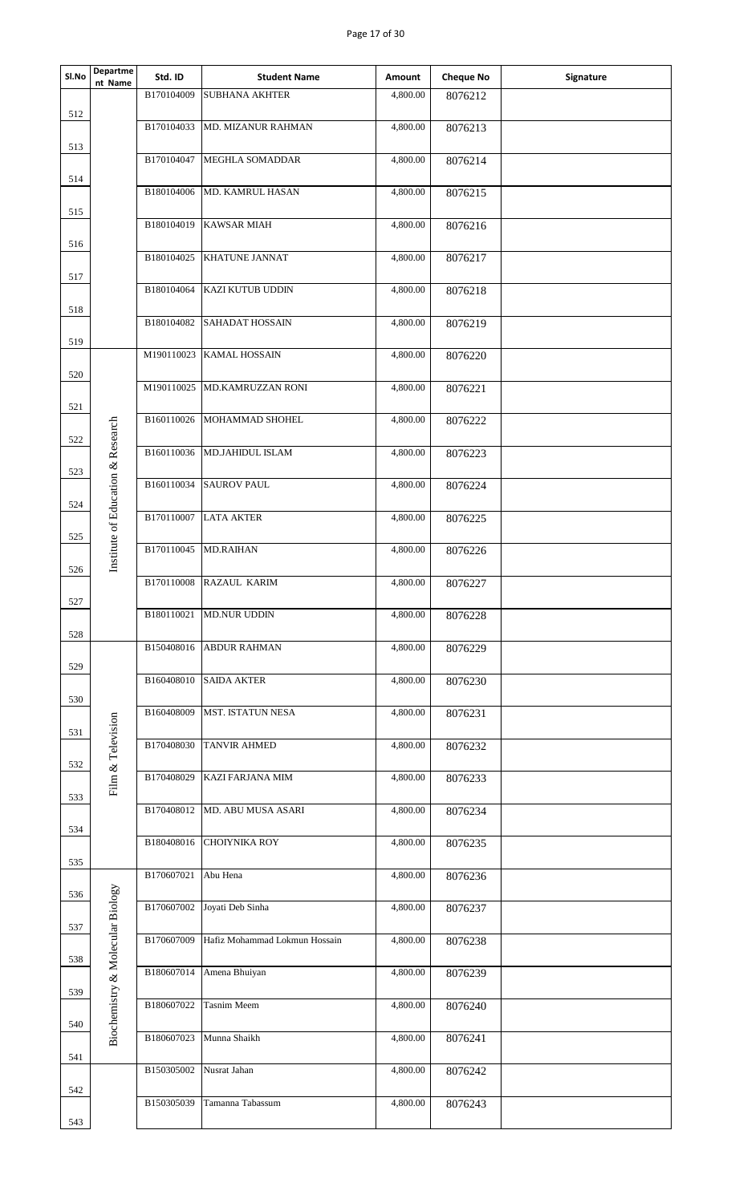| Page 17 of 30<br><b>Departme</b><br>SI.No<br>Std. ID<br><b>Cheque No</b><br><b>Student Name</b><br>Amount<br>Signature<br>nt Name<br>B170104009<br><b>SUBHANA AKHTER</b><br>4,800.00<br>8076212<br>512<br>B170104033<br><b>MD. MIZANUR RAHMAN</b><br>4,800.00<br>8076213<br>513<br>B170104047<br><b>MEGHLA SOMADDAR</b><br>4,800.00<br>8076214<br>514<br>4,800.00<br>B180104006<br><b>MD. KAMRUL HASAN</b><br>8076215<br>515<br>B180104019<br><b>KAWSAR MIAH</b><br>4,800.00<br>8076216<br>516<br><b>KHATUNE JANNAT</b><br>B180104025<br>4,800.00<br>8076217<br>517<br>B180104064<br><b>KAZI KUTUB UDDIN</b><br>4,800.00<br>8076218<br>518<br>B180104082<br><b>SAHADAT HOSSAIN</b><br>4,800.00<br>8076219<br>519<br>M190110023<br><b>KAMAL HOSSAIN</b><br>4,800.00<br>8076220<br>520<br>M190110025 MD.KAMRUZZAN RONI<br>4,800.00<br>8076221<br>521<br>B160110026<br>4,800.00<br>MOHAMMAD SHOHEL<br>8076222<br>Institute of Education & Research<br>522<br>B160110036<br>MD.JAHIDUL ISLAM<br>4,800.00<br>8076223<br>523<br>B160110034<br><b>SAUROV PAUL</b><br>4,800.00<br>8076224<br>524<br>B170110007 LATA AKTER<br>4,800.00<br>8076225<br>525<br>B170110045 MD.RAIHAN<br>4,800.00<br>8076226<br>526<br>B170110008<br>RAZAUL KARIM<br>4,800.00<br>8076227<br>527<br>B180110021<br>4,800.00<br><b>MD.NUR UDDIN</b><br>8076228<br>528<br>B150408016<br><b>ABDUR RAHMAN</b><br>4,800.00<br>8076229<br>529<br><b>B160408010 SAIDA AKTER</b><br>4,800.00<br>8076230<br>530<br>B160408009<br><b>MST. ISTATUN NESA</b><br>4,800.00<br>8076231<br>Film & Television<br>531<br>B170408030<br><b>TANVIR AHMED</b><br>4,800.00<br>8076232<br>532<br>B170408029<br>KAZI FARJANA MIM<br>4,800.00<br>8076233<br>533<br>B170408012 MD. ABU MUSA ASARI<br>4,800.00<br>8076234<br>534<br><b>CHOIYNIKA ROY</b><br>4,800.00<br>B180408016<br>8076235<br>535<br>B170607021<br>Abu Hena<br>4,800.00<br>8076236<br>iochemistry & Molecular Biology<br>536<br>B170607002<br>Joyati Deb Sinha<br>4,800.00<br>8076237<br>537<br>Hafiz Mohammad Lokmun Hossain<br>B170607009<br>4,800.00<br>8076238<br>538<br>B180607014 Amena Bhuiyan<br>4,800.00<br>8076239<br>539<br>B180607022<br><b>Tasnim Meem</b><br>4,800.00<br>8076240<br>540<br>B180607023 Munna Shaikh<br>4,800.00<br>8076241<br>$\mathbf{p}$<br>541<br>B150305002<br>4,800.00<br>8076242<br>Nusrat Jahan<br>542<br>B150305039<br>Tamanna Tabassum<br>4,800.00<br>8076243<br>543 |  |  |  |  |
|--------------------------------------------------------------------------------------------------------------------------------------------------------------------------------------------------------------------------------------------------------------------------------------------------------------------------------------------------------------------------------------------------------------------------------------------------------------------------------------------------------------------------------------------------------------------------------------------------------------------------------------------------------------------------------------------------------------------------------------------------------------------------------------------------------------------------------------------------------------------------------------------------------------------------------------------------------------------------------------------------------------------------------------------------------------------------------------------------------------------------------------------------------------------------------------------------------------------------------------------------------------------------------------------------------------------------------------------------------------------------------------------------------------------------------------------------------------------------------------------------------------------------------------------------------------------------------------------------------------------------------------------------------------------------------------------------------------------------------------------------------------------------------------------------------------------------------------------------------------------------------------------------------------------------------------------------------------------------------------------------------------------------------------------------------------------------------------------------------------------------------------------------------------------------------------------------------------------------------------------------------------------------------------------------------------------------------------------------------------------------------------------------------------------|--|--|--|--|
|                                                                                                                                                                                                                                                                                                                                                                                                                                                                                                                                                                                                                                                                                                                                                                                                                                                                                                                                                                                                                                                                                                                                                                                                                                                                                                                                                                                                                                                                                                                                                                                                                                                                                                                                                                                                                                                                                                                                                                                                                                                                                                                                                                                                                                                                                                                                                                                                                    |  |  |  |  |
|                                                                                                                                                                                                                                                                                                                                                                                                                                                                                                                                                                                                                                                                                                                                                                                                                                                                                                                                                                                                                                                                                                                                                                                                                                                                                                                                                                                                                                                                                                                                                                                                                                                                                                                                                                                                                                                                                                                                                                                                                                                                                                                                                                                                                                                                                                                                                                                                                    |  |  |  |  |
|                                                                                                                                                                                                                                                                                                                                                                                                                                                                                                                                                                                                                                                                                                                                                                                                                                                                                                                                                                                                                                                                                                                                                                                                                                                                                                                                                                                                                                                                                                                                                                                                                                                                                                                                                                                                                                                                                                                                                                                                                                                                                                                                                                                                                                                                                                                                                                                                                    |  |  |  |  |
|                                                                                                                                                                                                                                                                                                                                                                                                                                                                                                                                                                                                                                                                                                                                                                                                                                                                                                                                                                                                                                                                                                                                                                                                                                                                                                                                                                                                                                                                                                                                                                                                                                                                                                                                                                                                                                                                                                                                                                                                                                                                                                                                                                                                                                                                                                                                                                                                                    |  |  |  |  |
|                                                                                                                                                                                                                                                                                                                                                                                                                                                                                                                                                                                                                                                                                                                                                                                                                                                                                                                                                                                                                                                                                                                                                                                                                                                                                                                                                                                                                                                                                                                                                                                                                                                                                                                                                                                                                                                                                                                                                                                                                                                                                                                                                                                                                                                                                                                                                                                                                    |  |  |  |  |
|                                                                                                                                                                                                                                                                                                                                                                                                                                                                                                                                                                                                                                                                                                                                                                                                                                                                                                                                                                                                                                                                                                                                                                                                                                                                                                                                                                                                                                                                                                                                                                                                                                                                                                                                                                                                                                                                                                                                                                                                                                                                                                                                                                                                                                                                                                                                                                                                                    |  |  |  |  |
|                                                                                                                                                                                                                                                                                                                                                                                                                                                                                                                                                                                                                                                                                                                                                                                                                                                                                                                                                                                                                                                                                                                                                                                                                                                                                                                                                                                                                                                                                                                                                                                                                                                                                                                                                                                                                                                                                                                                                                                                                                                                                                                                                                                                                                                                                                                                                                                                                    |  |  |  |  |
|                                                                                                                                                                                                                                                                                                                                                                                                                                                                                                                                                                                                                                                                                                                                                                                                                                                                                                                                                                                                                                                                                                                                                                                                                                                                                                                                                                                                                                                                                                                                                                                                                                                                                                                                                                                                                                                                                                                                                                                                                                                                                                                                                                                                                                                                                                                                                                                                                    |  |  |  |  |
|                                                                                                                                                                                                                                                                                                                                                                                                                                                                                                                                                                                                                                                                                                                                                                                                                                                                                                                                                                                                                                                                                                                                                                                                                                                                                                                                                                                                                                                                                                                                                                                                                                                                                                                                                                                                                                                                                                                                                                                                                                                                                                                                                                                                                                                                                                                                                                                                                    |  |  |  |  |
|                                                                                                                                                                                                                                                                                                                                                                                                                                                                                                                                                                                                                                                                                                                                                                                                                                                                                                                                                                                                                                                                                                                                                                                                                                                                                                                                                                                                                                                                                                                                                                                                                                                                                                                                                                                                                                                                                                                                                                                                                                                                                                                                                                                                                                                                                                                                                                                                                    |  |  |  |  |
|                                                                                                                                                                                                                                                                                                                                                                                                                                                                                                                                                                                                                                                                                                                                                                                                                                                                                                                                                                                                                                                                                                                                                                                                                                                                                                                                                                                                                                                                                                                                                                                                                                                                                                                                                                                                                                                                                                                                                                                                                                                                                                                                                                                                                                                                                                                                                                                                                    |  |  |  |  |
|                                                                                                                                                                                                                                                                                                                                                                                                                                                                                                                                                                                                                                                                                                                                                                                                                                                                                                                                                                                                                                                                                                                                                                                                                                                                                                                                                                                                                                                                                                                                                                                                                                                                                                                                                                                                                                                                                                                                                                                                                                                                                                                                                                                                                                                                                                                                                                                                                    |  |  |  |  |
|                                                                                                                                                                                                                                                                                                                                                                                                                                                                                                                                                                                                                                                                                                                                                                                                                                                                                                                                                                                                                                                                                                                                                                                                                                                                                                                                                                                                                                                                                                                                                                                                                                                                                                                                                                                                                                                                                                                                                                                                                                                                                                                                                                                                                                                                                                                                                                                                                    |  |  |  |  |
|                                                                                                                                                                                                                                                                                                                                                                                                                                                                                                                                                                                                                                                                                                                                                                                                                                                                                                                                                                                                                                                                                                                                                                                                                                                                                                                                                                                                                                                                                                                                                                                                                                                                                                                                                                                                                                                                                                                                                                                                                                                                                                                                                                                                                                                                                                                                                                                                                    |  |  |  |  |
|                                                                                                                                                                                                                                                                                                                                                                                                                                                                                                                                                                                                                                                                                                                                                                                                                                                                                                                                                                                                                                                                                                                                                                                                                                                                                                                                                                                                                                                                                                                                                                                                                                                                                                                                                                                                                                                                                                                                                                                                                                                                                                                                                                                                                                                                                                                                                                                                                    |  |  |  |  |
|                                                                                                                                                                                                                                                                                                                                                                                                                                                                                                                                                                                                                                                                                                                                                                                                                                                                                                                                                                                                                                                                                                                                                                                                                                                                                                                                                                                                                                                                                                                                                                                                                                                                                                                                                                                                                                                                                                                                                                                                                                                                                                                                                                                                                                                                                                                                                                                                                    |  |  |  |  |
|                                                                                                                                                                                                                                                                                                                                                                                                                                                                                                                                                                                                                                                                                                                                                                                                                                                                                                                                                                                                                                                                                                                                                                                                                                                                                                                                                                                                                                                                                                                                                                                                                                                                                                                                                                                                                                                                                                                                                                                                                                                                                                                                                                                                                                                                                                                                                                                                                    |  |  |  |  |
|                                                                                                                                                                                                                                                                                                                                                                                                                                                                                                                                                                                                                                                                                                                                                                                                                                                                                                                                                                                                                                                                                                                                                                                                                                                                                                                                                                                                                                                                                                                                                                                                                                                                                                                                                                                                                                                                                                                                                                                                                                                                                                                                                                                                                                                                                                                                                                                                                    |  |  |  |  |
|                                                                                                                                                                                                                                                                                                                                                                                                                                                                                                                                                                                                                                                                                                                                                                                                                                                                                                                                                                                                                                                                                                                                                                                                                                                                                                                                                                                                                                                                                                                                                                                                                                                                                                                                                                                                                                                                                                                                                                                                                                                                                                                                                                                                                                                                                                                                                                                                                    |  |  |  |  |
|                                                                                                                                                                                                                                                                                                                                                                                                                                                                                                                                                                                                                                                                                                                                                                                                                                                                                                                                                                                                                                                                                                                                                                                                                                                                                                                                                                                                                                                                                                                                                                                                                                                                                                                                                                                                                                                                                                                                                                                                                                                                                                                                                                                                                                                                                                                                                                                                                    |  |  |  |  |
|                                                                                                                                                                                                                                                                                                                                                                                                                                                                                                                                                                                                                                                                                                                                                                                                                                                                                                                                                                                                                                                                                                                                                                                                                                                                                                                                                                                                                                                                                                                                                                                                                                                                                                                                                                                                                                                                                                                                                                                                                                                                                                                                                                                                                                                                                                                                                                                                                    |  |  |  |  |
|                                                                                                                                                                                                                                                                                                                                                                                                                                                                                                                                                                                                                                                                                                                                                                                                                                                                                                                                                                                                                                                                                                                                                                                                                                                                                                                                                                                                                                                                                                                                                                                                                                                                                                                                                                                                                                                                                                                                                                                                                                                                                                                                                                                                                                                                                                                                                                                                                    |  |  |  |  |
|                                                                                                                                                                                                                                                                                                                                                                                                                                                                                                                                                                                                                                                                                                                                                                                                                                                                                                                                                                                                                                                                                                                                                                                                                                                                                                                                                                                                                                                                                                                                                                                                                                                                                                                                                                                                                                                                                                                                                                                                                                                                                                                                                                                                                                                                                                                                                                                                                    |  |  |  |  |
|                                                                                                                                                                                                                                                                                                                                                                                                                                                                                                                                                                                                                                                                                                                                                                                                                                                                                                                                                                                                                                                                                                                                                                                                                                                                                                                                                                                                                                                                                                                                                                                                                                                                                                                                                                                                                                                                                                                                                                                                                                                                                                                                                                                                                                                                                                                                                                                                                    |  |  |  |  |
|                                                                                                                                                                                                                                                                                                                                                                                                                                                                                                                                                                                                                                                                                                                                                                                                                                                                                                                                                                                                                                                                                                                                                                                                                                                                                                                                                                                                                                                                                                                                                                                                                                                                                                                                                                                                                                                                                                                                                                                                                                                                                                                                                                                                                                                                                                                                                                                                                    |  |  |  |  |
|                                                                                                                                                                                                                                                                                                                                                                                                                                                                                                                                                                                                                                                                                                                                                                                                                                                                                                                                                                                                                                                                                                                                                                                                                                                                                                                                                                                                                                                                                                                                                                                                                                                                                                                                                                                                                                                                                                                                                                                                                                                                                                                                                                                                                                                                                                                                                                                                                    |  |  |  |  |
|                                                                                                                                                                                                                                                                                                                                                                                                                                                                                                                                                                                                                                                                                                                                                                                                                                                                                                                                                                                                                                                                                                                                                                                                                                                                                                                                                                                                                                                                                                                                                                                                                                                                                                                                                                                                                                                                                                                                                                                                                                                                                                                                                                                                                                                                                                                                                                                                                    |  |  |  |  |
|                                                                                                                                                                                                                                                                                                                                                                                                                                                                                                                                                                                                                                                                                                                                                                                                                                                                                                                                                                                                                                                                                                                                                                                                                                                                                                                                                                                                                                                                                                                                                                                                                                                                                                                                                                                                                                                                                                                                                                                                                                                                                                                                                                                                                                                                                                                                                                                                                    |  |  |  |  |
|                                                                                                                                                                                                                                                                                                                                                                                                                                                                                                                                                                                                                                                                                                                                                                                                                                                                                                                                                                                                                                                                                                                                                                                                                                                                                                                                                                                                                                                                                                                                                                                                                                                                                                                                                                                                                                                                                                                                                                                                                                                                                                                                                                                                                                                                                                                                                                                                                    |  |  |  |  |
|                                                                                                                                                                                                                                                                                                                                                                                                                                                                                                                                                                                                                                                                                                                                                                                                                                                                                                                                                                                                                                                                                                                                                                                                                                                                                                                                                                                                                                                                                                                                                                                                                                                                                                                                                                                                                                                                                                                                                                                                                                                                                                                                                                                                                                                                                                                                                                                                                    |  |  |  |  |
|                                                                                                                                                                                                                                                                                                                                                                                                                                                                                                                                                                                                                                                                                                                                                                                                                                                                                                                                                                                                                                                                                                                                                                                                                                                                                                                                                                                                                                                                                                                                                                                                                                                                                                                                                                                                                                                                                                                                                                                                                                                                                                                                                                                                                                                                                                                                                                                                                    |  |  |  |  |
|                                                                                                                                                                                                                                                                                                                                                                                                                                                                                                                                                                                                                                                                                                                                                                                                                                                                                                                                                                                                                                                                                                                                                                                                                                                                                                                                                                                                                                                                                                                                                                                                                                                                                                                                                                                                                                                                                                                                                                                                                                                                                                                                                                                                                                                                                                                                                                                                                    |  |  |  |  |
|                                                                                                                                                                                                                                                                                                                                                                                                                                                                                                                                                                                                                                                                                                                                                                                                                                                                                                                                                                                                                                                                                                                                                                                                                                                                                                                                                                                                                                                                                                                                                                                                                                                                                                                                                                                                                                                                                                                                                                                                                                                                                                                                                                                                                                                                                                                                                                                                                    |  |  |  |  |
|                                                                                                                                                                                                                                                                                                                                                                                                                                                                                                                                                                                                                                                                                                                                                                                                                                                                                                                                                                                                                                                                                                                                                                                                                                                                                                                                                                                                                                                                                                                                                                                                                                                                                                                                                                                                                                                                                                                                                                                                                                                                                                                                                                                                                                                                                                                                                                                                                    |  |  |  |  |
|                                                                                                                                                                                                                                                                                                                                                                                                                                                                                                                                                                                                                                                                                                                                                                                                                                                                                                                                                                                                                                                                                                                                                                                                                                                                                                                                                                                                                                                                                                                                                                                                                                                                                                                                                                                                                                                                                                                                                                                                                                                                                                                                                                                                                                                                                                                                                                                                                    |  |  |  |  |
|                                                                                                                                                                                                                                                                                                                                                                                                                                                                                                                                                                                                                                                                                                                                                                                                                                                                                                                                                                                                                                                                                                                                                                                                                                                                                                                                                                                                                                                                                                                                                                                                                                                                                                                                                                                                                                                                                                                                                                                                                                                                                                                                                                                                                                                                                                                                                                                                                    |  |  |  |  |
|                                                                                                                                                                                                                                                                                                                                                                                                                                                                                                                                                                                                                                                                                                                                                                                                                                                                                                                                                                                                                                                                                                                                                                                                                                                                                                                                                                                                                                                                                                                                                                                                                                                                                                                                                                                                                                                                                                                                                                                                                                                                                                                                                                                                                                                                                                                                                                                                                    |  |  |  |  |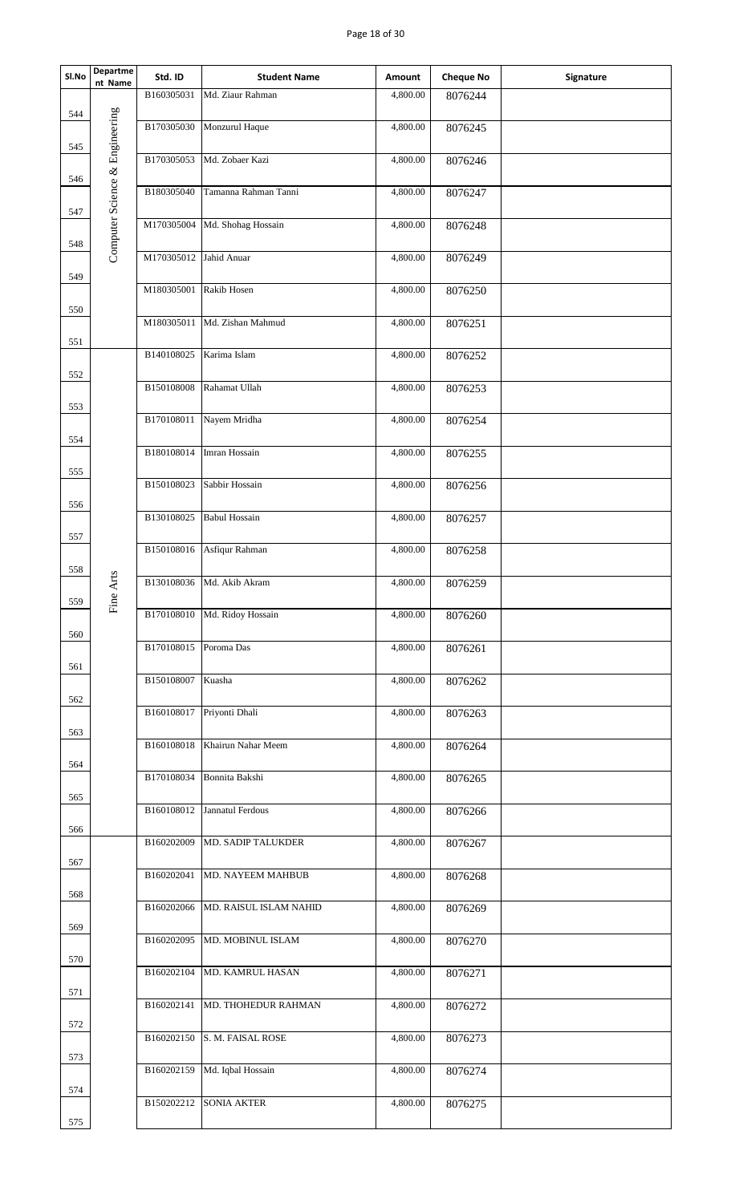## Page 18 of 30

| SI.No | Departme<br>nt Name            | Std. ID                | <b>Student Name</b>           | Amount                | <b>Cheque No</b> | Signature |
|-------|--------------------------------|------------------------|-------------------------------|-----------------------|------------------|-----------|
| 544   |                                | B160305031             | Md. Ziaur Rahman              | 4,800.00              | 8076244          |           |
|       |                                | B170305030             | Monzurul Haque                | 4,800.00              | 8076245          |           |
| 545   | Computer Science & Engineering |                        | B170305053 Md. Zobaer Kazi    | 4,800.00              | 8076246          |           |
| 546   |                                | B180305040             | Tamanna Rahman Tanni          | 4,800.00              | 8076247          |           |
| 547   |                                |                        | M170305004 Md. Shohag Hossain | 4,800.00              | 8076248          |           |
| 548   |                                | M170305012             | Jahid Anuar                   | 4,800.00              | 8076249          |           |
| 549   |                                | M180305001 Rakib Hosen |                               | 4,800.00              | 8076250          |           |
| 550   |                                |                        | M180305011 Md. Zishan Mahmud  | 4,800.00              | 8076251          |           |
| 551   |                                | B140108025             | Karima Islam                  | 4,800.00              | 8076252          |           |
| 552   |                                |                        |                               |                       |                  |           |
| 553   |                                | B150108008             | Rahamat Ullah                 | $\overline{4,800.00}$ | 8076253          |           |
| 554   |                                | B170108011             | Nayem Mridha                  | 4,800.00              | 8076254          |           |
| 555   |                                | B180108014             | Imran Hossain                 | 4,800.00              | 8076255          |           |
|       |                                | B150108023             | Sabbir Hossain                | 4,800.00              | 8076256          |           |
| 556   |                                | B130108025             | <b>Babul Hossain</b>          | 4,800.00              | 8076257          |           |
| 557   |                                | B150108016             | Asfiqur Rahman                | 4,800.00              | 8076258          |           |
| 558   | ne Arts                        | B130108036             | Md. Akib Akram                | 4,800.00              | 8076259          |           |
| 559   | 岀                              | B170108010             | Md. Ridoy Hossain             | 4,800.00              | 8076260          |           |
| 560   |                                | B170108015             | Poroma Das                    | 4,800.00              | 8076261          |           |
| 561   |                                | B150108007             | Kuasha                        | 4,800.00              | 8076262          |           |
| 562   |                                |                        | B160108017 Priyonti Dhali     | 4,800.00              |                  |           |
| 563   |                                |                        |                               |                       | 8076263          |           |
| 564   |                                | B160108018             | Khairun Nahar Meem            | 4,800.00              | 8076264          |           |
| 565   |                                | B170108034             | Bonnita Bakshi                | 4,800.00              | 8076265          |           |
| 566   |                                |                        | B160108012 Jannatul Ferdous   | 4,800.00              | 8076266          |           |
|       |                                | B160202009             | MD. SADIP TALUKDER            | 4,800.00              | 8076267          |           |
| 567   |                                | B160202041             | MD. NAYEEM MAHBUB             | 4,800.00              | 8076268          |           |
| 568   |                                | B160202066             | MD. RAISUL ISLAM NAHID        | 4,800.00              | 8076269          |           |
| 569   |                                | B160202095             | MD. MOBINUL ISLAM             | 4,800.00              | 8076270          |           |
| 570   |                                | B160202104             | MD. KAMRUL HASAN              | 4,800.00              | 8076271          |           |
| 571   |                                | B160202141             | MD. THOHEDUR RAHMAN           | 4,800.00              | 8076272          |           |
| 572   |                                | B160202150             | S. M. FAISAL ROSE             | 4,800.00              | 8076273          |           |
| 573   |                                |                        |                               |                       |                  |           |
| 574   |                                | B160202159             | Md. Iqbal Hossain             | 4,800.00              | 8076274          |           |
| 575   |                                | B150202212             | <b>SONIA AKTER</b>            | 4,800.00              | 8076275          |           |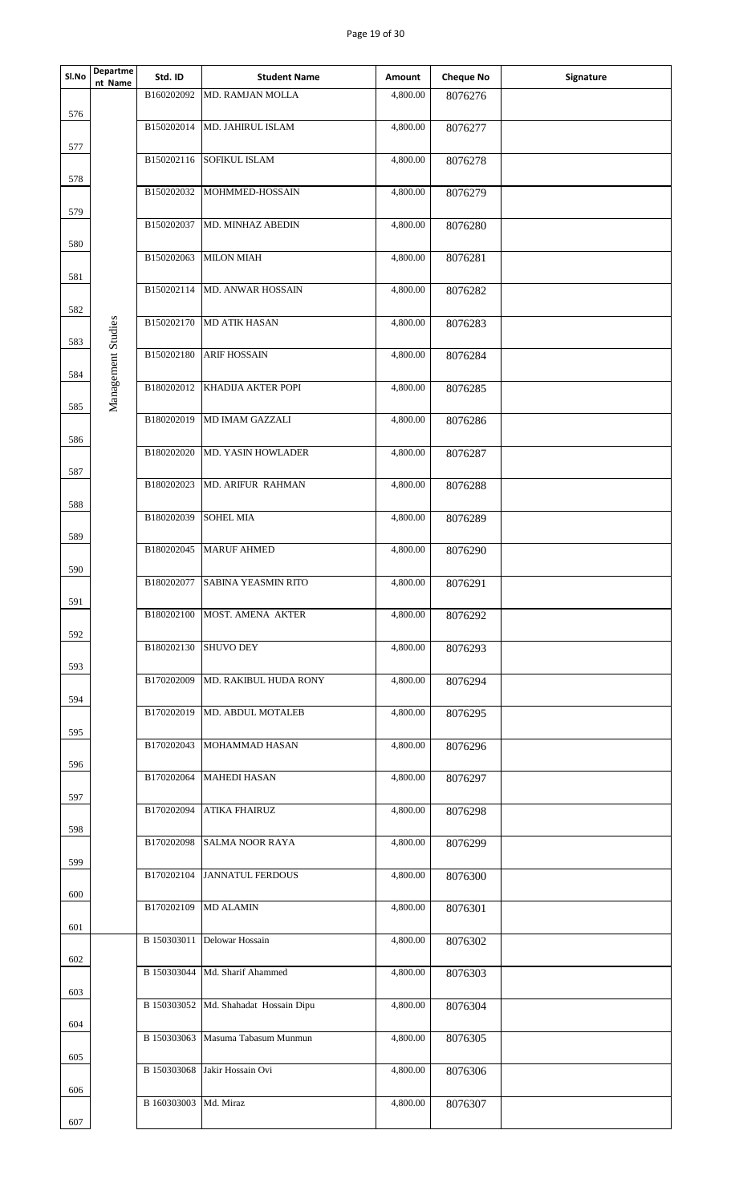## Page 19 of 30

| Sl.No      | Departme<br>nt Name | Std. ID     | <b>Student Name</b>                   | Amount   | <b>Cheque No</b> | Signature |
|------------|---------------------|-------------|---------------------------------------|----------|------------------|-----------|
|            |                     | B160202092  | MD. RAMJAN MOLLA                      | 4,800.00 | 8076276          |           |
| 576        |                     | B150202014  | MD. JAHIRUL ISLAM                     | 4,800.00 | 8076277          |           |
| 577        |                     | B150202116  | <b>SOFIKUL ISLAM</b>                  | 4,800.00 | 8076278          |           |
| 578        |                     | B150202032  | MOHMMED-HOSSAIN                       | 4,800.00 | 8076279          |           |
| 579        |                     |             |                                       |          |                  |           |
| 580        |                     | B150202037  | MD. MINHAZ ABEDIN                     | 4,800.00 | 8076280          |           |
|            |                     | B150202063  | <b>MILON MIAH</b>                     | 4,800.00 | 8076281          |           |
| 581<br>582 |                     | B150202114  | MD. ANWAR HOSSAIN                     | 4,800.00 | 8076282          |           |
|            |                     | B150202170  | <b>MD ATIK HASAN</b>                  | 4,800.00 | 8076283          |           |
| 583        |                     |             |                                       |          |                  |           |
| 584        | Management Studies  | B150202180  | <b>ARIF HOSSAIN</b>                   | 4,800.00 | 8076284          |           |
|            |                     | B180202012  | KHADIJA AKTER POPI                    | 4,800.00 | 8076285          |           |
| 585        |                     | B180202019  | MD IMAM GAZZALI                       | 4,800.00 | 8076286          |           |
| 586        |                     |             |                                       |          |                  |           |
|            |                     | B180202020  | MD. YASIN HOWLADER                    | 4,800.00 | 8076287          |           |
| 587        |                     | B180202023  | MD. ARIFUR RAHMAN                     | 4,800.00 | 8076288          |           |
| 588        |                     |             |                                       |          |                  |           |
|            |                     | B180202039  | <b>SOHEL MIA</b>                      | 4,800.00 | 8076289          |           |
| 589        |                     |             |                                       |          |                  |           |
|            |                     | B180202045  | <b>MARUF AHMED</b>                    | 4,800.00 | 8076290          |           |
| 590        |                     | B180202077  | <b>SABINA YEASMIN RITO</b>            | 4,800.00 | 8076291          |           |
| 591        |                     |             |                                       |          |                  |           |
|            |                     | B180202100  | MOST. AMENA AKTER                     | 4,800.00 | 8076292          |           |
| 592        |                     | B180202130  | <b>SHUVO DEY</b>                      | 4,800.00 | 8076293          |           |
| 593        |                     |             |                                       |          |                  |           |
|            |                     | B170202009  | MD. RAKIBUL HUDA RONY                 | 4,800.00 | 8076294          |           |
| 594        |                     |             |                                       |          |                  |           |
|            |                     | B170202019  | MD. ABDUL MOTALEB                     | 4,800.00 | 8076295          |           |
| 595        |                     | B170202043  | MOHAMMAD HASAN                        | 4,800.00 | 8076296          |           |
| 596        |                     |             |                                       |          |                  |           |
|            |                     | B170202064  | <b>MAHEDI HASAN</b>                   | 4,800.00 | 8076297          |           |
| 597        |                     | B170202094  | <b>ATIKA FHAIRUZ</b>                  | 4,800.00 | 8076298          |           |
| 598        |                     |             |                                       |          |                  |           |
|            |                     | B170202098  | <b>SALMA NOOR RAYA</b>                | 4,800.00 | 8076299          |           |
| 599        |                     |             |                                       |          |                  |           |
|            |                     | B170202104  | <b>JANNATUL FERDOUS</b>               | 4,800.00 | 8076300          |           |
| 600        |                     | B170202109  | <b>MD ALAMIN</b>                      | 4,800.00 | 8076301          |           |
| 601        |                     |             |                                       |          |                  |           |
|            |                     |             | B 150303011 Delowar Hossain           | 4,800.00 | 8076302          |           |
| 602        |                     | B 150303044 | Md. Sharif Ahammed                    | 4,800.00 | 8076303          |           |
| 603        |                     |             |                                       |          |                  |           |
|            |                     |             | B 150303052 Md. Shahadat Hossain Dipu | 4,800.00 | 8076304          |           |
| 604        |                     | B 150303063 | Masuma Tabasum Munmun                 | 4,800.00 |                  |           |
| 605        |                     |             |                                       |          | 8076305          |           |
|            |                     | B 150303068 | Jakir Hossain Ovi                     | 4,800.00 | 8076306          |           |
| 606        |                     |             |                                       |          |                  |           |
|            |                     | B 160303003 | Md. Miraz                             | 4,800.00 | 8076307          |           |
| 607        |                     |             |                                       |          |                  |           |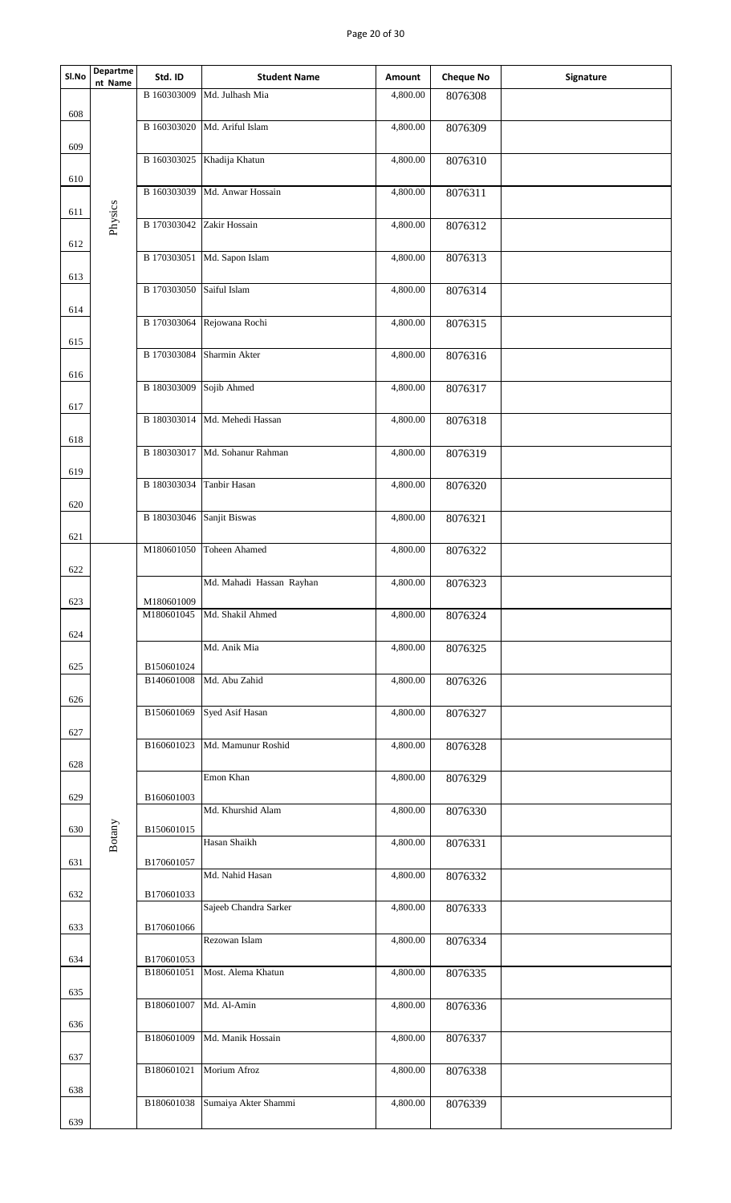## Page 20 of 30

| Sl.No | <b>Departme</b><br>nt Name | Std. ID                   | <b>Student Name</b>         | Amount   | <b>Cheque No</b> | Signature |
|-------|----------------------------|---------------------------|-----------------------------|----------|------------------|-----------|
| 608   |                            | B 160303009               | Md. Julhash Mia             | 4,800.00 | 8076308          |           |
|       |                            | B 160303020               | Md. Ariful Islam            | 4,800.00 | 8076309          |           |
| 609   |                            |                           | B 160303025 Khadija Khatun  | 4,800.00 | 8076310          |           |
| 610   |                            | B 160303039               | Md. Anwar Hossain           | 4,800.00 | 8076311          |           |
| 611   | Physics                    | B 170303042               | Zakir Hossain               | 4,800.00 | 8076312          |           |
| 612   |                            |                           | B 170303051 Md. Sapon Islam | 4,800.00 | 8076313          |           |
| 613   |                            |                           |                             |          |                  |           |
| 614   |                            | B 170303050 Saiful Islam  |                             | 4,800.00 | 8076314          |           |
| 615   |                            |                           | B 170303064 Rejowana Rochi  | 4,800.00 | 8076315          |           |
| 616   |                            | B 170303084               | Sharmin Akter               | 4,800.00 | 8076316          |           |
| 617   |                            | B 180303009 Sojib Ahmed   |                             | 4,800.00 | 8076317          |           |
|       |                            | B 180303014               | Md. Mehedi Hassan           | 4,800.00 | 8076318          |           |
| 618   |                            | B 180303017               | Md. Sohanur Rahman          | 4,800.00 | 8076319          |           |
| 619   |                            | B 180303034               | Tanbir Hasan                | 4,800.00 | 8076320          |           |
| 620   |                            | B 180303046 Sanjit Biswas |                             | 4,800.00 | 8076321          |           |
| 621   |                            | M180601050                | <b>Toheen Ahamed</b>        | 4,800.00 |                  |           |
| 622   |                            |                           |                             |          | 8076322          |           |
| 623   |                            | M180601009                | Md. Mahadi Hassan Rayhan    | 4,800.00 | 8076323          |           |
| 624   |                            | M180601045                | Md. Shakil Ahmed            | 4,800.00 | 8076324          |           |
|       |                            | B150601024                | Md. Anik Mia                | 4,800.00 | 8076325          |           |
| 625   |                            | B140601008                | Md. Abu Zahid               | 4,800.00 | 8076326          |           |
| 626   |                            | B150601069                | Syed Asif Hasan             | 4,800.00 | 8076327          |           |
| 627   |                            | B160601023                | Md. Mamunur Roshid          | 4,800.00 | 8076328          |           |
| 628   |                            |                           | Emon Khan                   | 4,800.00 | 8076329          |           |
| 629   |                            | B160601003                | Md. Khurshid Alam           | 4,800.00 | 8076330          |           |
| 630   | Botany                     | B150601015                | Hasan Shaikh                |          |                  |           |
| 631   |                            | B170601057                |                             | 4,800.00 | 8076331          |           |
| 632   |                            | B170601033                | Md. Nahid Hasan             | 4,800.00 | 8076332          |           |
| 633   |                            | B170601066                | Sajeeb Chandra Sarker       | 4,800.00 | 8076333          |           |
|       |                            |                           | Rezowan Islam               | 4,800.00 | 8076334          |           |
| 634   |                            | B170601053<br>B180601051  | Most. Alema Khatun          | 4,800.00 | 8076335          |           |
| 635   |                            | B180601007                | Md. Al-Amin                 | 4,800.00 | 8076336          |           |
| 636   |                            | B180601009                | Md. Manik Hossain           | 4,800.00 | 8076337          |           |
| 637   |                            | B180601021                | Morium Afroz                | 4,800.00 | 8076338          |           |
| 638   |                            | B180601038                | Sumaiya Akter Shammi        | 4,800.00 |                  |           |
| 639   |                            |                           |                             |          | 8076339          |           |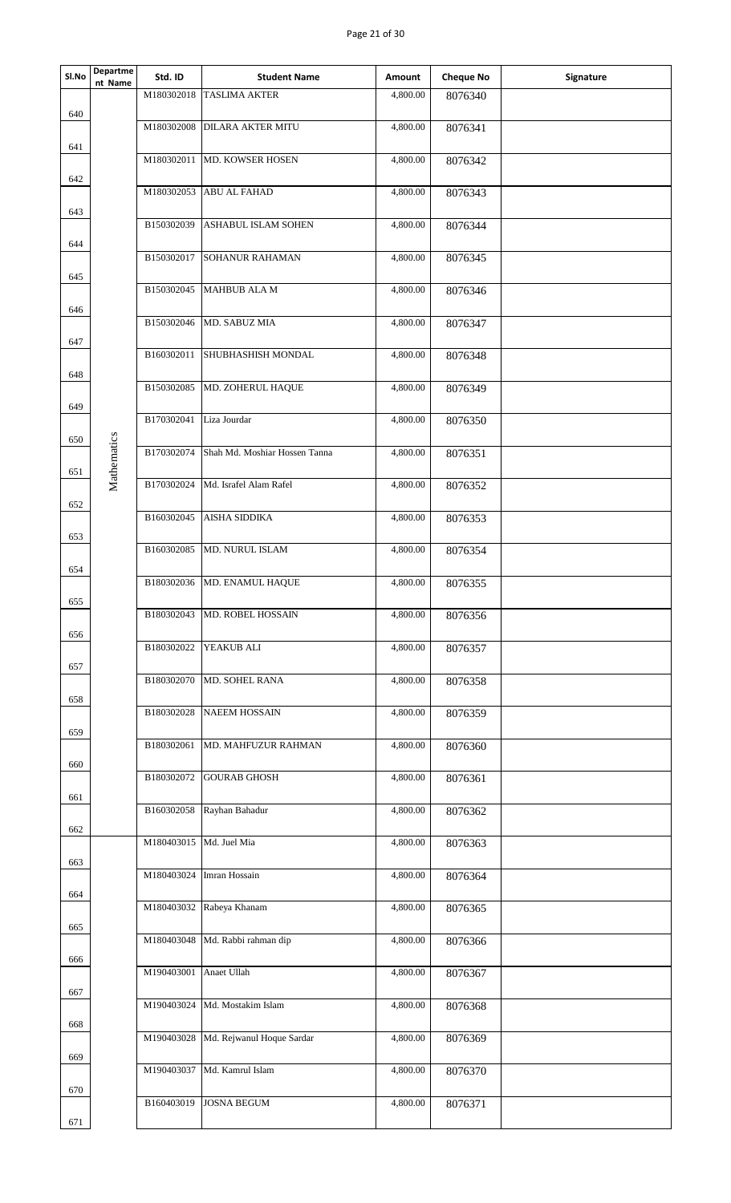## Page 21 of 30

| Sl.No      | Departme<br>nt Name | Std. ID                 | <b>Student Name</b>             | Amount   | <b>Cheque No</b> | Signature |
|------------|---------------------|-------------------------|---------------------------------|----------|------------------|-----------|
| 640        |                     | M180302018              | <b>TASLIMA AKTER</b>            | 4,800.00 | 8076340          |           |
|            |                     | M180302008              | <b>DILARA AKTER MITU</b>        | 4,800.00 | 8076341          |           |
| 641        |                     |                         | M180302011 MD. KOWSER HOSEN     | 4,800.00 | 8076342          |           |
| 642        |                     | M180302053              | <b>ABU AL FAHAD</b>             | 4,800.00 | 8076343          |           |
| 643        |                     | B150302039              | ASHABUL ISLAM SOHEN             | 4,800.00 | 8076344          |           |
| 644        |                     | B150302017              | SOHANUR RAHAMAN                 | 4,800.00 | 8076345          |           |
| 645        |                     | B150302045              | MAHBUB ALA M                    | 4,800.00 | 8076346          |           |
| 646        |                     | B150302046              | MD. SABUZ MIA                   | 4,800.00 | 8076347          |           |
| 647        |                     | B160302011              | SHUBHASHISH MONDAL              | 4,800.00 | 8076348          |           |
| 648        |                     | B150302085              | MD. ZOHERUL HAQUE               | 4,800.00 | 8076349          |           |
| 649        |                     | B170302041              | Liza Jourdar                    | 4,800.00 | 8076350          |           |
| 650        |                     | B170302074              | Shah Md. Moshiar Hossen Tanna   | 4,800.00 | 8076351          |           |
| 651        | Mathematics         |                         | Md. Israfel Alam Rafel          |          |                  |           |
| 652        |                     | B170302024              |                                 | 4,800.00 | 8076352          |           |
| 653        |                     | B160302045              | <b>AISHA SIDDIKA</b>            | 4,800.00 | 8076353          |           |
| 654        |                     | B160302085              | MD. NURUL ISLAM                 | 4,800.00 | 8076354          |           |
| 655        |                     | B180302036              | MD. ENAMUL HAQUE                | 4,800.00 | 8076355          |           |
| 656        |                     | B180302043              | MD. ROBEL HOSSAIN               | 4,800.00 | 8076356          |           |
| 657        |                     | B180302022              | YEAKUB ALI                      | 4,800.00 | 8076357          |           |
| 658        |                     | B180302070              | MD. SOHEL RANA                  | 4,800.00 | 8076358          |           |
|            |                     | B180302028              | <b>NAEEM HOSSAIN</b>            | 4,800.00 | 8076359          |           |
| 659        |                     | B180302061              | MD. MAHFUZUR RAHMAN             | 4,800.00 | 8076360          |           |
| 660<br>661 |                     | B180302072              | <b>GOURAB GHOSH</b>             | 4,800.00 | 8076361          |           |
|            |                     | B160302058              | Rayhan Bahadur                  | 4,800.00 | 8076362          |           |
| 662        |                     | M180403015 Md. Juel Mia |                                 | 4,800.00 | 8076363          |           |
| 663        |                     | M180403024              | Imran Hossain                   | 4,800.00 | 8076364          |           |
| 664        |                     |                         | M180403032 Rabeya Khanam        | 4,800.00 | 8076365          |           |
| 665        |                     |                         | M180403048 Md. Rabbi rahman dip | 4,800.00 | 8076366          |           |
| 666        |                     | M190403001              | Anaet Ullah                     | 4,800.00 | 8076367          |           |
| 667        |                     | M190403024              | Md. Mostakim Islam              | 4,800.00 | 8076368          |           |
| 668        |                     | M190403028              | Md. Rejwanul Hoque Sardar       | 4,800.00 | 8076369          |           |
| 669        |                     | M190403037              | Md. Kamrul Islam                | 4,800.00 | 8076370          |           |
| 670        |                     |                         |                                 |          |                  |           |
| 671        |                     | B160403019              | <b>JOSNA BEGUM</b>              | 4,800.00 | 8076371          |           |
|            |                     |                         |                                 |          |                  |           |
|            |                     |                         |                                 |          |                  |           |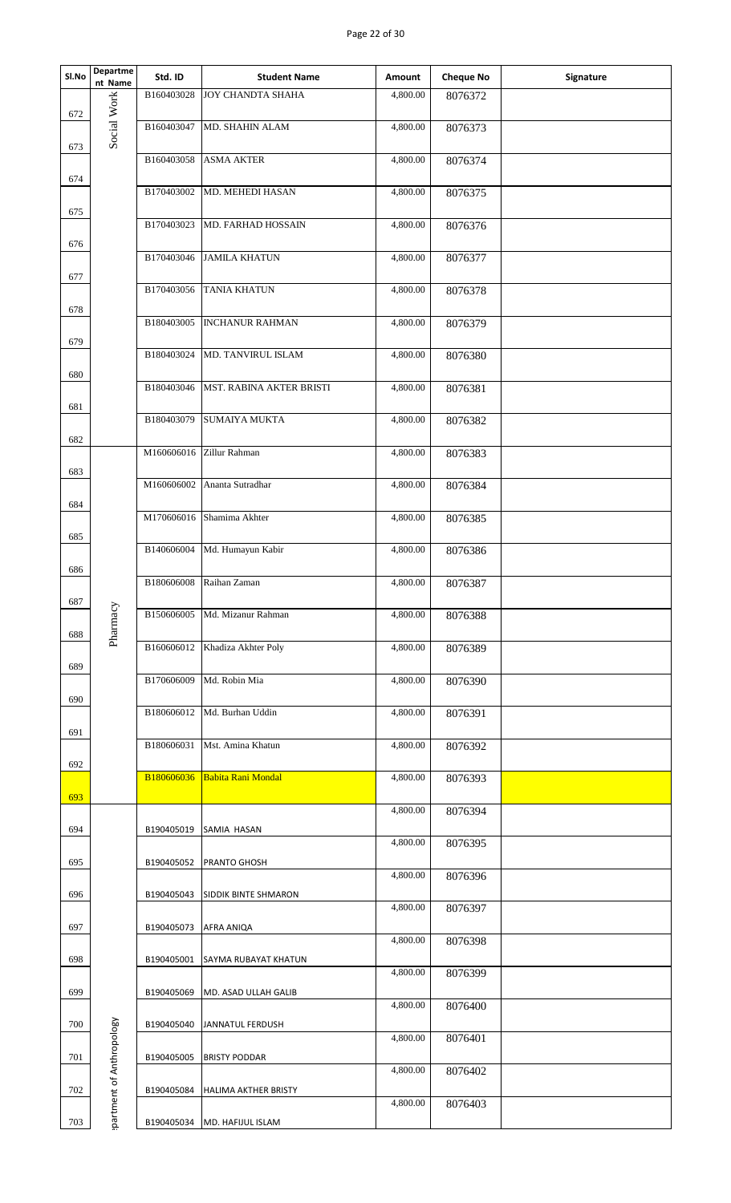| Sl.No | Departme<br>nt Name      | Std. ID    | <b>Student Name</b>           | Amount   | <b>Cheque No</b> | Signature |
|-------|--------------------------|------------|-------------------------------|----------|------------------|-----------|
| 672   |                          | B160403028 | <b>JOY CHANDTA SHAHA</b>      | 4,800.00 | 8076372          |           |
| 673   | Social Work              | B160403047 | MD. SHAHIN ALAM               | 4,800.00 | 8076373          |           |
| 674   |                          |            | B160403058 ASMA AKTER         | 4,800.00 | 8076374          |           |
|       |                          | B170403002 | MD. MEHEDI HASAN              | 4,800.00 | 8076375          |           |
| 675   |                          | B170403023 | MD. FARHAD HOSSAIN            | 4,800.00 | 8076376          |           |
| 676   |                          | B170403046 | <b>JAMILA KHATUN</b>          | 4,800.00 | 8076377          |           |
| 677   |                          |            | B170403056 TANIA KHATUN       | 4,800.00 | 8076378          |           |
| 678   |                          | B180403005 | <b>INCHANUR RAHMAN</b>        | 4,800.00 | 8076379          |           |
| 679   |                          |            | B180403024 MD. TANVIRUL ISLAM | 4,800.00 | 8076380          |           |
| 680   |                          | B180403046 | MST. RABINA AKTER BRISTI      | 4,800.00 | 8076381          |           |
| 681   |                          | B180403079 | <b>SUMAIYA MUKTA</b>          | 4,800.00 | 8076382          |           |
| 682   |                          |            | M160606016 Zillur Rahman      | 4,800.00 | 8076383          |           |
| 683   |                          | M160606002 | Ananta Sutradhar              | 4,800.00 | 8076384          |           |
| 684   |                          |            | M170606016 Shamima Akhter     | 4,800.00 | 8076385          |           |
| 685   |                          | B140606004 | Md. Humayun Kabir             | 4,800.00 | 8076386          |           |
| 686   |                          | B180606008 | Raihan Zaman                  | 4,800.00 | 8076387          |           |
| 687   |                          | B150606005 | Md. Mizanur Rahman            | 4,800.00 | 8076388          |           |
| 688   | Pharmacy                 | B160606012 | Khadiza Akhter Poly           | 4,800.00 | 8076389          |           |
| 689   |                          | B170606009 | Md. Robin Mia                 | 4,800.00 | 8076390          |           |
| 690   |                          | B180606012 | Md. Burhan Uddin              | 4,800.00 | 8076391          |           |
| 691   |                          | B180606031 | Mst. Amina Khatun             | 4,800.00 | 8076392          |           |
| 692   |                          | B180606036 | Babita Rani Mondal            | 4,800.00 | 8076393          |           |
| 693   |                          |            |                               | 4,800.00 | 8076394          |           |
| 694   |                          | B190405019 | SAMIA HASAN                   | 4,800.00 |                  |           |
| 695   |                          | B190405052 | PRANTO GHOSH                  |          | 8076395          |           |
| 696   |                          | B190405043 | SIDDIK BINTE SHMARON          | 4,800.00 | 8076396          |           |
| 697   |                          | B190405073 | AFRA ANIQA                    | 4,800.00 | 8076397          |           |
| 698   |                          | B190405001 | <b>SAYMA RUBAYAT KHATUN</b>   | 4,800.00 | 8076398          |           |
| 699   |                          | B190405069 | MD. ASAD ULLAH GALIB          | 4,800.00 | 8076399          |           |
| 700   |                          | B190405040 | <b>JANNATUL FERDUSH</b>       | 4,800.00 | 8076400          |           |
| 701   |                          | B190405005 | <b>BRISTY PODDAR</b>          | 4,800.00 | 8076401          |           |
| 702   | partment of Anthropology | B190405084 | <b>HALIMA AKTHER BRISTY</b>   | 4,800.00 | 8076402          |           |
| 703   |                          | B190405034 | MD. HAFIJUL ISLAM             | 4,800.00 | 8076403          |           |
|       |                          |            |                               |          |                  |           |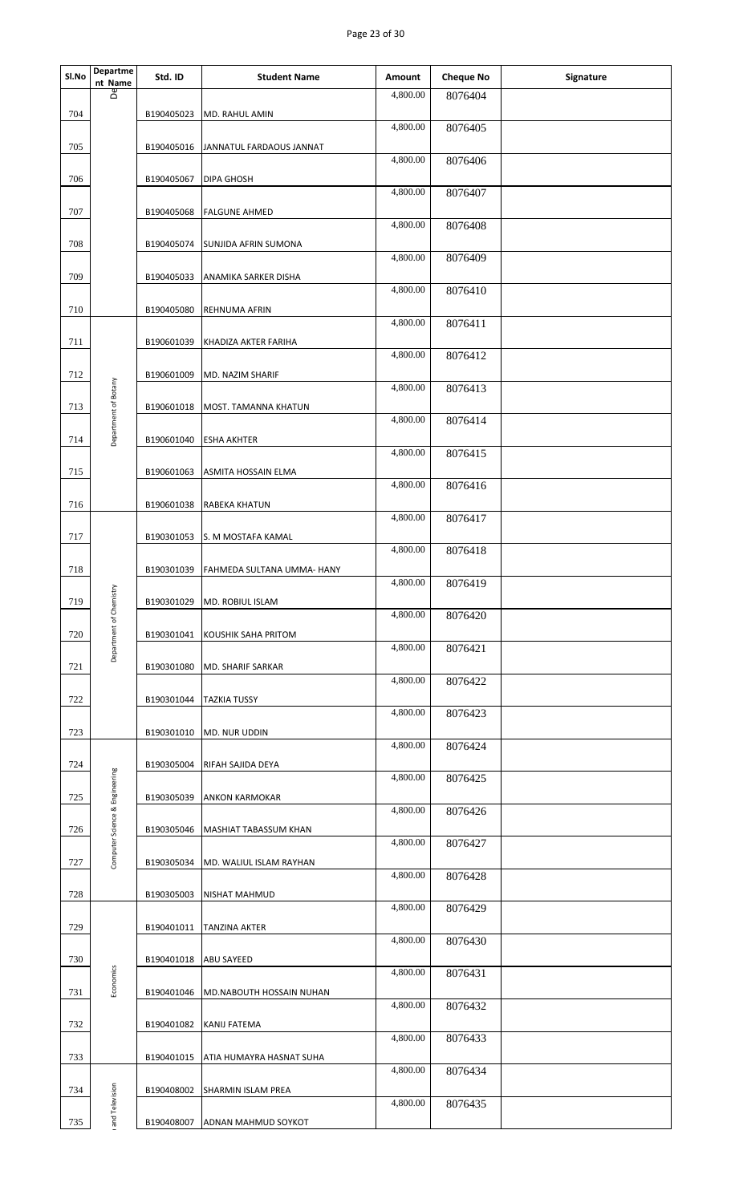|       |                                |            |                            | Page 23 of 30         |                             |           |
|-------|--------------------------------|------------|----------------------------|-----------------------|-----------------------------|-----------|
|       | Departme                       |            |                            |                       |                             |           |
| SI.No | $\frac{nt \text{ Name}}{8}$    | Std. ID    | <b>Student Name</b>        | Amount<br>4,800.00    | <b>Cheque No</b><br>8076404 | Signature |
| 704   |                                | B190405023 | MD. RAHUL AMIN             |                       |                             |           |
| 705   |                                | B190405016 | JANNATUL FARDAOUS JANNAT   | 4,800.00              | 8076405                     |           |
|       |                                |            |                            | 4,800.00              | 8076406                     |           |
| 706   |                                | B190405067 | DIPA GHOSH                 | 4,800.00              | 8076407                     |           |
| 707   |                                | B190405068 | <b>FALGUNE AHMED</b>       | 4,800.00              | 8076408                     |           |
| 708   |                                | B190405074 | SUNJIDA AFRIN SUMONA       |                       |                             |           |
| 709   |                                | B190405033 | ANAMIKA SARKER DISHA       | 4,800.00              | 8076409                     |           |
|       |                                |            |                            | 4,800.00              | 8076410                     |           |
| 710   |                                | B190405080 | REHNUMA AFRIN              | 4,800.00              | 8076411                     |           |
| 711   |                                | B190601039 | KHADIZA AKTER FARIHA       | 4,800.00              | 8076412                     |           |
| 712   |                                | B190601009 | MD. NAZIM SHARIF           |                       |                             |           |
| 713   | Department of Botany           | B190601018 | MOST. TAMANNA KHATUN       | 4,800.00              | 8076413                     |           |
|       |                                |            |                            | 4,800.00              | 8076414                     |           |
| 714   |                                | B190601040 | <b>ESHA AKHTER</b>         | 4,800.00              | 8076415                     |           |
| 715   |                                | B190601063 | ASMITA HOSSAIN ELMA        | 4,800.00              | 8076416                     |           |
| 716   |                                | B190601038 | RABEKA KHATUN              |                       |                             |           |
| 717   |                                | B190301053 | S. M MOSTAFA KAMAL         | 4,800.00              | 8076417                     |           |
| 718   |                                | B190301039 | FAHMEDA SULTANA UMMA- HANY | 4,800.00              | 8076418                     |           |
|       |                                |            |                            | 4,800.00              | 8076419                     |           |
| 719   | Department of Chemistry        | B190301029 | MD. ROBIUL ISLAM           | 4,800.00              | 8076420                     |           |
| 720   |                                | B190301041 | KOUSHIK SAHA PRITOM        | $\overline{4,800.00}$ | 8076421                     |           |
| 721   |                                | B190301080 | <b>MD. SHARIF SARKAR</b>   |                       |                             |           |
| 722   |                                | B190301044 | <b>TAZKIA TUSSY</b>        | 4,800.00              | 8076422                     |           |
|       |                                |            |                            | 4,800.00              | 8076423                     |           |
| 723   |                                | B190301010 | MD. NUR UDDIN              | 4,800.00              | 8076424                     |           |
| 724   |                                | B190305004 | RIFAH SAJIDA DEYA          | 4,800.00              | 8076425                     |           |
| 725   |                                | B190305039 | <b>ANKON KARMOKAR</b>      |                       |                             |           |
| 726   |                                | B190305046 | MASHIAT TABASSUM KHAN      | 4,800.00              | 8076426                     |           |
|       | Computer Science & Engineering |            |                            | 4,800.00              | 8076427                     |           |
| 727   |                                | B190305034 | MD. WALIUL ISLAM RAYHAN    | 4,800.00              | 8076428                     |           |
| 728   |                                | B190305003 | NISHAT MAHMUD              | 4,800.00              | 8076429                     |           |
| 729   |                                | B190401011 | <b>TANZINA AKTER</b>       | 4,800.00              |                             |           |
| 730   |                                | B190401018 | <b>ABU SAYEED</b>          |                       | 8076430                     |           |
| 731   | Economics                      | B190401046 | MD.NABOUTH HOSSAIN NUHAN   | 4,800.00              | 8076431                     |           |
|       |                                |            |                            | $\overline{4,800.00}$ | 8076432                     |           |
| 732   |                                | B190401082 | KANIJ FATEMA               | 4,800.00              | 8076433                     |           |
| 733   |                                | B190401015 | ATIA HUMAYRA HASNAT SUHA   | 4,800.00              | 8076434                     |           |
| 734   |                                | B190408002 | SHARMIN ISLAM PREA         |                       |                             |           |
| 735   | and Television                 | B190408007 | ADNAN MAHMUD SOYKOT        | 4,800.00              | 8076435                     |           |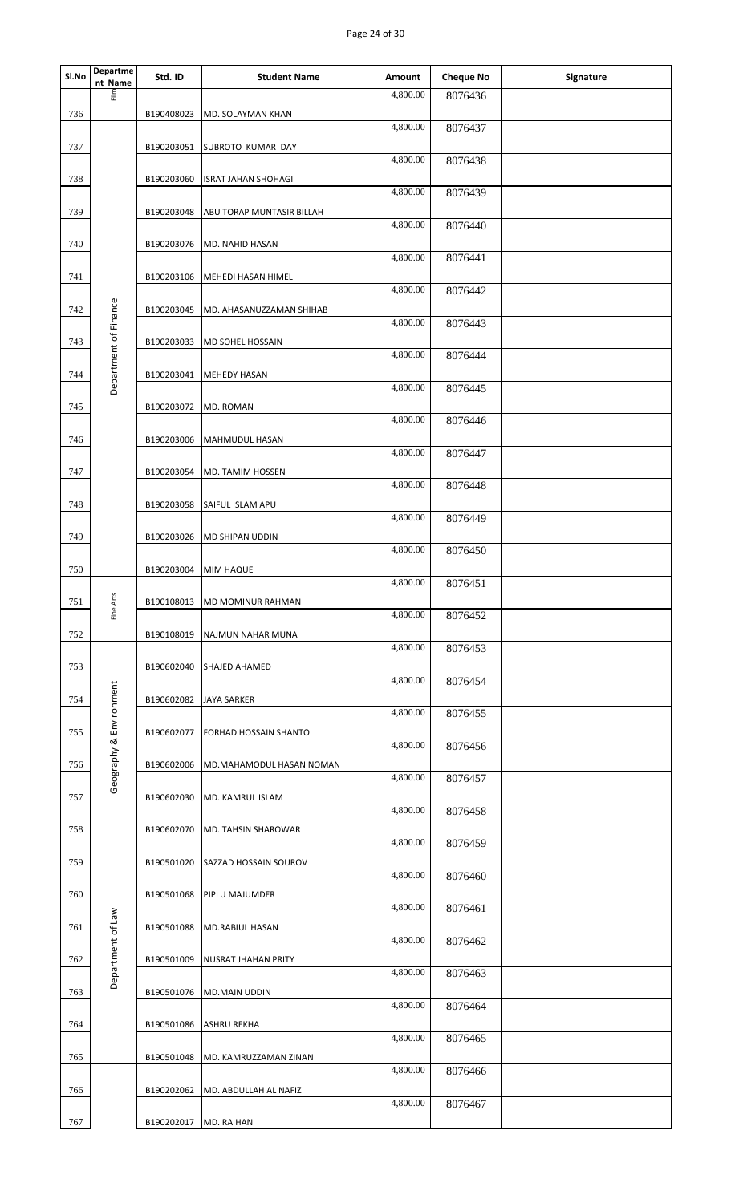| 틊<br>4,800.00<br>8076436<br>736<br>B190408023<br>MD. SOLAYMAN KHAN<br>4,800.00<br>8076437<br>737<br>B190203051<br><b>SUBROTO KUMAR DAY</b><br>4,800.00<br>8076438<br>738<br>B190203060<br><b>ISRAT JAHAN SHOHAGI</b><br>4,800.00<br>8076439<br>739<br>B190203048<br>ABU TORAP MUNTASIR BILLAH<br>4,800.00<br>8076440<br>740<br>B190203076<br>MD. NAHID HASAN<br>4,800.00<br>8076441<br>741<br>B190203106<br>MEHEDI HASAN HIMEL<br>4,800.00<br>8076442<br>Department of Finance<br>742<br>B190203045<br>MD. AHASANUZZAMAN SHIHAB<br>4,800.00<br>8076443<br>743<br>B190203033<br>MD SOHEL HOSSAIN<br>4,800.00<br>8076444<br>744<br>B190203041<br><b>MEHEDY HASAN</b><br>4,800.00<br>8076445<br>745<br>B190203072<br>MD. ROMAN<br>4,800.00<br>8076446<br>746<br>B190203006<br><b>MAHMUDUL HASAN</b><br>4,800.00<br>8076447<br>747<br>B190203054<br>MD. TAMIM HOSSEN<br>4,800.00<br>8076448<br>748<br>B190203058<br><b>SAIFUL ISLAM APU</b><br>4,800.00<br>8076449<br>749<br>B190203026<br><b>MD SHIPAN UDDIN</b><br>4,800.00<br>8076450<br>750<br>B190203004<br><b>MIM HAQUE</b><br>4,800.00<br>8076451<br>Fine Arts<br>751<br>B190108013<br><b>MD MOMINUR RAHMAN</b><br>4,800.00<br>8076452<br>752<br>B190108019<br>NAJMUN NAHAR MUNA<br>4,800.00<br>8076453<br>753<br>B190602040<br><b>SHAJED AHAMED</b><br>4,800.00<br>8076454<br>Geography & Environment<br>754<br>B190602082<br><b>JAYA SARKER</b><br>4,800.00<br>8076455<br>755<br>B190602077<br><b>FORHAD HOSSAIN SHANTO</b><br>4,800.00<br>8076456<br>B190602006<br>756<br>MD.MAHAMODUL HASAN NOMAN<br>4,800.00<br>8076457<br>757<br>B190602030<br>MD. KAMRUL ISLAM<br>4,800.00<br>8076458<br>758<br>B190602070<br>MD. TAHSIN SHAROWAR<br>4,800.00<br>8076459<br>759<br>B190501020<br><b>SAZZAD HOSSAIN SOUROV</b><br>4,800.00<br>8076460<br>760<br>B190501068<br><b>PIPLU MAJUMDER</b><br>4,800.00<br>8076461<br>Department of Law<br>761<br>B190501088<br><b>MD.RABIUL HASAN</b><br>4,800.00<br>8076462<br>762<br>B190501009<br>NUSRAT JHAHAN PRITY<br>4,800.00<br>8076463<br>763<br>B190501076<br><b>MD.MAIN UDDIN</b><br>4,800.00<br>8076464 | Departme<br>nt Name | Std. ID | <b>Student Name</b> | Amount | <b>Cheque No</b> | Signature |
|-------------------------------------------------------------------------------------------------------------------------------------------------------------------------------------------------------------------------------------------------------------------------------------------------------------------------------------------------------------------------------------------------------------------------------------------------------------------------------------------------------------------------------------------------------------------------------------------------------------------------------------------------------------------------------------------------------------------------------------------------------------------------------------------------------------------------------------------------------------------------------------------------------------------------------------------------------------------------------------------------------------------------------------------------------------------------------------------------------------------------------------------------------------------------------------------------------------------------------------------------------------------------------------------------------------------------------------------------------------------------------------------------------------------------------------------------------------------------------------------------------------------------------------------------------------------------------------------------------------------------------------------------------------------------------------------------------------------------------------------------------------------------------------------------------------------------------------------------------------------------------------------------------------------------------------------------------------------------------------------------------------------------------------------------------------------------------------------------------|---------------------|---------|---------------------|--------|------------------|-----------|
|                                                                                                                                                                                                                                                                                                                                                                                                                                                                                                                                                                                                                                                                                                                                                                                                                                                                                                                                                                                                                                                                                                                                                                                                                                                                                                                                                                                                                                                                                                                                                                                                                                                                                                                                                                                                                                                                                                                                                                                                                                                                                                       |                     |         |                     |        |                  |           |
|                                                                                                                                                                                                                                                                                                                                                                                                                                                                                                                                                                                                                                                                                                                                                                                                                                                                                                                                                                                                                                                                                                                                                                                                                                                                                                                                                                                                                                                                                                                                                                                                                                                                                                                                                                                                                                                                                                                                                                                                                                                                                                       |                     |         |                     |        |                  |           |
|                                                                                                                                                                                                                                                                                                                                                                                                                                                                                                                                                                                                                                                                                                                                                                                                                                                                                                                                                                                                                                                                                                                                                                                                                                                                                                                                                                                                                                                                                                                                                                                                                                                                                                                                                                                                                                                                                                                                                                                                                                                                                                       |                     |         |                     |        |                  |           |
|                                                                                                                                                                                                                                                                                                                                                                                                                                                                                                                                                                                                                                                                                                                                                                                                                                                                                                                                                                                                                                                                                                                                                                                                                                                                                                                                                                                                                                                                                                                                                                                                                                                                                                                                                                                                                                                                                                                                                                                                                                                                                                       |                     |         |                     |        |                  |           |
|                                                                                                                                                                                                                                                                                                                                                                                                                                                                                                                                                                                                                                                                                                                                                                                                                                                                                                                                                                                                                                                                                                                                                                                                                                                                                                                                                                                                                                                                                                                                                                                                                                                                                                                                                                                                                                                                                                                                                                                                                                                                                                       |                     |         |                     |        |                  |           |
|                                                                                                                                                                                                                                                                                                                                                                                                                                                                                                                                                                                                                                                                                                                                                                                                                                                                                                                                                                                                                                                                                                                                                                                                                                                                                                                                                                                                                                                                                                                                                                                                                                                                                                                                                                                                                                                                                                                                                                                                                                                                                                       |                     |         |                     |        |                  |           |
|                                                                                                                                                                                                                                                                                                                                                                                                                                                                                                                                                                                                                                                                                                                                                                                                                                                                                                                                                                                                                                                                                                                                                                                                                                                                                                                                                                                                                                                                                                                                                                                                                                                                                                                                                                                                                                                                                                                                                                                                                                                                                                       |                     |         |                     |        |                  |           |
|                                                                                                                                                                                                                                                                                                                                                                                                                                                                                                                                                                                                                                                                                                                                                                                                                                                                                                                                                                                                                                                                                                                                                                                                                                                                                                                                                                                                                                                                                                                                                                                                                                                                                                                                                                                                                                                                                                                                                                                                                                                                                                       |                     |         |                     |        |                  |           |
|                                                                                                                                                                                                                                                                                                                                                                                                                                                                                                                                                                                                                                                                                                                                                                                                                                                                                                                                                                                                                                                                                                                                                                                                                                                                                                                                                                                                                                                                                                                                                                                                                                                                                                                                                                                                                                                                                                                                                                                                                                                                                                       |                     |         |                     |        |                  |           |
|                                                                                                                                                                                                                                                                                                                                                                                                                                                                                                                                                                                                                                                                                                                                                                                                                                                                                                                                                                                                                                                                                                                                                                                                                                                                                                                                                                                                                                                                                                                                                                                                                                                                                                                                                                                                                                                                                                                                                                                                                                                                                                       |                     |         |                     |        |                  |           |
|                                                                                                                                                                                                                                                                                                                                                                                                                                                                                                                                                                                                                                                                                                                                                                                                                                                                                                                                                                                                                                                                                                                                                                                                                                                                                                                                                                                                                                                                                                                                                                                                                                                                                                                                                                                                                                                                                                                                                                                                                                                                                                       |                     |         |                     |        |                  |           |
|                                                                                                                                                                                                                                                                                                                                                                                                                                                                                                                                                                                                                                                                                                                                                                                                                                                                                                                                                                                                                                                                                                                                                                                                                                                                                                                                                                                                                                                                                                                                                                                                                                                                                                                                                                                                                                                                                                                                                                                                                                                                                                       |                     |         |                     |        |                  |           |
|                                                                                                                                                                                                                                                                                                                                                                                                                                                                                                                                                                                                                                                                                                                                                                                                                                                                                                                                                                                                                                                                                                                                                                                                                                                                                                                                                                                                                                                                                                                                                                                                                                                                                                                                                                                                                                                                                                                                                                                                                                                                                                       |                     |         |                     |        |                  |           |
|                                                                                                                                                                                                                                                                                                                                                                                                                                                                                                                                                                                                                                                                                                                                                                                                                                                                                                                                                                                                                                                                                                                                                                                                                                                                                                                                                                                                                                                                                                                                                                                                                                                                                                                                                                                                                                                                                                                                                                                                                                                                                                       |                     |         |                     |        |                  |           |
|                                                                                                                                                                                                                                                                                                                                                                                                                                                                                                                                                                                                                                                                                                                                                                                                                                                                                                                                                                                                                                                                                                                                                                                                                                                                                                                                                                                                                                                                                                                                                                                                                                                                                                                                                                                                                                                                                                                                                                                                                                                                                                       |                     |         |                     |        |                  |           |
|                                                                                                                                                                                                                                                                                                                                                                                                                                                                                                                                                                                                                                                                                                                                                                                                                                                                                                                                                                                                                                                                                                                                                                                                                                                                                                                                                                                                                                                                                                                                                                                                                                                                                                                                                                                                                                                                                                                                                                                                                                                                                                       |                     |         |                     |        |                  |           |
|                                                                                                                                                                                                                                                                                                                                                                                                                                                                                                                                                                                                                                                                                                                                                                                                                                                                                                                                                                                                                                                                                                                                                                                                                                                                                                                                                                                                                                                                                                                                                                                                                                                                                                                                                                                                                                                                                                                                                                                                                                                                                                       |                     |         |                     |        |                  |           |
|                                                                                                                                                                                                                                                                                                                                                                                                                                                                                                                                                                                                                                                                                                                                                                                                                                                                                                                                                                                                                                                                                                                                                                                                                                                                                                                                                                                                                                                                                                                                                                                                                                                                                                                                                                                                                                                                                                                                                                                                                                                                                                       |                     |         |                     |        |                  |           |
|                                                                                                                                                                                                                                                                                                                                                                                                                                                                                                                                                                                                                                                                                                                                                                                                                                                                                                                                                                                                                                                                                                                                                                                                                                                                                                                                                                                                                                                                                                                                                                                                                                                                                                                                                                                                                                                                                                                                                                                                                                                                                                       |                     |         |                     |        |                  |           |
|                                                                                                                                                                                                                                                                                                                                                                                                                                                                                                                                                                                                                                                                                                                                                                                                                                                                                                                                                                                                                                                                                                                                                                                                                                                                                                                                                                                                                                                                                                                                                                                                                                                                                                                                                                                                                                                                                                                                                                                                                                                                                                       |                     |         |                     |        |                  |           |
|                                                                                                                                                                                                                                                                                                                                                                                                                                                                                                                                                                                                                                                                                                                                                                                                                                                                                                                                                                                                                                                                                                                                                                                                                                                                                                                                                                                                                                                                                                                                                                                                                                                                                                                                                                                                                                                                                                                                                                                                                                                                                                       |                     |         |                     |        |                  |           |
|                                                                                                                                                                                                                                                                                                                                                                                                                                                                                                                                                                                                                                                                                                                                                                                                                                                                                                                                                                                                                                                                                                                                                                                                                                                                                                                                                                                                                                                                                                                                                                                                                                                                                                                                                                                                                                                                                                                                                                                                                                                                                                       |                     |         |                     |        |                  |           |
|                                                                                                                                                                                                                                                                                                                                                                                                                                                                                                                                                                                                                                                                                                                                                                                                                                                                                                                                                                                                                                                                                                                                                                                                                                                                                                                                                                                                                                                                                                                                                                                                                                                                                                                                                                                                                                                                                                                                                                                                                                                                                                       |                     |         |                     |        |                  |           |
|                                                                                                                                                                                                                                                                                                                                                                                                                                                                                                                                                                                                                                                                                                                                                                                                                                                                                                                                                                                                                                                                                                                                                                                                                                                                                                                                                                                                                                                                                                                                                                                                                                                                                                                                                                                                                                                                                                                                                                                                                                                                                                       |                     |         |                     |        |                  |           |
|                                                                                                                                                                                                                                                                                                                                                                                                                                                                                                                                                                                                                                                                                                                                                                                                                                                                                                                                                                                                                                                                                                                                                                                                                                                                                                                                                                                                                                                                                                                                                                                                                                                                                                                                                                                                                                                                                                                                                                                                                                                                                                       |                     |         |                     |        |                  |           |
|                                                                                                                                                                                                                                                                                                                                                                                                                                                                                                                                                                                                                                                                                                                                                                                                                                                                                                                                                                                                                                                                                                                                                                                                                                                                                                                                                                                                                                                                                                                                                                                                                                                                                                                                                                                                                                                                                                                                                                                                                                                                                                       |                     |         |                     |        |                  |           |
|                                                                                                                                                                                                                                                                                                                                                                                                                                                                                                                                                                                                                                                                                                                                                                                                                                                                                                                                                                                                                                                                                                                                                                                                                                                                                                                                                                                                                                                                                                                                                                                                                                                                                                                                                                                                                                                                                                                                                                                                                                                                                                       |                     |         |                     |        |                  |           |
|                                                                                                                                                                                                                                                                                                                                                                                                                                                                                                                                                                                                                                                                                                                                                                                                                                                                                                                                                                                                                                                                                                                                                                                                                                                                                                                                                                                                                                                                                                                                                                                                                                                                                                                                                                                                                                                                                                                                                                                                                                                                                                       |                     |         |                     |        |                  |           |
|                                                                                                                                                                                                                                                                                                                                                                                                                                                                                                                                                                                                                                                                                                                                                                                                                                                                                                                                                                                                                                                                                                                                                                                                                                                                                                                                                                                                                                                                                                                                                                                                                                                                                                                                                                                                                                                                                                                                                                                                                                                                                                       |                     |         |                     |        |                  |           |
|                                                                                                                                                                                                                                                                                                                                                                                                                                                                                                                                                                                                                                                                                                                                                                                                                                                                                                                                                                                                                                                                                                                                                                                                                                                                                                                                                                                                                                                                                                                                                                                                                                                                                                                                                                                                                                                                                                                                                                                                                                                                                                       |                     |         |                     |        |                  |           |
| 764<br>B190501086<br><b>ASHRU REKHA</b>                                                                                                                                                                                                                                                                                                                                                                                                                                                                                                                                                                                                                                                                                                                                                                                                                                                                                                                                                                                                                                                                                                                                                                                                                                                                                                                                                                                                                                                                                                                                                                                                                                                                                                                                                                                                                                                                                                                                                                                                                                                               |                     |         |                     |        |                  |           |
| 4,800.00<br>8076465<br>765<br>B190501048<br>MD. KAMRUZZAMAN ZINAN                                                                                                                                                                                                                                                                                                                                                                                                                                                                                                                                                                                                                                                                                                                                                                                                                                                                                                                                                                                                                                                                                                                                                                                                                                                                                                                                                                                                                                                                                                                                                                                                                                                                                                                                                                                                                                                                                                                                                                                                                                     |                     |         |                     |        |                  |           |
| 4,800.00<br>8076466<br>766<br>B190202062<br>MD. ABDULLAH AL NAFIZ                                                                                                                                                                                                                                                                                                                                                                                                                                                                                                                                                                                                                                                                                                                                                                                                                                                                                                                                                                                                                                                                                                                                                                                                                                                                                                                                                                                                                                                                                                                                                                                                                                                                                                                                                                                                                                                                                                                                                                                                                                     |                     |         |                     |        |                  |           |
| 4,800.00<br>8076467                                                                                                                                                                                                                                                                                                                                                                                                                                                                                                                                                                                                                                                                                                                                                                                                                                                                                                                                                                                                                                                                                                                                                                                                                                                                                                                                                                                                                                                                                                                                                                                                                                                                                                                                                                                                                                                                                                                                                                                                                                                                                   |                     |         |                     |        |                  |           |
| 767<br>B190202017<br>MD. RAIHAN                                                                                                                                                                                                                                                                                                                                                                                                                                                                                                                                                                                                                                                                                                                                                                                                                                                                                                                                                                                                                                                                                                                                                                                                                                                                                                                                                                                                                                                                                                                                                                                                                                                                                                                                                                                                                                                                                                                                                                                                                                                                       |                     |         |                     |        |                  |           |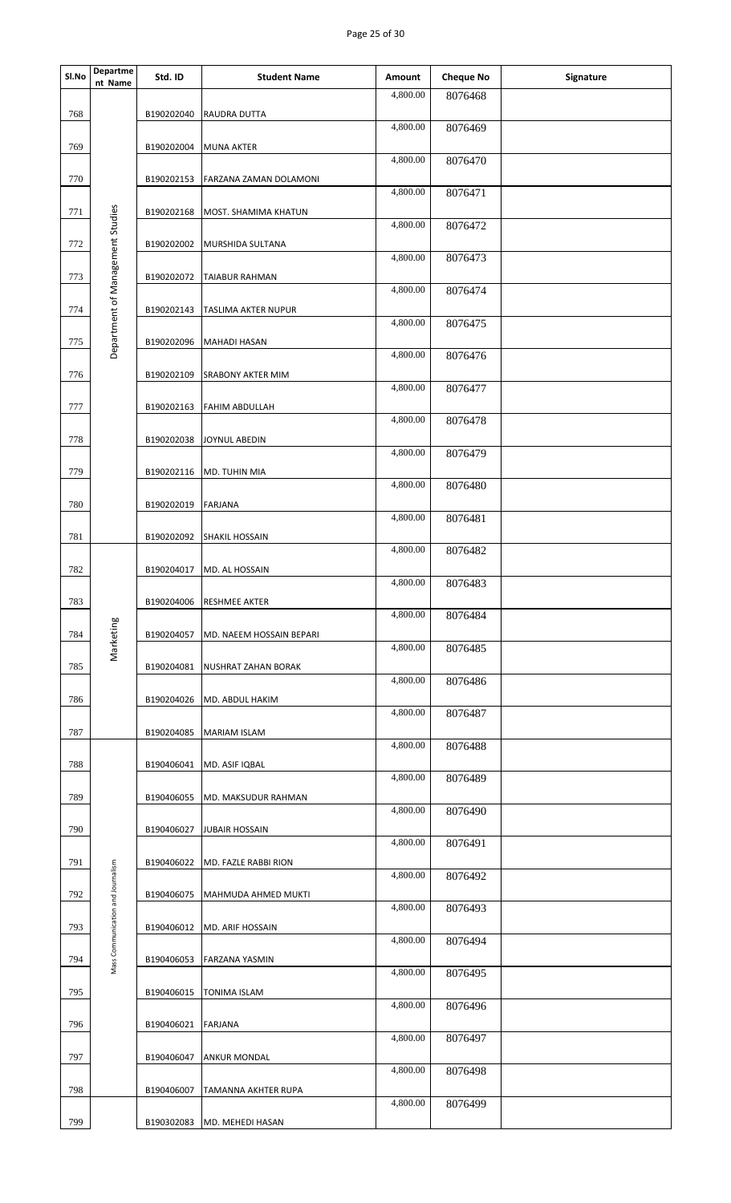## Page 25 of 30

| Sl.No | Departme<br>nt Name               | Std. ID    | <b>Student Name</b>           | Amount   | <b>Cheque No</b> | Signature |
|-------|-----------------------------------|------------|-------------------------------|----------|------------------|-----------|
| 768   |                                   | B190202040 | RAUDRA DUTTA                  | 4,800.00 | 8076468          |           |
|       |                                   |            |                               | 4,800.00 | 8076469          |           |
| 769   |                                   | B190202004 | <b>MUNA AKTER</b>             | 4,800.00 | 8076470          |           |
| 770   |                                   | B190202153 | <b>FARZANA ZAMAN DOLAMONI</b> | 4,800.00 | 8076471          |           |
| 771   |                                   | B190202168 | MOST. SHAMIMA KHATUN          |          |                  |           |
| 772   |                                   | B190202002 | MURSHIDA SULTANA              | 4,800.00 | 8076472          |           |
| 773   |                                   | B190202072 | <b>TAIABUR RAHMAN</b>         | 4,800.00 | 8076473          |           |
|       | Department of Management Studies  |            |                               | 4,800.00 | 8076474          |           |
| 774   |                                   | B190202143 | TASLIMA AKTER NUPUR           | 4,800.00 | 8076475          |           |
| 775   |                                   | B190202096 | <b>MAHADI HASAN</b>           | 4,800.00 | 8076476          |           |
| 776   |                                   | B190202109 | <b>SRABONY AKTER MIM</b>      | 4,800.00 | 8076477          |           |
| 777   |                                   | B190202163 | <b>FAHIM ABDULLAH</b>         |          |                  |           |
| 778   |                                   | B190202038 | JOYNUL ABEDIN                 | 4,800.00 | 8076478          |           |
|       |                                   |            |                               | 4,800.00 | 8076479          |           |
| 779   |                                   | B190202116 | MD. TUHIN MIA                 | 4,800.00 | 8076480          |           |
| 780   |                                   | B190202019 | <b>FARJANA</b>                | 4,800.00 | 8076481          |           |
| 781   |                                   | B190202092 | <b>SHAKIL HOSSAIN</b>         | 4,800.00 | 8076482          |           |
| 782   |                                   | B190204017 | MD. AL HOSSAIN                |          |                  |           |
| 783   |                                   |            | B190204006 RESHMEE AKTER      | 4,800.00 | 8076483          |           |
|       |                                   |            |                               | 4,800.00 | 8076484          |           |
| 784   | Marketing                         | B190204057 | MD. NAEEM HOSSAIN BEPARI      | 4,800.00 | 8076485          |           |
| 785   |                                   | B190204081 | NUSHRAT ZAHAN BORAK           | 4,800.00 | 8076486          |           |
| 786   |                                   | B190204026 | MD. ABDUL HAKIM               | 4,800.00 | 8076487          |           |
| 787   |                                   | B190204085 | <b>MARIAM ISLAM</b>           |          |                  |           |
| 788   |                                   | B190406041 | MD. ASIF IQBAL                | 4,800.00 | 8076488          |           |
| 789   |                                   | B190406055 | MD. MAKSUDUR RAHMAN           | 4,800.00 | 8076489          |           |
|       |                                   |            |                               | 4,800.00 | 8076490          |           |
| 790   |                                   | B190406027 | <b>JUBAIR HOSSAIN</b>         | 4,800.00 | 8076491          |           |
| 791   |                                   | B190406022 | MD. FAZLE RABBI RION          | 4,800.00 | 8076492          |           |
| 792   | Mass Communication and Journalism | B190406075 | MAHMUDA AHMED MUKTI           | 4,800.00 | 8076493          |           |
| 793   |                                   | B190406012 | MD. ARIF HOSSAIN              |          |                  |           |
| 794   |                                   | B190406053 | <b>FARZANA YASMIN</b>         | 4,800.00 | 8076494          |           |
|       |                                   |            |                               | 4,800.00 | 8076495          |           |
| 795   |                                   | B190406015 | <b>TONIMA ISLAM</b>           | 4,800.00 | 8076496          |           |
| 796   |                                   | B190406021 | <b>FARJANA</b>                | 4,800.00 | 8076497          |           |
| 797   |                                   | B190406047 | <b>ANKUR MONDAL</b>           | 4,800.00 | 8076498          |           |
| 798   |                                   | B190406007 | TAMANNA AKHTER RUPA           |          |                  |           |
| 799   |                                   | B190302083 | MD. MEHEDI HASAN              | 4,800.00 | 8076499          |           |
|       |                                   |            |                               |          |                  |           |
|       |                                   |            |                               |          |                  |           |
|       |                                   |            |                               |          |                  |           |
|       |                                   |            |                               |          |                  |           |
|       |                                   |            |                               |          |                  |           |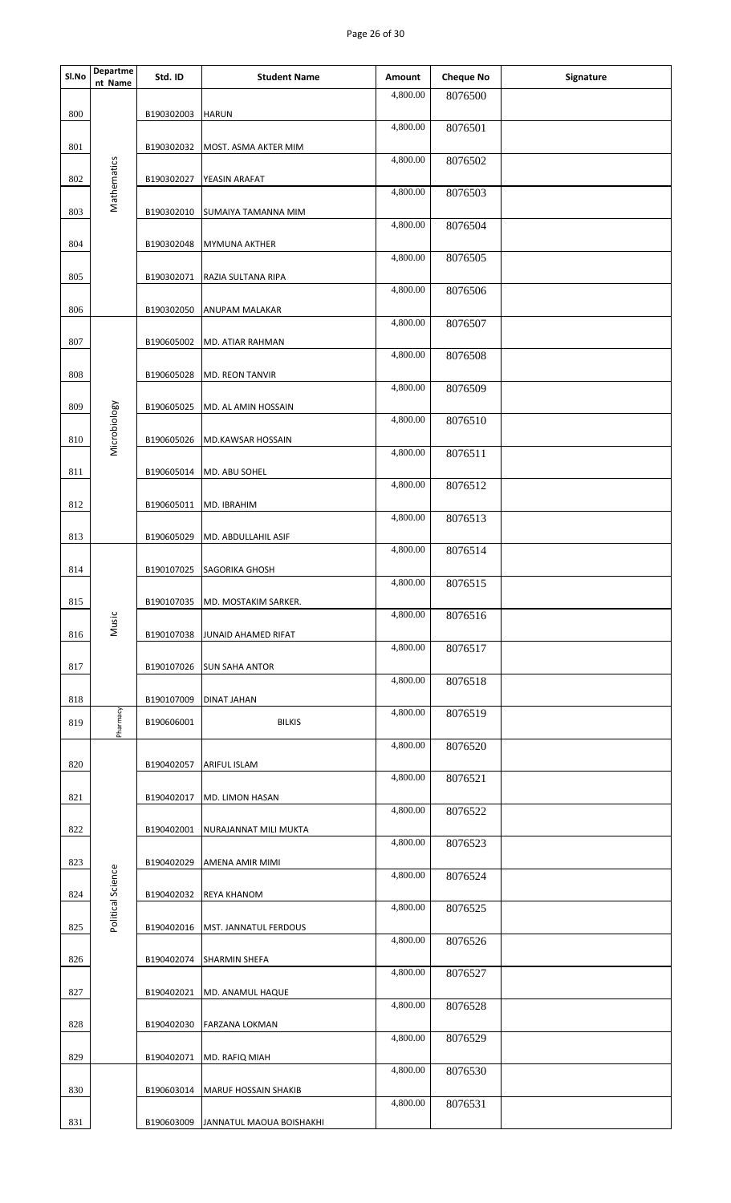## Page 26 of 30

| Sl.No | <b>Departme</b><br>nt Name | Std. ID    | <b>Student Name</b>               | Amount   | <b>Cheque No</b> | Signature |
|-------|----------------------------|------------|-----------------------------------|----------|------------------|-----------|
|       |                            |            |                                   | 4,800.00 | 8076500          |           |
| 800   |                            | B190302003 | <b>HARUN</b>                      | 4,800.00 | 8076501          |           |
| 801   |                            | B190302032 | MOST. ASMA AKTER MIM              | 4,800.00 | 8076502          |           |
| 802   |                            | B190302027 | YEASIN ARAFAT                     |          |                  |           |
| 803   | Mathematics                |            |                                   | 4,800.00 | 8076503          |           |
|       |                            | B190302010 | SUMAIYA TAMANNA MIM               | 4,800.00 | 8076504          |           |
| 804   |                            | B190302048 | <b>MYMUNA AKTHER</b>              | 4,800.00 | 8076505          |           |
| 805   |                            | B190302071 | RAZIA SULTANA RIPA                |          |                  |           |
| 806   |                            | B190302050 | ANUPAM MALAKAR                    | 4,800.00 | 8076506          |           |
|       |                            |            |                                   | 4,800.00 | 8076507          |           |
| 807   |                            | B190605002 | MD. ATIAR RAHMAN                  | 4,800.00 | 8076508          |           |
| 808   |                            | B190605028 | <b>MD. REON TANVIR</b>            | 4,800.00 | 8076509          |           |
| 809   |                            | B190605025 | MD. AL AMIN HOSSAIN               |          |                  |           |
| 810   | Microbiology               | B190605026 | MD.KAWSAR HOSSAIN                 | 4,800.00 | 8076510          |           |
|       |                            |            |                                   | 4,800.00 | 8076511          |           |
| 811   |                            | B190605014 | MD. ABU SOHEL                     | 4,800.00 | 8076512          |           |
| 812   |                            | B190605011 | MD. IBRAHIM                       | 4,800.00 | 8076513          |           |
| 813   |                            | B190605029 | MD. ABDULLAHIL ASIF               |          |                  |           |
| 814   |                            | B190107025 | SAGORIKA GHOSH                    | 4,800.00 | 8076514          |           |
|       |                            |            |                                   | 4,800.00 | 8076515          |           |
| 815   | Music                      |            | B190107035   MD. MOSTAKIM SARKER. | 4,800.00 | 8076516          |           |
| 816   |                            | B190107038 | JUNAID AHAMED RIFAT               | 4,800.00 | 8076517          |           |
| 817   |                            | B190107026 | <b>SUN SAHA ANTOR</b>             |          |                  |           |
| 818   |                            | B190107009 | <b>DINAT JAHAN</b>                | 4,800.00 | 8076518          |           |
| 819   | Pharmacy                   | B190606001 | <b>BILKIS</b>                     | 4,800.00 | 8076519          |           |
|       |                            |            |                                   | 4,800.00 | 8076520          |           |
| 820   |                            | B190402057 | <b>ARIFUL ISLAM</b>               | 4,800.00 | 8076521          |           |
| 821   |                            | B190402017 | MD. LIMON HASAN                   |          |                  |           |
| 822   |                            | B190402001 | NURAJANNAT MILI MUKTA             | 4,800.00 | 8076522          |           |
|       |                            |            |                                   | 4,800.00 | 8076523          |           |
| 823   |                            | B190402029 | AMENA AMIR MIMI                   | 4,800.00 | 8076524          |           |
| 824   | Political Science          | B190402032 | <b>REYA KHANOM</b>                | 4,800.00 | 8076525          |           |
| 825   |                            | B190402016 | MST. JANNATUL FERDOUS             |          |                  |           |
| 826   |                            | B190402074 | <b>SHARMIN SHEFA</b>              | 4,800.00 | 8076526          |           |
|       |                            |            |                                   | 4,800.00 | 8076527          |           |
| 827   |                            | B190402021 | MD. ANAMUL HAQUE                  | 4,800.00 | 8076528          |           |
| 828   |                            | B190402030 | <b>FARZANA LOKMAN</b>             | 4,800.00 | 8076529          |           |
| 829   |                            | B190402071 | MD. RAFIQ MIAH                    |          |                  |           |
| 830   |                            | B190603014 | <b>MARUF HOSSAIN SHAKIB</b>       | 4,800.00 | 8076530          |           |
|       |                            |            |                                   | 4,800.00 | 8076531          |           |
| 831   |                            | B190603009 | JANNATUL MAOUA BOISHAKHI          |          |                  |           |
|       |                            |            |                                   |          |                  |           |
|       |                            |            |                                   |          |                  |           |
|       |                            |            |                                   |          |                  |           |
|       |                            |            |                                   |          |                  |           |
|       |                            |            |                                   |          |                  |           |
|       |                            |            |                                   |          |                  |           |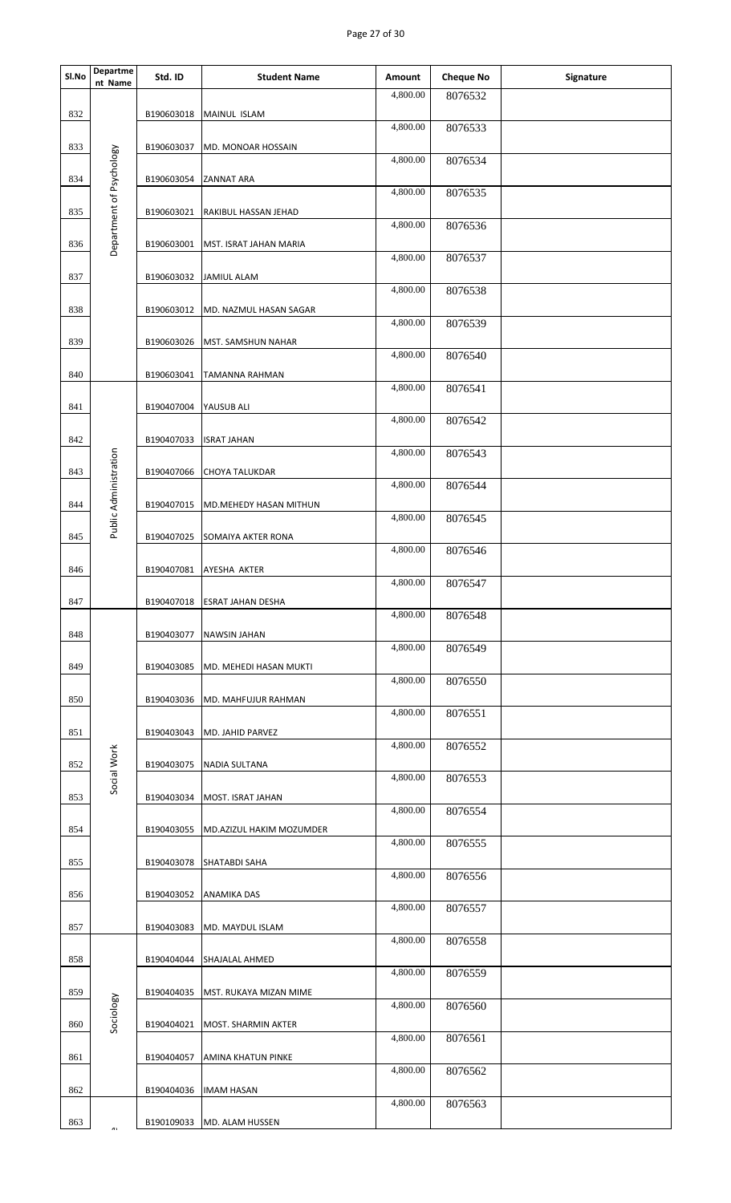## Page 27 of 30

| Sl.No | <b>Departme</b><br>nt Name | Std. ID    | <b>Student Name</b>          | Amount   | <b>Cheque No</b> | Signature |
|-------|----------------------------|------------|------------------------------|----------|------------------|-----------|
| 832   |                            | B190603018 | MAINUL ISLAM                 | 4,800.00 | 8076532          |           |
|       |                            |            |                              | 4,800.00 | 8076533          |           |
| 833   |                            | B190603037 | MD. MONOAR HOSSAIN           | 4,800.00 | 8076534          |           |
| 834   | Department of Psychology   | B190603054 | <b>ZANNAT ARA</b>            | 4,800.00 | 8076535          |           |
| 835   |                            | B190603021 | RAKIBUL HASSAN JEHAD         | 4,800.00 | 8076536          |           |
| 836   |                            | B190603001 | MST. ISRAT JAHAN MARIA       | 4,800.00 |                  |           |
| 837   |                            | B190603032 | <b>JAMIUL ALAM</b>           |          | 8076537          |           |
| 838   |                            | B190603012 | MD. NAZMUL HASAN SAGAR       | 4,800.00 | 8076538          |           |
| 839   |                            | B190603026 | MST. SAMSHUN NAHAR           | 4,800.00 | 8076539          |           |
|       |                            |            |                              | 4,800.00 | 8076540          |           |
| 840   |                            | B190603041 | TAMANNA RAHMAN               | 4,800.00 | 8076541          |           |
| 841   |                            | B190407004 | YAUSUB ALI                   | 4,800.00 | 8076542          |           |
| 842   |                            | B190407033 | <b>ISRAT JAHAN</b>           |          |                  |           |
| 843   |                            | B190407066 | <b>CHOYA TALUKDAR</b>        | 4,800.00 | 8076543          |           |
|       | Public Administration      |            |                              | 4,800.00 | 8076544          |           |
| 844   |                            | B190407015 | MD.MEHEDY HASAN MITHUN       | 4,800.00 | 8076545          |           |
| 845   |                            | B190407025 | <b>SOMAIYA AKTER RONA</b>    | 4,800.00 | 8076546          |           |
| 846   |                            | B190407081 | AYESHA AKTER                 |          |                  |           |
| 847   |                            |            | B190407018 ESRAT JAHAN DESHA | 4,800.00 | 8076547          |           |
|       |                            |            |                              | 4,800.00 | 8076548          |           |
| 848   |                            | B190403077 | <b>NAWSIN JAHAN</b>          | 4,800.00 | 8076549          |           |
| 849   |                            | B190403085 | MD. MEHEDI HASAN MUKTI       | 4,800.00 | 8076550          |           |
| 850   |                            | B190403036 | MD. MAHFUJUR RAHMAN          |          |                  |           |
| 851   |                            | B190403043 | MD. JAHID PARVEZ             | 4,800.00 | 8076551          |           |
|       |                            |            |                              | 4,800.00 | 8076552          |           |
| 852   | Social Work                | B190403075 | NADIA SULTANA                | 4,800.00 | 8076553          |           |
| 853   |                            | B190403034 | MOST. ISRAT JAHAN            | 4,800.00 | 8076554          |           |
| 854   |                            | B190403055 | MD.AZIZUL HAKIM MOZUMDER     |          |                  |           |
| 855   |                            | B190403078 | SHATABDI SAHA                | 4,800.00 | 8076555          |           |
| 856   |                            | B190403052 | <b>ANAMIKA DAS</b>           | 4,800.00 | 8076556          |           |
|       |                            |            |                              | 4,800.00 | 8076557          |           |
| 857   |                            | B190403083 | MD. MAYDUL ISLAM             | 4,800.00 | 8076558          |           |
| 858   |                            | B190404044 | SHAJALAL AHMED               | 4,800.00 | 8076559          |           |
| 859   |                            | B190404035 | MST. RUKAYA MIZAN MIME       |          |                  |           |
| 860   | Sociology                  | B190404021 | MOST. SHARMIN AKTER          | 4,800.00 | 8076560          |           |
| 861   |                            | B190404057 | AMINA KHATUN PINKE           | 4,800.00 | 8076561          |           |
|       |                            |            |                              | 4,800.00 | 8076562          |           |
| 862   |                            | B190404036 | <b>IMAM HASAN</b>            | 4,800.00 | 8076563          |           |
| 863   |                            | B190109033 | MD. ALAM HUSSEN              |          |                  |           |
|       |                            |            |                              |          |                  |           |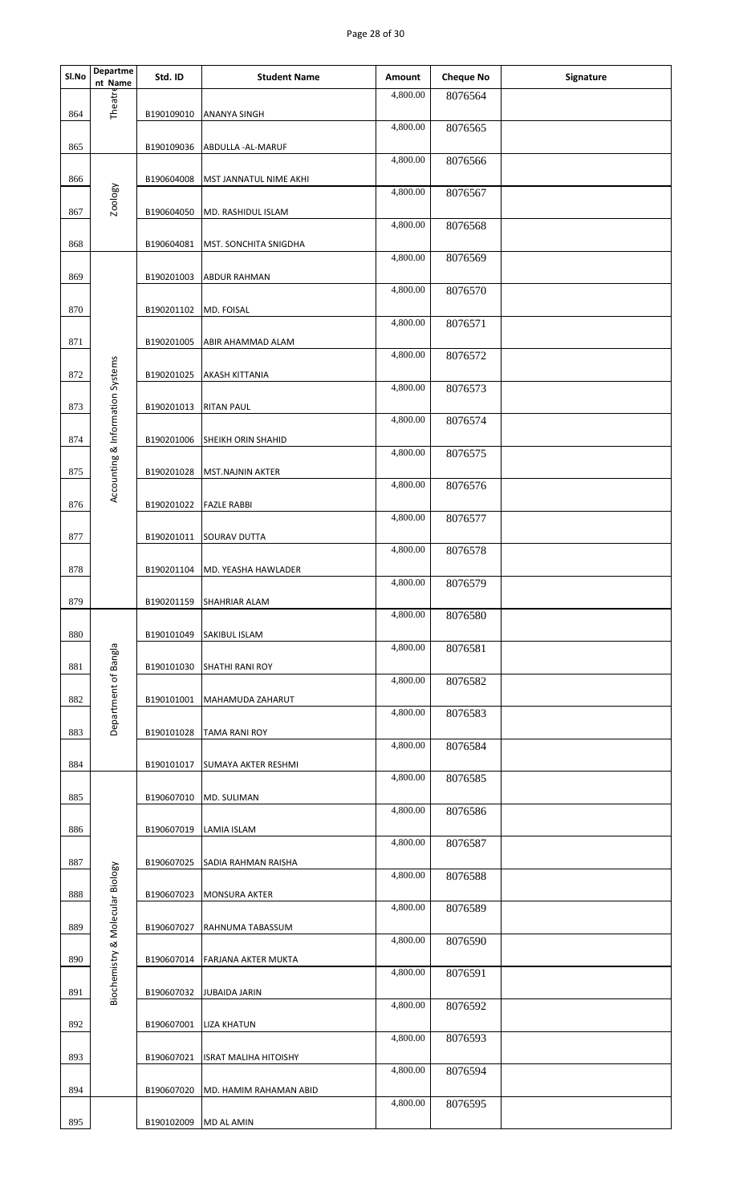## Page 28 of 30

| Sl.No | Departme<br>nt Name              | Std. ID    | <b>Student Name</b>          | Amount                | <b>Cheque No</b> | Signature |
|-------|----------------------------------|------------|------------------------------|-----------------------|------------------|-----------|
| 864   | Theatre                          | B190109010 | <b>ANANYA SINGH</b>          | 4,800.00              | 8076564          |           |
|       |                                  |            |                              | 4,800.00              | 8076565          |           |
| 865   |                                  | B190109036 | ABDULLA - AL-MARUF           | 4,800.00              | 8076566          |           |
| 866   |                                  | B190604008 | MST JANNATUL NIME AKHI       | 4,800.00              | 8076567          |           |
| 867   | Zoology                          | B190604050 | MD. RASHIDUL ISLAM           | 4,800.00              | 8076568          |           |
| 868   |                                  | B190604081 | MST. SONCHITA SNIGDHA        |                       |                  |           |
| 869   |                                  | B190201003 | <b>ABDUR RAHMAN</b>          | 4,800.00              | 8076569          |           |
| 870   |                                  | B190201102 | MD. FOISAL                   | 4,800.00              | 8076570          |           |
| 871   |                                  | B190201005 | ABIR AHAMMAD ALAM            | 4,800.00              | 8076571          |           |
|       |                                  |            |                              | 4,800.00              | 8076572          |           |
| 872   | Accounting & Information Systems | B190201025 | <b>AKASH KITTANIA</b>        | 4,800.00              | 8076573          |           |
| 873   |                                  | B190201013 | <b>RITAN PAUL</b>            | 4,800.00              | 8076574          |           |
| 874   |                                  | B190201006 | SHEIKH ORIN SHAHID           | 4,800.00              | 8076575          |           |
| 875   |                                  | B190201028 | MST.NAJNIN AKTER             |                       |                  |           |
| 876   |                                  | B190201022 | <b>FAZLE RABBI</b>           | 4,800.00              | 8076576          |           |
| 877   |                                  | B190201011 | <b>SOURAV DUTTA</b>          | 4,800.00              | 8076577          |           |
|       |                                  |            |                              | 4,800.00              | 8076578          |           |
| 878   |                                  | B190201104 | MD. YEASHA HAWLADER          | 4,800.00              | 8076579          |           |
| 879   |                                  |            | B190201159 SHAHRIAR ALAM     | 4,800.00              | 8076580          |           |
| 880   |                                  | B190101049 | <b>SAKIBUL ISLAM</b>         | 4,800.00              | 8076581          |           |
| 881   |                                  | B190101030 | <b>SHATHI RANI ROY</b>       |                       |                  |           |
| 882   | Department of Bangla             | B190101001 | MAHAMUDA ZAHARUT             | 4,800.00              | 8076582          |           |
| 883   |                                  | B190101028 | <b>TAMA RANI ROY</b>         | 4,800.00              | 8076583          |           |
|       |                                  |            |                              | 4,800.00              | 8076584          |           |
| 884   |                                  | B190101017 | SUMAYA AKTER RESHMI          | 4,800.00              | 8076585          |           |
| 885   |                                  | B190607010 | MD. SULIMAN                  | 4,800.00              | 8076586          |           |
| 886   |                                  | B190607019 | LAMIA ISLAM                  | $\overline{4,800.00}$ | 8076587          |           |
| 887   |                                  | B190607025 | SADIA RAHMAN RAISHA          | 4,800.00              |                  |           |
| 888   | Biochemistry & Molecular Biology | B190607023 | <b>MONSURA AKTER</b>         |                       | 8076588          |           |
| 889   |                                  | B190607027 | RAHNUMA TABASSUM             | 4,800.00              | 8076589          |           |
| 890   |                                  | B190607014 | <b>FARJANA AKTER MUKTA</b>   | 4,800.00              | 8076590          |           |
|       |                                  |            |                              | 4,800.00              | 8076591          |           |
| 891   |                                  | B190607032 | <b>JUBAIDA JARIN</b>         | 4,800.00              | 8076592          |           |
| 892   |                                  | B190607001 | <b>LIZA KHATUN</b>           | 4,800.00              | 8076593          |           |
| 893   |                                  | B190607021 | <b>ISRAT MALIHA HITOISHY</b> | 4,800.00              | 8076594          |           |
| 894   |                                  | B190607020 | MD. HAMIM RAHAMAN ABID       |                       |                  |           |
| 895   |                                  | B190102009 | <b>MD AL AMIN</b>            | 4,800.00              | 8076595          |           |
|       |                                  |            |                              |                       |                  |           |
|       |                                  |            |                              |                       |                  |           |
|       |                                  |            |                              |                       |                  |           |
|       |                                  |            |                              |                       |                  |           |
|       |                                  |            |                              |                       |                  |           |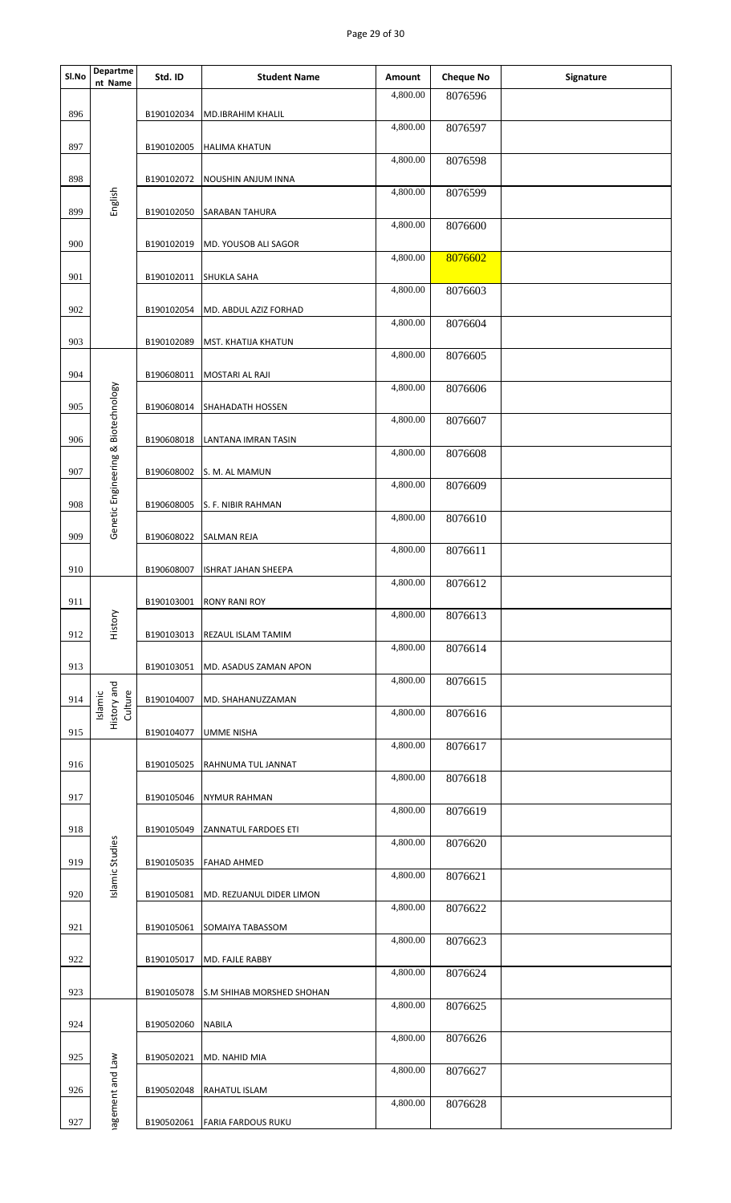## Page 29 of 30

| Sl.No | <b>Departme</b><br>nt Name          | Std. ID    | <b>Student Name</b>        | Amount   | <b>Cheque No</b> | Signature |
|-------|-------------------------------------|------------|----------------------------|----------|------------------|-----------|
| 896   |                                     | B190102034 | <b>MD.IBRAHIM KHALIL</b>   | 4,800.00 | 8076596          |           |
|       |                                     |            |                            | 4,800.00 | 8076597          |           |
| 897   |                                     | B190102005 | <b>HALIMA KHATUN</b>       | 4,800.00 | 8076598          |           |
| 898   | English                             | B190102072 | NOUSHIN ANJUM INNA         | 4,800.00 | 8076599          |           |
| 899   |                                     | B190102050 | <b>SARABAN TAHURA</b>      | 4,800.00 | 8076600          |           |
| 900   |                                     | B190102019 | MD. YOUSOB ALI SAGOR       | 4,800.00 | 8076602          |           |
| 901   |                                     | B190102011 | <b>SHUKLA SAHA</b>         |          |                  |           |
| 902   |                                     | B190102054 | MD. ABDUL AZIZ FORHAD      | 4,800.00 | 8076603          |           |
| 903   |                                     | B190102089 | MST. KHATIJA KHATUN        | 4,800.00 | 8076604          |           |
|       |                                     |            |                            | 4,800.00 | 8076605          |           |
| 904   |                                     | B190608011 | MOSTARI AL RAJI            | 4,800.00 | 8076606          |           |
| 905   |                                     | B190608014 | <b>SHAHADATH HOSSEN</b>    | 4,800.00 |                  |           |
| 906   |                                     | B190608018 | LANTANA IMRAN TASIN        |          | 8076607          |           |
| 907   |                                     | B190608002 | S. M. AL MAMUN             | 4,800.00 | 8076608          |           |
| 908   | Genetic Engineering & Biotechnology | B190608005 | S. F. NIBIR RAHMAN         | 4,800.00 | 8076609          |           |
|       |                                     |            |                            | 4,800.00 | 8076610          |           |
| 909   |                                     | B190608022 | <b>SALMAN REJA</b>         | 4,800.00 | 8076611          |           |
| 910   |                                     | B190608007 | <b>ISHRAT JAHAN SHEEPA</b> | 4,800.00 | 8076612          |           |
| 911   |                                     |            | B190103001 RONY RANI ROY   |          |                  |           |
| 912   | History                             | B190103013 | REZAUL ISLAM TAMIM         | 4,800.00 | 8076613          |           |
| 913   |                                     | B190103051 | MD. ASADUS ZAMAN APON      | 4,800.00 | 8076614          |           |
| 914   |                                     | B190104007 |                            | 4,800.00 | 8076615          |           |
|       | History and<br>Culture<br>Islamic   |            | MD. SHAHANUZZAMAN          | 4,800.00 | 8076616          |           |
| 915   |                                     | B190104077 | UMME NISHA                 | 4,800.00 | 8076617          |           |
| 916   |                                     | B190105025 | RAHNUMA TUL JANNAT         |          |                  |           |
| 917   |                                     | B190105046 | <b>NYMUR RAHMAN</b>        | 4,800.00 | 8076618          |           |
|       |                                     |            |                            | 4,800.00 | 8076619          |           |
| 918   |                                     | B190105049 | ZANNATUL FARDOES ETI       | 4,800.00 | 8076620          |           |
| 919   | Islamic Studies                     | B190105035 | <b>FAHAD AHMED</b>         | 4,800.00 | 8076621          |           |
| 920   |                                     | B190105081 | MD. REZUANUL DIDER LIMON   |          |                  |           |
| 921   |                                     | B190105061 | SOMAIYA TABASSOM           | 4,800.00 | 8076622          |           |
| 922   |                                     | B190105017 | MD. FAJLE RABBY            | 4,800.00 | 8076623          |           |
|       |                                     |            |                            | 4,800.00 | 8076624          |           |
| 923   |                                     | B190105078 | S.M SHIHAB MORSHED SHOHAN  | 4,800.00 | 8076625          |           |
| 924   |                                     | B190502060 | <b>NABILA</b>              | 4,800.00 | 8076626          |           |
| 925   |                                     | B190502021 | MD. NAHID MIA              | 4,800.00 |                  |           |
| 926   |                                     | B190502048 | RAHATUL ISLAM              |          | 8076627          |           |
| 927   | agement and Law                     | B190502061 | <b>FARIA FARDOUS RUKU</b>  | 4,800.00 | 8076628          |           |
|       |                                     |            |                            |          |                  |           |
|       |                                     |            |                            |          |                  |           |